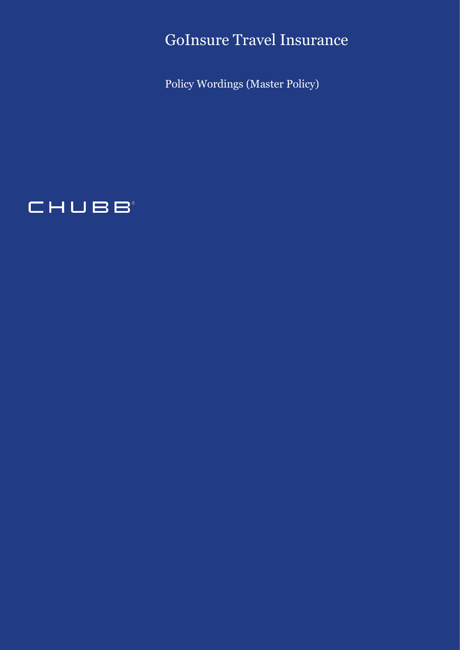GoInsure Travel Insurance

Policy Wordings (Master Policy)

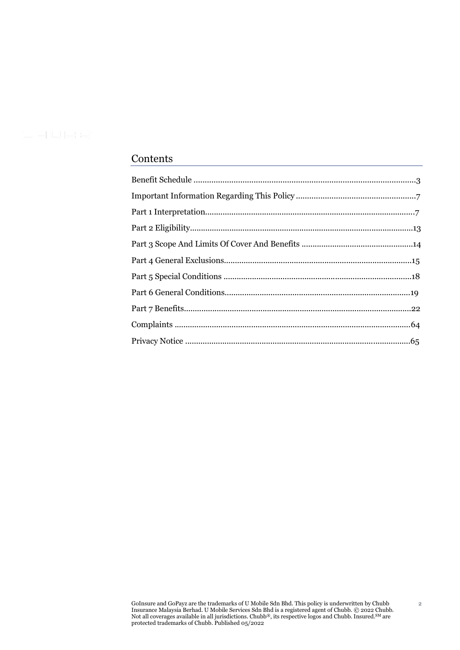# Contents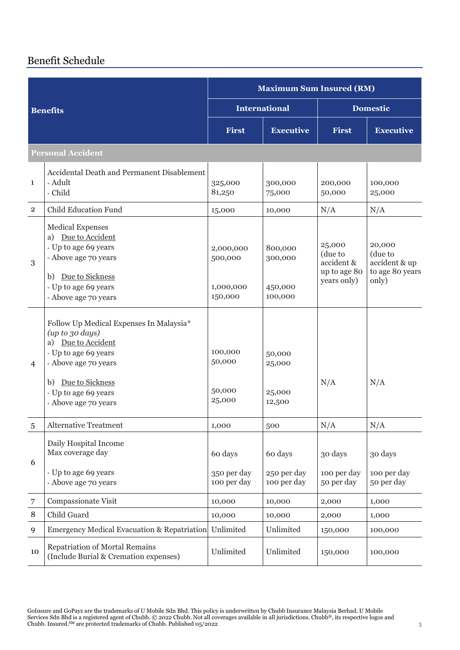# Benefit Schedule

|                                                                                                                                                                             |                                                                                                                                                                                                           | <b>Maximum Sum Insured (RM)</b>              |                                          |                                                                |                                                                |
|-----------------------------------------------------------------------------------------------------------------------------------------------------------------------------|-----------------------------------------------------------------------------------------------------------------------------------------------------------------------------------------------------------|----------------------------------------------|------------------------------------------|----------------------------------------------------------------|----------------------------------------------------------------|
|                                                                                                                                                                             | <b>Benefits</b>                                                                                                                                                                                           | <b>International</b>                         |                                          | <b>Domestic</b>                                                |                                                                |
|                                                                                                                                                                             |                                                                                                                                                                                                           | <b>First</b>                                 | <b>Executive</b>                         | First                                                          | <b>Executive</b>                                               |
|                                                                                                                                                                             | <b>Personal Accident</b>                                                                                                                                                                                  |                                              |                                          |                                                                |                                                                |
| 1                                                                                                                                                                           | Accidental Death and Permanent Disablement<br>- Adult<br>- Child                                                                                                                                          | 325,000<br>81,250                            | 300,000<br>75,000                        | 200,000<br>50,000                                              | 100,000<br>25,000                                              |
| $\overline{2}$                                                                                                                                                              | <b>Child Education Fund</b>                                                                                                                                                                               | 15,000                                       | 10,000                                   | N/A                                                            | N/A                                                            |
| <b>Medical Expenses</b><br>a) Due to Accident<br>- Up to age 69 years<br>- Above age 70 years<br>3<br>Due to Sickness<br>b)<br>- Up to age 69 years<br>- Above age 70 years |                                                                                                                                                                                                           | 2,000,000<br>500,000<br>1,000,000<br>150,000 | 800,000<br>300,000<br>450,000<br>100,000 | 25,000<br>(due to<br>accident &<br>up to age 80<br>years only) | 20,000<br>(due to<br>accident & up<br>to age 80 years<br>only) |
| 4                                                                                                                                                                           | Follow Up Medical Expenses In Malaysia*<br>(up to go days)<br>a) Due to Accident<br>- Up to age 69 years<br>- Above age 70 years<br>Due to Sickness<br>b)<br>- Up to age 69 years<br>- Above age 70 years | 100,000<br>50,000<br>50,000<br>25,000        | 50,000<br>25,000<br>25,000<br>12,500     | N/A                                                            | N/A                                                            |
| $\overline{5}$                                                                                                                                                              | <b>Alternative Treatment</b>                                                                                                                                                                              | 1,000                                        | 500                                      | N/A                                                            | N/A                                                            |
| 6                                                                                                                                                                           | Daily Hospital Income<br>Max coverage day<br>- Up to age 69 years<br>- Above age 70 years                                                                                                                 | 60 days<br>350 per day<br>100 per day        | 60 days<br>250 per day<br>100 per day    | 30 days<br>100 per day<br>50 per day                           | 30 days<br>100 per day<br>50 per day                           |
| 7                                                                                                                                                                           | Compassionate Visit                                                                                                                                                                                       | 10,000                                       | 10,000                                   | 2,000                                                          | 1,000                                                          |
| $\, 8$                                                                                                                                                                      | Child Guard                                                                                                                                                                                               | 10,000                                       | 10,000                                   | 2,000                                                          | 1,000                                                          |
| 9                                                                                                                                                                           | <b>Emergency Medical Evacuation &amp; Repatriation</b>                                                                                                                                                    | Unlimited                                    | Unlimited                                | 150,000                                                        | 100,000                                                        |
| 10                                                                                                                                                                          | Repatriation of Mortal Remains<br>(Include Burial & Cremation expenses)                                                                                                                                   | Unlimited                                    | Unlimited                                | 150,000                                                        | 100,000                                                        |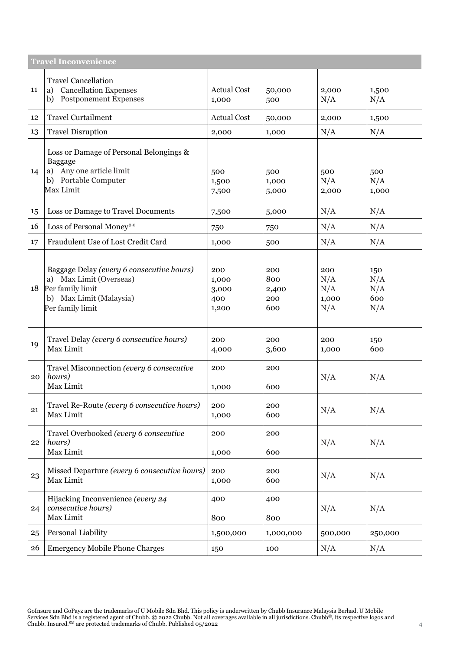|                                                                                                                                               | <b>Travel Inconvenience</b>                                                        |                                       |                                   |                                   |                                 |
|-----------------------------------------------------------------------------------------------------------------------------------------------|------------------------------------------------------------------------------------|---------------------------------------|-----------------------------------|-----------------------------------|---------------------------------|
| 11                                                                                                                                            | <b>Travel Cancellation</b><br>a) Cancellation Expenses<br>b) Postponement Expenses | <b>Actual Cost</b><br>1,000           | 50,000<br>500                     | 2,000<br>N/A                      | 1,500<br>N/A                    |
| 12                                                                                                                                            | <b>Travel Curtailment</b>                                                          | <b>Actual Cost</b>                    | 50,000                            | 2,000                             | 1,500                           |
| 13                                                                                                                                            | <b>Travel Disruption</b>                                                           | 2,000                                 | 1,000                             | N/A                               | N/A                             |
| Loss or Damage of Personal Belongings &<br>Baggage<br>a) Any one article limit<br>14<br>b) Portable Computer<br>Max Limit                     |                                                                                    | 500<br>1,500<br>7,500                 | 500<br>1,000<br>5,000             | 500<br>N/A<br>2,000               | 500<br>N/A<br>1,000             |
| 15                                                                                                                                            | Loss or Damage to Travel Documents                                                 | 7,500                                 | 5,000                             | N/A                               | N/A                             |
| 16                                                                                                                                            | Loss of Personal Money**                                                           | 750                                   | 750                               | N/A                               | N/A                             |
| 17                                                                                                                                            | Fraudulent Use of Lost Credit Card                                                 | 1,000                                 | 500                               | N/A                               | N/A                             |
| Baggage Delay (every 6 consecutive hours)<br>a) Max Limit (Overseas)<br>Per family limit<br>18<br>b) Max Limit (Malaysia)<br>Per family limit |                                                                                    | 200<br>1,000<br>3,000<br>400<br>1,200 | 200<br>800<br>2,400<br>200<br>600 | 200<br>N/A<br>N/A<br>1,000<br>N/A | 150<br>N/A<br>N/A<br>600<br>N/A |
| 19                                                                                                                                            | Travel Delay (every 6 consecutive hours)<br>Max Limit                              | 200<br>4,000                          | 200<br>3,600                      | 200<br>1,000                      | 150<br>600                      |
| 20                                                                                                                                            | Travel Misconnection (every 6 consecutive<br>hours)<br>Max Limit                   | 200<br>1,000                          | 200<br>600                        | N/A                               | N/A                             |
| 21                                                                                                                                            | Travel Re-Route (every 6 consecutive hours)<br>Max Limit                           | 200<br>1,000                          | 200<br>600                        | N/A                               | N/A                             |
| 22                                                                                                                                            | Travel Overbooked (every 6 consecutive<br>hours)<br>Max Limit                      | 200<br>1,000                          | 200<br>600                        | N/A                               | N/A                             |
| 23                                                                                                                                            | Missed Departure (every 6 consecutive hours)<br>Max Limit                          | 200<br>1,000                          | 200<br>600                        | N/A                               | N/A                             |
| 24                                                                                                                                            | Hijacking Inconvenience (every 24<br>consecutive hours)<br>Max Limit               | 400<br>800                            | 400<br>800                        | N/A                               | N/A                             |
| 25                                                                                                                                            | Personal Liability                                                                 | 1,500,000                             | 1,000,000                         | 500,000                           | 250,000                         |
| 26                                                                                                                                            | <b>Emergency Mobile Phone Charges</b>                                              | 150                                   | 100                               | N/A                               | N/A                             |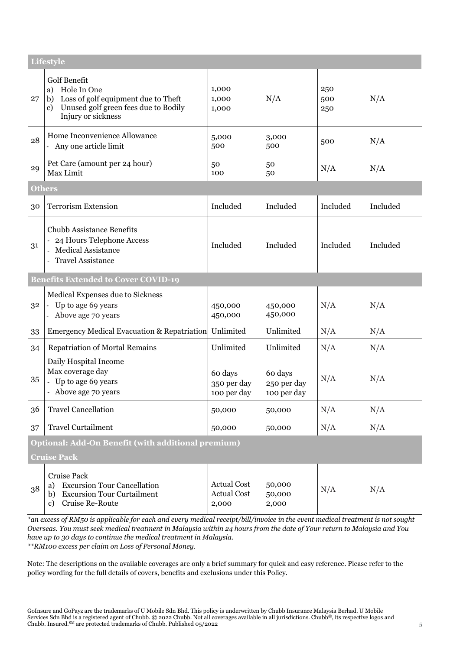|               | <b>Lifestyle</b>                                                                                                                                       |                                                   |                                       |                   |          |
|---------------|--------------------------------------------------------------------------------------------------------------------------------------------------------|---------------------------------------------------|---------------------------------------|-------------------|----------|
| 27            | <b>Golf Benefit</b><br>a) Hole In One<br>Loss of golf equipment due to Theft<br>b)<br>Unused golf green fees due to Bodily<br>c)<br>Injury or sickness | 1,000<br>1,000<br>1,000                           | N/A                                   | 250<br>500<br>250 | N/A      |
| 28            | Home Inconvenience Allowance<br>- Any one article limit                                                                                                | 5,000<br>500                                      | 3,000<br>500                          | 500               | N/A      |
| 29            | Pet Care (amount per 24 hour)<br>Max Limit                                                                                                             | 50<br>100                                         | 50<br>50                              | N/A               | N/A      |
| <b>Others</b> |                                                                                                                                                        |                                                   |                                       |                   |          |
| 30            | <b>Terrorism Extension</b>                                                                                                                             | Included                                          | Included                              | Included          | Included |
| 31            | <b>Chubb Assistance Benefits</b><br>24 Hours Telephone Access<br>Medical Assistance<br><b>Travel Assistance</b>                                        | Included                                          | Included                              | Included          | Included |
|               | <b>Benefits Extended to Cover COVID-19</b>                                                                                                             |                                                   |                                       |                   |          |
| 32            | Medical Expenses due to Sickness<br>Up to age 69 years<br>- Above age 70 years                                                                         | 450,000<br>450,000                                | 450,000<br>450,000                    | N/A               | N/A      |
| 33            | <b>Emergency Medical Evacuation &amp; Repatriation</b>                                                                                                 | Unlimited                                         | Unlimited                             | N/A               | N/A      |
| 34            | <b>Repatriation of Mortal Remains</b>                                                                                                                  | Unlimited                                         | Unlimited                             | N/A               | N/A      |
| 35            | Daily Hospital Income<br>Max coverage day<br>- Up to age 69 years<br>- Above age 70 years                                                              | 60 days<br>350 per day<br>100 per day             | 60 days<br>250 per day<br>100 per day | N/A               | N/A      |
| 36            | <b>Travel Cancellation</b>                                                                                                                             | 50,000                                            | 50,000                                | N/A               | N/A      |
| 37            | <b>Travel Curtailment</b>                                                                                                                              | 50,000                                            | 50,000                                | N/A               | N/A      |
|               | Optional: Add-On Benefit (with additional premium)                                                                                                     |                                                   |                                       |                   |          |
|               | <b>Cruise Pack</b>                                                                                                                                     |                                                   |                                       |                   |          |
| 38            | <b>Cruise Pack</b><br><b>Excursion Tour Cancellation</b><br>a)<br><b>Excursion Tour Curtailment</b><br>b)<br>Cruise Re-Route<br>$\mathbf{c}$           | <b>Actual Cost</b><br><b>Actual Cost</b><br>2,000 | 50,000<br>50,000<br>2,000             | N/A               | N/A      |

*\*an excess of RM50 is applicable for each and every medical receipt/bill/invoice in the event medical treatment is not sought Overseas. You must seek medical treatment in Malaysia within 24 hours from the date of Your return to Malaysia and You have up to 30 days to continue the medical treatment in Malaysia. \*\*RM100 excess per claim on Loss of Personal Money.*

Note: The descriptions on the available coverages are only a brief summary for quick and easy reference. Please refer to the policy wording for the full details of covers, benefits and exclusions under this Policy.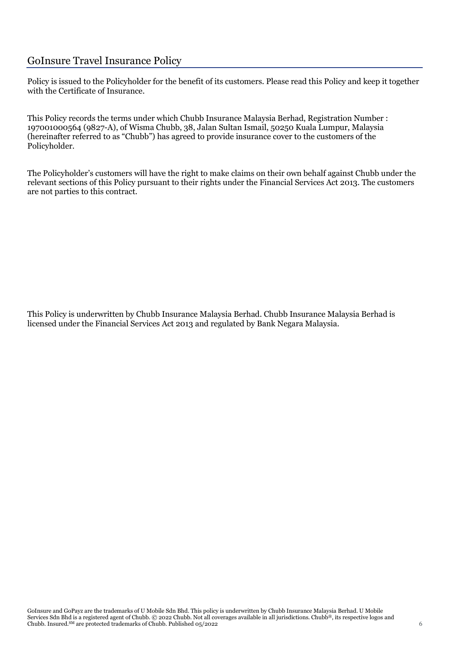# GoInsure Travel Insurance Policy

Policy is issued to the Policyholder for the benefit of its customers. Please read this Policy and keep it together with the Certificate of Insurance.

This Policy records the terms under which Chubb Insurance Malaysia Berhad, Registration Number : 197001000564 (9827-A), of Wisma Chubb, 38, Jalan Sultan Ismail, 50250 Kuala Lumpur, Malaysia (hereinafter referred to as "Chubb") has agreed to provide insurance cover to the customers of the Policyholder.

The Policyholder's customers will have the right to make claims on their own behalf against Chubb under the relevant sections of this Policy pursuant to their rights under the Financial Services Act 2013. The customers are not parties to this contract.

This Policy is underwritten by Chubb Insurance Malaysia Berhad. Chubb Insurance Malaysia Berhad is licensed under the Financial Services Act 2013 and regulated by Bank Negara Malaysia.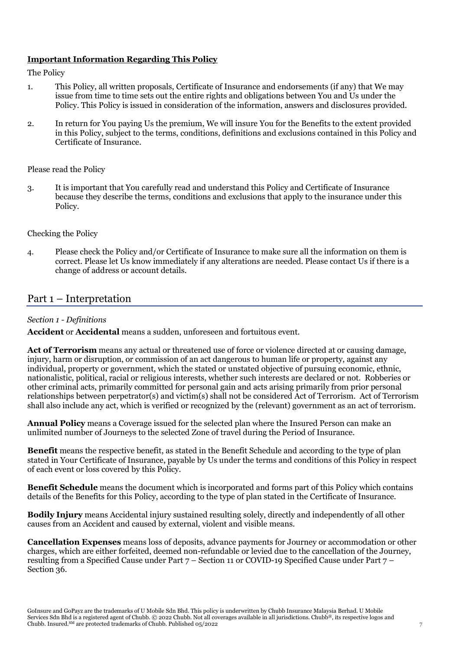## **Important Information Regarding This Policy**

The Policy

- 1. This Policy, all written proposals, Certificate of Insurance and endorsements (if any) that We may issue from time to time sets out the entire rights and obligations between You and Us under the Policy. This Policy is issued in consideration of the information, answers and disclosures provided.
- 2. In return for You paying Us the premium, We will insure You for the Benefits to the extent provided in this Policy, subject to the terms, conditions, definitions and exclusions contained in this Policy and Certificate of Insurance.

#### Please read the Policy

3. It is important that You carefully read and understand this Policy and Certificate of Insurance because they describe the terms, conditions and exclusions that apply to the insurance under this Policy.

#### Checking the Policy

4. Please check the Policy and/or Certificate of Insurance to make sure all the information on them is correct. Please let Us know immediately if any alterations are needed. Please contact Us if there is a change of address or account details.

# Part 1 – Interpretation

#### *Section 1 - Definitions*

**Accident** or **Accidental** means a sudden, unforeseen and fortuitous event.

**Act of Terrorism** means any actual or threatened use of force or violence directed at or causing damage, injury, harm or disruption, or commission of an act dangerous to human life or property, against any individual, property or government, which the stated or unstated objective of pursuing economic, ethnic, nationalistic, political, racial or religious interests, whether such interests are declared or not. Robberies or other criminal acts, primarily committed for personal gain and acts arising primarily from prior personal relationships between perpetrator(s) and victim(s) shall not be considered Act of Terrorism. Act of Terrorism shall also include any act, which is verified or recognized by the (relevant) government as an act of terrorism.

**Annual Policy** means a Coverage issued for the selected plan where the Insured Person can make an unlimited number of Journeys to the selected Zone of travel during the Period of Insurance.

**Benefit** means the respective benefit, as stated in the Benefit Schedule and according to the type of plan stated in Your Certificate of Insurance, payable by Us under the terms and conditions of this Policy in respect of each event or loss covered by this Policy.

**Benefit Schedule** means the document which is incorporated and forms part of this Policy which contains details of the Benefits for this Policy, according to the type of plan stated in the Certificate of Insurance.

**Bodily Injury** means Accidental injury sustained resulting solely, directly and independently of all other causes from an Accident and caused by external, violent and visible means.

**Cancellation Expenses** means loss of deposits, advance payments for Journey or accommodation or other charges, which are either forfeited, deemed non-refundable or levied due to the cancellation of the Journey, resulting from a Specified Cause under Part 7 – Section 11 or COVID-19 Specified Cause under Part 7 – Section 36.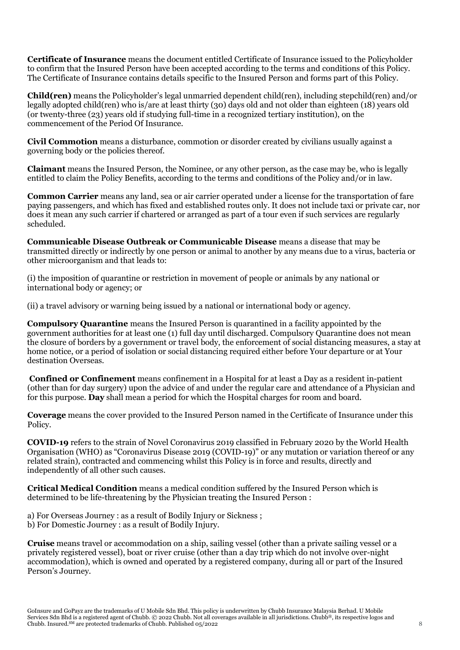**Certificate of Insurance** means the document entitled Certificate of Insurance issued to the Policyholder to confirm that the Insured Person have been accepted according to the terms and conditions of this Policy. The Certificate of Insurance contains details specific to the Insured Person and forms part of this Policy.

**Child(ren)** means the Policyholder's legal unmarried dependent child(ren), including stepchild(ren) and/or legally adopted child(ren) who is/are at least thirty (30) days old and not older than eighteen (18) years old (or twenty-three (23) years old if studying full-time in a recognized tertiary institution), on the commencement of the Period Of Insurance.

**Civil Commotion** means a disturbance, commotion or disorder created by civilians usually against a governing body or the policies thereof.

**Claimant** means the Insured Person, the Nominee, or any other person, as the case may be, who is legally entitled to claim the Policy Benefits, according to the terms and conditions of the Policy and/or in law.

**Common Carrier** means any land, sea or air carrier operated under a license for the transportation of fare paying passengers, and which has fixed and established routes only. It does not include taxi or private car, nor does it mean any such carrier if chartered or arranged as part of a tour even if such services are regularly scheduled.

**Communicable Disease Outbreak or Communicable Disease** means a disease that may be transmitted directly or indirectly by one person or animal to another by any means due to a virus, bacteria or other microorganism and that leads to:

(i) the imposition of quarantine or restriction in movement of people or animals by any national or international body or agency; or

(ii) a travel advisory or warning being issued by a national or international body or agency.

**Compulsory Quarantine** means the Insured Person is quarantined in a facility appointed by the government authorities for at least one (1) full day until discharged. Compulsory Quarantine does not mean the closure of borders by a government or travel body, the enforcement of social distancing measures, a stay at home notice, or a period of isolation or social distancing required either before Your departure or at Your destination Overseas.

**Confined or Confinement** means confinement in a Hospital for at least a Day as a resident in-patient (other than for day surgery) upon the advice of and under the regular care and attendance of a Physician and for this purpose. **Day** shall mean a period for which the Hospital charges for room and board.

**Coverage** means the cover provided to the Insured Person named in the Certificate of Insurance under this Policy.

**COVID-19** refers to the strain of Novel Coronavirus 2019 classified in February 2020 by the World Health Organisation (WHO) as "Coronavirus Disease 2019 (COVID-19)" or any mutation or variation thereof or any related strain), contracted and commencing whilst this Policy is in force and results, directly and independently of all other such causes.

**Critical Medical Condition** means a medical condition suffered by the Insured Person which is determined to be life-threatening by the Physician treating the Insured Person :

a) For Overseas Journey : as a result of Bodily Injury or Sickness ; b) For Domestic Journey : as a result of Bodily Injury.

**Cruise** means travel or accommodation on a ship, sailing vessel (other than a private sailing vessel or a privately registered vessel), boat or river cruise (other than a day trip which do not involve over-night accommodation), which is owned and operated by a registered company, during all or part of the Insured Person's Journey.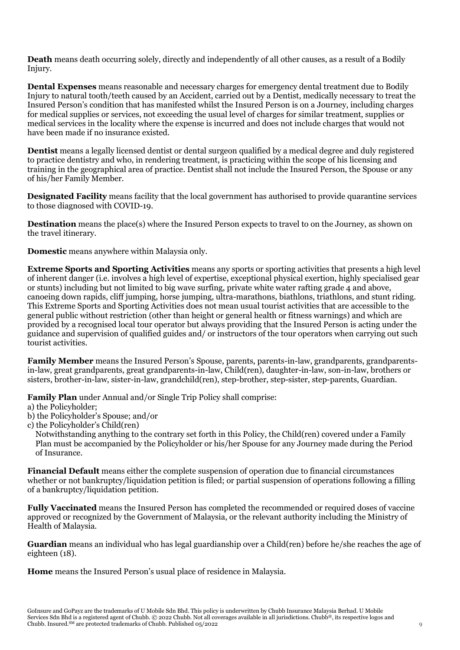**Death** means death occurring solely, directly and independently of all other causes, as a result of a Bodily Injury.

**Dental Expenses** means reasonable and necessary charges for emergency dental treatment due to Bodily Injury to natural tooth/teeth caused by an Accident, carried out by a Dentist, medically necessary to treat the Insured Person's condition that has manifested whilst the Insured Person is on a Journey, including charges for medical supplies or services, not exceeding the usual level of charges for similar treatment, supplies or medical services in the locality where the expense is incurred and does not include charges that would not have been made if no insurance existed.

**Dentist** means a legally licensed dentist or dental surgeon qualified by a medical degree and duly registered to practice dentistry and who, in rendering treatment, is practicing within the scope of his licensing and training in the geographical area of practice. Dentist shall not include the Insured Person, the Spouse or any of his/her Family Member.

**Designated Facility** means facility that the local government has authorised to provide quarantine services to those diagnosed with COVID-19.

**Destination** means the place(s) where the Insured Person expects to travel to on the Journey, as shown on the travel itinerary.

**Domestic** means anywhere within Malaysia only.

**Extreme Sports and Sporting Activities** means any sports or sporting activities that presents a high level of inherent danger (i.e. involves a high level of expertise, exceptional physical exertion, highly specialised gear or stunts) including but not limited to big wave surfing, private white water rafting grade 4 and above, canoeing down rapids, cliff jumping, horse jumping, ultra-marathons, biathlons, triathlons, and stunt riding. This Extreme Sports and Sporting Activities does not mean usual tourist activities that are accessible to the general public without restriction (other than height or general health or fitness warnings) and which are provided by a recognised local tour operator but always providing that the Insured Person is acting under the guidance and supervision of qualified guides and/ or instructors of the tour operators when carrying out such tourist activities.

**Family Member** means the Insured Person's Spouse, parents, parents-in-law, grandparents, grandparentsin-law, great grandparents, great grandparents-in-law, Child(ren), daughter-in-law, son-in-law, brothers or sisters, brother-in-law, sister-in-law, grandchild(ren), step-brother, step-sister, step-parents, Guardian.

**Family Plan** under Annual and/or Single Trip Policy shall comprise:

- a) the Policyholder;
- b) the Policyholder's Spouse; and/or
- c) the Policyholder's Child(ren)

Notwithstanding anything to the contrary set forth in this Policy, the Child(ren) covered under a Family Plan must be accompanied by the Policyholder or his/her Spouse for any Journey made during the Period of Insurance.

**Financial Default** means either the complete suspension of operation due to financial circumstances whether or not bankruptcy/liquidation petition is filed; or partial suspension of operations following a filling of a bankruptcy/liquidation petition.

**Fully Vaccinated** means the Insured Person has completed the recommended or required doses of vaccine approved or recognized by the Government of Malaysia, or the relevant authority including the Ministry of Health of Malaysia.

**Guardian** means an individual who has legal guardianship over a Child(ren) before he/she reaches the age of eighteen (18).

**Home** means the Insured Person's usual place of residence in Malaysia.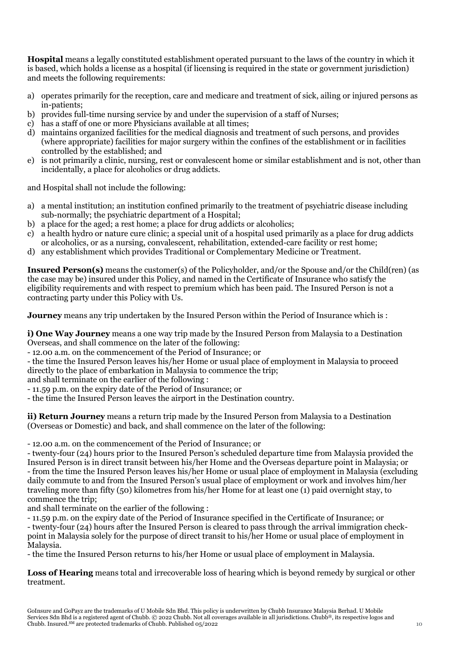**Hospital** means a legally constituted establishment operated pursuant to the laws of the country in which it is based, which holds a license as a hospital (if licensing is required in the state or government jurisdiction) and meets the following requirements:

- a) operates primarily for the reception, care and medicare and treatment of sick, ailing or injured persons as in-patients;
- b) provides full-time nursing service by and under the supervision of a staff of Nurses;
- c) has a staff of one or more Physicians available at all times;
- d) maintains organized facilities for the medical diagnosis and treatment of such persons, and provides (where appropriate) facilities for major surgery within the confines of the establishment or in facilities controlled by the established; and
- e) is not primarily a clinic, nursing, rest or convalescent home or similar establishment and is not, other than incidentally, a place for alcoholics or drug addicts.

and Hospital shall not include the following:

- a) a mental institution; an institution confined primarily to the treatment of psychiatric disease including sub-normally; the psychiatric department of a Hospital;
- b) a place for the aged; a rest home; a place for drug addicts or alcoholics;
- c) a health hydro or nature cure clinic; a special unit of a hospital used primarily as a place for drug addicts or alcoholics, or as a nursing, convalescent, rehabilitation, extended-care facility or rest home;
- d) any establishment which provides Traditional or Complementary Medicine or Treatment.

**Insured Person(s)** means the customer(s) of the Policyholder, and/or the Spouse and/or the Child(ren) (as the case may be) insured under this Policy, and named in the Certificate of Insurance who satisfy the eligibility requirements and with respect to premium which has been paid. The Insured Person is not a contracting party under this Policy with Us.

**Journey** means any trip undertaken by the Insured Person within the Period of Insurance which is :

**i) One Way Journey** means a one way trip made by the Insured Person from Malaysia to a Destination Overseas, and shall commence on the later of the following:

- 12.00 a.m. on the commencement of the Period of Insurance; or

- the time the Insured Person leaves his/her Home or usual place of employment in Malaysia to proceed directly to the place of embarkation in Malaysia to commence the trip;

and shall terminate on the earlier of the following :

- 11.59 p.m. on the expiry date of the Period of Insurance; or

- the time the Insured Person leaves the airport in the Destination country.

**ii) Return Journey** means a return trip made by the Insured Person from Malaysia to a Destination (Overseas or Domestic) and back, and shall commence on the later of the following:

- 12.00 a.m. on the commencement of the Period of Insurance; or

- twenty-four (24) hours prior to the Insured Person's scheduled departure time from Malaysia provided the Insured Person is in direct transit between his/her Home and the Overseas departure point in Malaysia; or - from the time the Insured Person leaves his/her Home or usual place of employment in Malaysia (excluding daily commute to and from the Insured Person's usual place of employment or work and involves him/her traveling more than fifty (50) kilometres from his/her Home for at least one (1) paid overnight stay, to commence the trip;

and shall terminate on the earlier of the following :

- 11.59 p.m. on the expiry date of the Period of Insurance specified in the Certificate of Insurance; or - twenty-four (24) hours after the Insured Person is cleared to pass through the arrival immigration checkpoint in Malaysia solely for the purpose of direct transit to his/her Home or usual place of employment in Malaysia.

- the time the Insured Person returns to his/her Home or usual place of employment in Malaysia.

**Loss of Hearing** means total and irrecoverable loss of hearing which is beyond remedy by surgical or other treatment.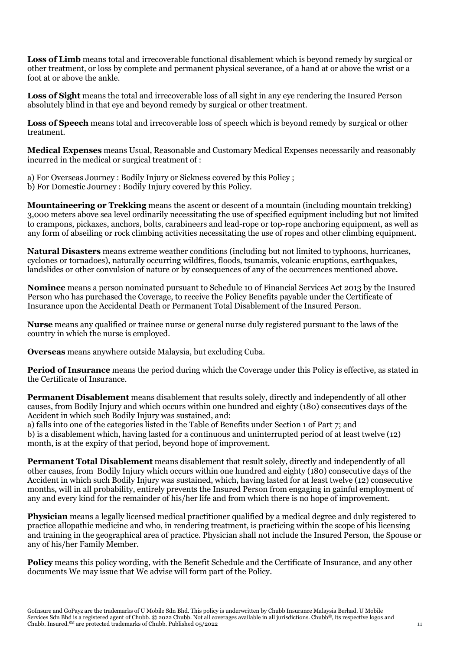**Loss of Limb** means total and irrecoverable functional disablement which is beyond remedy by surgical or other treatment, or loss by complete and permanent physical severance, of a hand at or above the wrist or a foot at or above the ankle.

**Loss of Sight** means the total and irrecoverable loss of all sight in any eye rendering the Insured Person absolutely blind in that eye and beyond remedy by surgical or other treatment.

**Loss of Speech** means total and irrecoverable loss of speech which is beyond remedy by surgical or other treatment.

**Medical Expenses** means Usual, Reasonable and Customary Medical Expenses necessarily and reasonably incurred in the medical or surgical treatment of :

- a) For Overseas Journey : Bodily Injury or Sickness covered by this Policy ;
- b) For Domestic Journey : Bodily Injury covered by this Policy.

**Mountaineering or Trekking** means the ascent or descent of a mountain (including mountain trekking) 3,000 meters above sea level ordinarily necessitating the use of specified equipment including but not limited to crampons, pickaxes, anchors, bolts, carabineers and lead-rope or top-rope anchoring equipment, as well as any form of abseiling or rock climbing activities necessitating the use of ropes and other climbing equipment.

**Natural Disasters** means extreme weather conditions (including but not limited to typhoons, hurricanes, cyclones or tornadoes), naturally occurring wildfires, floods, tsunamis, volcanic eruptions, earthquakes, landslides or other convulsion of nature or by consequences of any of the occurrences mentioned above.

**Nominee** means a person nominated pursuant to Schedule 10 of Financial Services Act 2013 by the Insured Person who has purchased the Coverage, to receive the Policy Benefits payable under the Certificate of Insurance upon the Accidental Death or Permanent Total Disablement of the Insured Person.

**Nurse** means any qualified or trainee nurse or general nurse duly registered pursuant to the laws of the country in which the nurse is employed.

**Overseas** means anywhere outside Malaysia, but excluding Cuba.

**Period of Insurance** means the period during which the Coverage under this Policy is effective, as stated in the Certificate of Insurance.

**Permanent Disablement** means disablement that results solely, directly and independently of all other causes, from Bodily Injury and which occurs within one hundred and eighty (180) consecutives days of the Accident in which such Bodily Injury was sustained, and:

a) falls into one of the categories listed in the Table of Benefits under Section 1 of Part 7; and b) is a disablement which, having lasted for a continuous and uninterrupted period of at least twelve (12) month, is at the expiry of that period, beyond hope of improvement.

**Permanent Total Disablement** means disablement that result solely, directly and independently of all other causes, from Bodily Injury which occurs within one hundred and eighty (180) consecutive days of the Accident in which such Bodily Injury was sustained, which, having lasted for at least twelve (12) consecutive months, will in all probability, entirely prevents the Insured Person from engaging in gainful employment of any and every kind for the remainder of his/her life and from which there is no hope of improvement.

**Physician** means a legally licensed medical practitioner qualified by a medical degree and duly registered to practice allopathic medicine and who, in rendering treatment, is practicing within the scope of his licensing and training in the geographical area of practice. Physician shall not include the Insured Person, the Spouse or any of his/her Family Member.

**Policy** means this policy wording, with the Benefit Schedule and the Certificate of Insurance, and any other documents We may issue that We advise will form part of the Policy.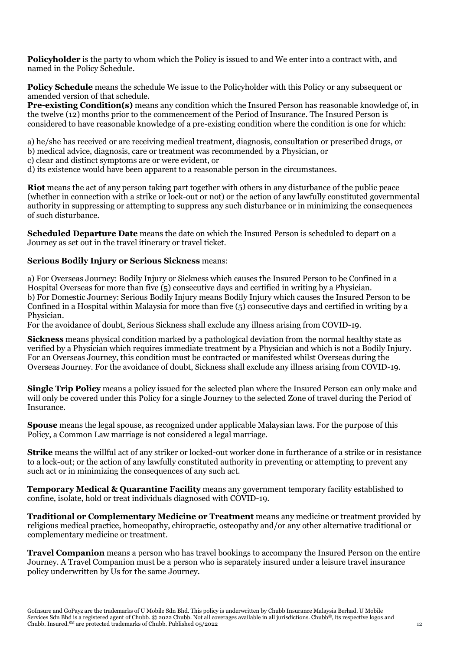**Policyholder** is the party to whom which the Policy is issued to and We enter into a contract with, and named in the Policy Schedule.

**Policy Schedule** means the schedule We issue to the Policyholder with this Policy or any subsequent or amended version of that schedule.

**Pre-existing Condition(s)** means any condition which the Insured Person has reasonable knowledge of, in the twelve (12) months prior to the commencement of the Period of Insurance. The Insured Person is considered to have reasonable knowledge of a pre-existing condition where the condition is one for which:

a) he/she has received or are receiving medical treatment, diagnosis, consultation or prescribed drugs, or b) medical advice, diagnosis, care or treatment was recommended by a Physician, or

c) clear and distinct symptoms are or were evident, or

d) its existence would have been apparent to a reasonable person in the circumstances.

**Riot** means the act of any person taking part together with others in any disturbance of the public peace (whether in connection with a strike or lock-out or not) or the action of any lawfully constituted governmental authority in suppressing or attempting to suppress any such disturbance or in minimizing the consequences of such disturbance.

**Scheduled Departure Date** means the date on which the Insured Person is scheduled to depart on a Journey as set out in the travel itinerary or travel ticket.

#### **Serious Bodily Injury or Serious Sickness** means:

a) For Overseas Journey: Bodily Injury or Sickness which causes the Insured Person to be Confined in a Hospital Overseas for more than five (5) consecutive days and certified in writing by a Physician. b) For Domestic Journey: Serious Bodily Injury means Bodily Injury which causes the Insured Person to be Confined in a Hospital within Malaysia for more than five (5) consecutive days and certified in writing by a Physician.

For the avoidance of doubt, Serious Sickness shall exclude any illness arising from COVID-19.

**Sickness** means physical condition marked by a pathological deviation from the normal healthy state as verified by a Physician which requires immediate treatment by a Physician and which is not a Bodily Injury. For an Overseas Journey, this condition must be contracted or manifested whilst Overseas during the Overseas Journey. For the avoidance of doubt, Sickness shall exclude any illness arising from COVID-19.

**Single Trip Policy** means a policy issued for the selected plan where the Insured Person can only make and will only be covered under this Policy for a single Journey to the selected Zone of travel during the Period of Insurance.

**Spouse** means the legal spouse, as recognized under applicable Malaysian laws. For the purpose of this Policy, a Common Law marriage is not considered a legal marriage.

**Strike** means the willful act of any striker or locked-out worker done in furtherance of a strike or in resistance to a lock-out; or the action of any lawfully constituted authority in preventing or attempting to prevent any such act or in minimizing the consequences of any such act.

**Temporary Medical & Quarantine Facility** means any government temporary facility established to confine, isolate, hold or treat individuals diagnosed with COVID-19.

**Traditional or Complementary Medicine or Treatment** means any medicine or treatment provided by religious medical practice, homeopathy, chiropractic, osteopathy and/or any other alternative traditional or complementary medicine or treatment.

**Travel Companion** means a person who has travel bookings to accompany the Insured Person on the entire Journey. A Travel Companion must be a person who is separately insured under a leisure travel insurance policy underwritten by Us for the same Journey.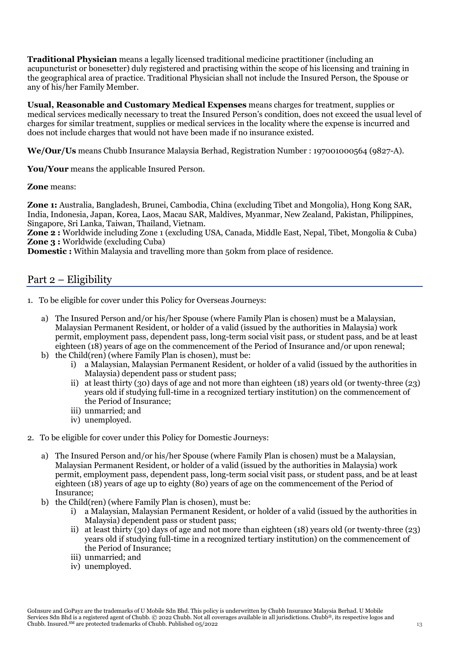**Traditional Physician** means a legally licensed traditional medicine practitioner (including an acupuncturist or bonesetter) duly registered and practising within the scope of his licensing and training in the geographical area of practice. Traditional Physician shall not include the Insured Person, the Spouse or any of his/her Family Member.

**Usual, Reasonable and Customary Medical Expenses** means charges for treatment, supplies or medical services medically necessary to treat the Insured Person's condition, does not exceed the usual level of charges for similar treatment, supplies or medical services in the locality where the expense is incurred and does not include charges that would not have been made if no insurance existed.

**We/Our/Us** means Chubb Insurance Malaysia Berhad, Registration Number : 197001000564 (9827-A).

**You/Your** means the applicable Insured Person.

**Zone** means:

**Zone 1:** Australia, Bangladesh, Brunei, Cambodia, China (excluding Tibet and Mongolia), Hong Kong SAR, India, Indonesia, Japan, Korea, Laos, Macau SAR, Maldives, Myanmar, New Zealand, Pakistan, Philippines, Singapore, Sri Lanka, Taiwan, Thailand, Vietnam.

**Zone 2 :** Worldwide including Zone 1 (excluding USA, Canada, Middle East, Nepal, Tibet, Mongolia & Cuba) **Zone 3 :** Worldwide (excluding Cuba)

**Domestic :** Within Malaysia and travelling more than 50km from place of residence.

# Part 2 – Eligibility

- 1. To be eligible for cover under this Policy for Overseas Journeys:
	- a) The Insured Person and/or his/her Spouse (where Family Plan is chosen) must be a Malaysian, Malaysian Permanent Resident, or holder of a valid (issued by the authorities in Malaysia) work permit, employment pass, dependent pass, long-term social visit pass, or student pass, and be at least eighteen (18) years of age on the commencement of the Period of Insurance and/or upon renewal;
	- b) the Child(ren) (where Family Plan is chosen), must be:
		- i) a Malaysian, Malaysian Permanent Resident, or holder of a valid (issued by the authorities in Malaysia) dependent pass or student pass;
		- ii) at least thirty (30) days of age and not more than eighteen (18) years old (or twenty-three (23) years old if studying full-time in a recognized tertiary institution) on the commencement of the Period of Insurance;
		- iii) unmarried; and
		- iv) unemployed.
- 2. To be eligible for cover under this Policy for Domestic Journeys:
	- a) The Insured Person and/or his/her Spouse (where Family Plan is chosen) must be a Malaysian, Malaysian Permanent Resident, or holder of a valid (issued by the authorities in Malaysia) work permit, employment pass, dependent pass, long-term social visit pass, or student pass, and be at least eighteen (18) years of age up to eighty (80) years of age on the commencement of the Period of Insurance;
	- b) the Child(ren) (where Family Plan is chosen), must be:
		- i) a Malaysian, Malaysian Permanent Resident, or holder of a valid (issued by the authorities in Malaysia) dependent pass or student pass;
		- ii) at least thirty (30) days of age and not more than eighteen (18) years old (or twenty-three (23) years old if studying full-time in a recognized tertiary institution) on the commencement of the Period of Insurance;
		- iii) unmarried; and
		- iv) unemployed.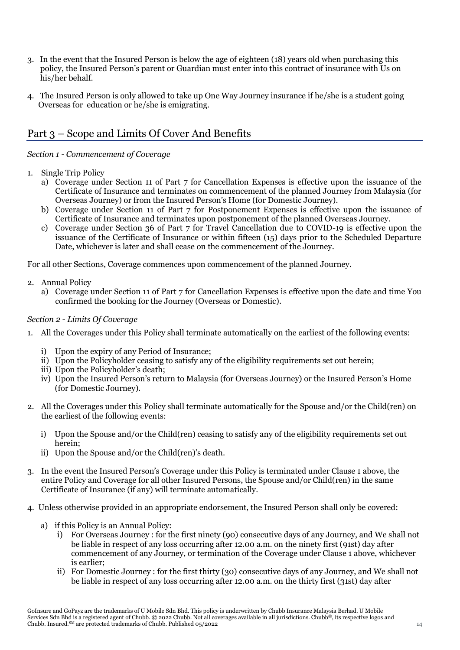- 3. In the event that the Insured Person is below the age of eighteen (18) years old when purchasing this policy, the Insured Person's parent or Guardian must enter into this contract of insurance with Us on his/her behalf.
- 4. The Insured Person is only allowed to take up One Way Journey insurance if he/she is a student going Overseas for education or he/she is emigrating.

# Part 3 – Scope and Limits Of Cover And Benefits

*Section 1 - Commencement of Coverage*

- 1. Single Trip Policy
	- a) Coverage under Section 11 of Part 7 for Cancellation Expenses is effective upon the issuance of the Certificate of Insurance and terminates on commencement of the planned Journey from Malaysia (for Overseas Journey) or from the Insured Person's Home (for Domestic Journey).
	- b) Coverage under Section 11 of Part 7 for Postponement Expenses is effective upon the issuance of Certificate of Insurance and terminates upon postponement of the planned Overseas Journey.
	- c) Coverage under Section 36 of Part 7 for Travel Cancellation due to COVID-19 is effective upon the issuance of the Certificate of Insurance or within fifteen (15) days prior to the Scheduled Departure Date, whichever is later and shall cease on the commencement of the Journey.

For all other Sections, Coverage commences upon commencement of the planned Journey.

- 2. Annual Policy
	- a) Coverage under Section 11 of Part 7 for Cancellation Expenses is effective upon the date and time You confirmed the booking for the Journey (Overseas or Domestic).

## *Section 2 - Limits Of Coverage*

- 1. All the Coverages under this Policy shall terminate automatically on the earliest of the following events:
	- i) Upon the expiry of any Period of Insurance;
	- ii) Upon the Policyholder ceasing to satisfy any of the eligibility requirements set out herein;
	- iii) Upon the Policyholder's death;
	- iv) Upon the Insured Person's return to Malaysia (for Overseas Journey) or the Insured Person's Home (for Domestic Journey).
- 2. All the Coverages under this Policy shall terminate automatically for the Spouse and/or the Child(ren) on the earliest of the following events:
	- i) Upon the Spouse and/or the Child(ren) ceasing to satisfy any of the eligibility requirements set out herein;
	- ii) Upon the Spouse and/or the Child(ren)'s death.
- 3. In the event the Insured Person's Coverage under this Policy is terminated under Clause 1 above, the entire Policy and Coverage for all other Insured Persons, the Spouse and/or Child(ren) in the same Certificate of Insurance (if any) will terminate automatically.
- 4. Unless otherwise provided in an appropriate endorsement, the Insured Person shall only be covered:
	- a) if this Policy is an Annual Policy:
		- i) For Overseas Journey : for the first ninety (90) consecutive days of any Journey, and We shall not be liable in respect of any loss occurring after 12.00 a.m. on the ninety first (91st) day after commencement of any Journey, or termination of the Coverage under Clause 1 above, whichever is earlier;
		- ii) For Domestic Journey : for the first thirty (30) consecutive days of any Journey, and We shall not be liable in respect of any loss occurring after 12.00 a.m. on the thirty first (31st) day after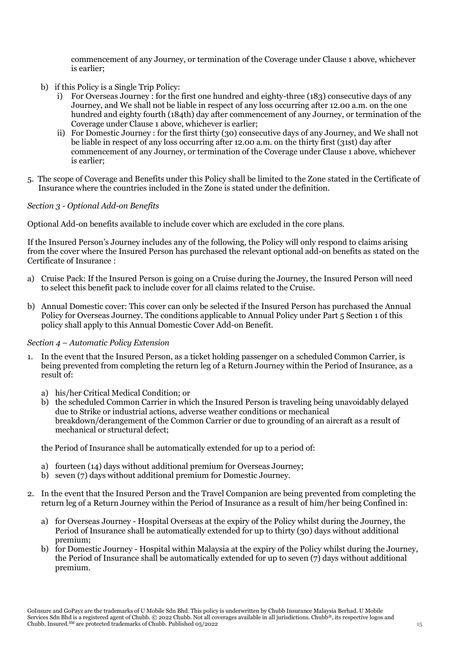commencement of any Journey, or termination of the Coverage under Clause 1 above, whichever is earlier;

- b) if this Policy is a Single Trip Policy:
	- i) For Overseas Journey : for the first one hundred and eighty-three (183) consecutive days of any Journey, and We shall not be liable in respect of any loss occurring after 12.00 a.m. on the one hundred and eighty fourth (184th) day after commencement of any Journey, or termination of the Coverage under Clause 1 above, whichever is earlier;
	- ii) For Domestic Journey : for the first thirty (30) consecutive days of any Journey, and We shall not be liable in respect of any loss occurring after 12.00 a.m. on the thirty first (31st) day after commencement of any Journey, or termination of the Coverage under Clause 1 above, whichever is earlier;
- 5. The scope of Coverage and Benefits under this Policy shall be limited to the Zone stated in the Certificate of Insurance where the countries included in the Zone is stated under the definition.

#### *Section 3 - Optional Add-on Benefits*

Optional Add-on benefits available to include cover which are excluded in the core plans.

If the Insured Person's Journey includes any of the following, the Policy will only respond to claims arising from the cover where the Insured Person has purchased the relevant optional add-on benefits as stated on the Certificate of Insurance :

- a) Cruise Pack: If the Insured Person is going on a Cruise during the Journey, the Insured Person will need to select this benefit pack to include cover for all claims related to the Cruise.
- b) Annual Domestic cover: This cover can only be selected if the Insured Person has purchased the Annual Policy for Overseas Journey. The conditions applicable to Annual Policy under Part 5 Section 1 of this policy shall apply to this Annual Domestic Cover Add-on Benefit.

#### *Section 4 – Automatic Policy Extension*

- 1. In the event that the Insured Person, as a ticket holding passenger on a scheduled Common Carrier, is being prevented from completing the return leg of a Return Journey within the Period of Insurance, as a result of:
	- a) his/her Critical Medical Condition; or
	- b) the scheduled Common Carrier in which the Insured Person is traveling being unavoidably delayed due to Strike or industrial actions, adverse weather conditions or mechanical breakdown/derangement of the Common Carrier or due to grounding of an aircraft as a result of mechanical or structural defect;

the Period of Insurance shall be automatically extended for up to a period of:

- a) fourteen (14) days without additional premium for Overseas Journey;
- b) seven (7) days without additional premium for Domestic Journey.
- 2. In the event that the Insured Person and the Travel Companion are being prevented from completing the return leg of a Return Journey within the Period of Insurance as a result of him/her being Confined in:
	- a) for Overseas Journey Hospital Overseas at the expiry of the Policy whilst during the Journey, the Period of Insurance shall be automatically extended for up to thirty (30) days without additional premium;
	- b) for Domestic Journey Hospital within Malaysia at the expiry of the Policy whilst during the Journey, the Period of Insurance shall be automatically extended for up to seven (7) days without additional premium.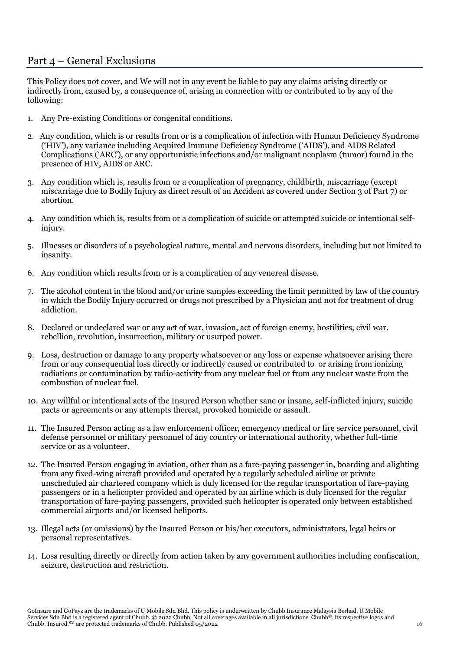# Part 4 – General Exclusions

This Policy does not cover, and We will not in any event be liable to pay any claims arising directly or indirectly from, caused by, a consequence of, arising in connection with or contributed to by any of the following:

- 1. Any Pre-existing Conditions or congenital conditions.
- 2. Any condition, which is or results from or is a complication of infection with Human Deficiency Syndrome ('HIV'), any variance including Acquired Immune Deficiency Syndrome ('AIDS'), and AIDS Related Complications ('ARC'), or any opportunistic infections and/or malignant neoplasm (tumor) found in the presence of HIV, AIDS or ARC.
- 3. Any condition which is, results from or a complication of pregnancy, childbirth, miscarriage (except miscarriage due to Bodily Injury as direct result of an Accident as covered under Section 3 of Part 7) or abortion.
- 4. Any condition which is, results from or a complication of suicide or attempted suicide or intentional selfinjury.
- 5. Illnesses or disorders of a psychological nature, mental and nervous disorders, including but not limited to insanity.
- 6. Any condition which results from or is a complication of any venereal disease.
- 7. The alcohol content in the blood and/or urine samples exceeding the limit permitted by law of the country in which the Bodily Injury occurred or drugs not prescribed by a Physician and not for treatment of drug addiction.
- 8. Declared or undeclared war or any act of war, invasion, act of foreign enemy, hostilities, civil war, rebellion, revolution, insurrection, military or usurped power.
- 9. Loss, destruction or damage to any property whatsoever or any loss or expense whatsoever arising there from or any consequential loss directly or indirectly caused or contributed to or arising from ionizing radiations or contamination by radio-activity from any nuclear fuel or from any nuclear waste from the combustion of nuclear fuel.
- 10. Any willful or intentional acts of the Insured Person whether sane or insane, self-inflicted injury, suicide pacts or agreements or any attempts thereat, provoked homicide or assault.
- 11. The Insured Person acting as a law enforcement officer, emergency medical or fire service personnel, civil defense personnel or military personnel of any country or international authority, whether full-time service or as a volunteer.
- 12. The Insured Person engaging in aviation, other than as a fare-paying passenger in, boarding and alighting from any fixed-wing aircraft provided and operated by a regularly scheduled airline or private unscheduled air chartered company which is duly licensed for the regular transportation of fare-paying passengers or in a helicopter provided and operated by an airline which is duly licensed for the regular transportation of fare-paying passengers, provided such helicopter is operated only between established commercial airports and/or licensed heliports.
- 13. Illegal acts (or omissions) by the Insured Person or his/her executors, administrators, legal heirs or personal representatives.
- 14. Loss resulting directly or directly from action taken by any government authorities including confiscation, seizure, destruction and restriction.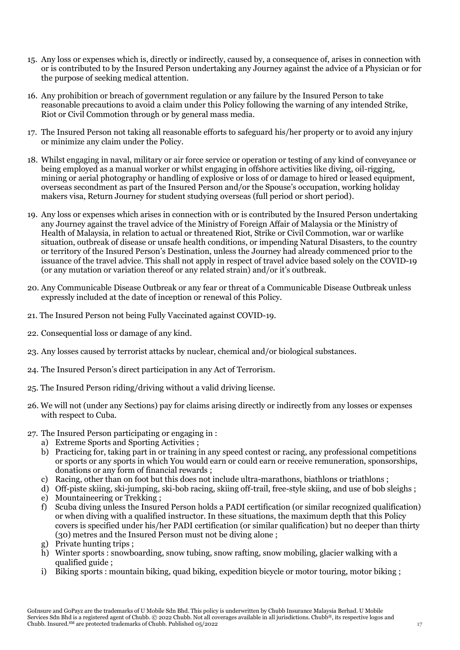- 15. Any loss or expenses which is, directly or indirectly, caused by, a consequence of, arises in connection with or is contributed to by the Insured Person undertaking any Journey against the advice of a Physician or for the purpose of seeking medical attention.
- 16. Any prohibition or breach of government regulation or any failure by the Insured Person to take reasonable precautions to avoid a claim under this Policy following the warning of any intended Strike, Riot or Civil Commotion through or by general mass media.
- 17. The Insured Person not taking all reasonable efforts to safeguard his/her property or to avoid any injury or minimize any claim under the Policy.
- 18. Whilst engaging in naval, military or air force service or operation or testing of any kind of conveyance or being employed as a manual worker or whilst engaging in offshore activities like diving, oil-rigging, mining or aerial photography or handling of explosive or loss of or damage to hired or leased equipment, overseas secondment as part of the Insured Person and/or the Spouse's occupation, working holiday makers visa, Return Journey for student studying overseas (full period or short period).
- 19. Any loss or expenses which arises in connection with or is contributed by the Insured Person undertaking any Journey against the travel advice of the Ministry of Foreign Affair of Malaysia or the Ministry of Health of Malaysia, in relation to actual or threatened Riot, Strike or Civil Commotion, war or warlike situation, outbreak of disease or unsafe health conditions, or impending Natural Disasters, to the country or territory of the Insured Person's Destination, unless the Journey had already commenced prior to the issuance of the travel advice. This shall not apply in respect of travel advice based solely on the COVID-19 (or any mutation or variation thereof or any related strain) and/or it's outbreak.
- 20. Any Communicable Disease Outbreak or any fear or threat of a Communicable Disease Outbreak unless expressly included at the date of inception or renewal of this Policy.
- 21. The Insured Person not being Fully Vaccinated against COVID-19.
- 22. Consequential loss or damage of any kind.
- 23. Any losses caused by terrorist attacks by nuclear, chemical and/or biological substances.
- 24. The Insured Person's direct participation in any Act of Terrorism.
- 25. The Insured Person riding/driving without a valid driving license.
- 26. We will not (under any Sections) pay for claims arising directly or indirectly from any losses or expenses with respect to Cuba.
- 27. The Insured Person participating or engaging in :
	- a) Extreme Sports and Sporting Activities ;
	- b) Practicing for, taking part in or training in any speed contest or racing, any professional competitions or sports or any sports in which You would earn or could earn or receive remuneration, sponsorships, donations or any form of financial rewards ;
	- c) Racing, other than on foot but this does not include ultra-marathons, biathlons or triathlons ;
	- d) Off-piste skiing, ski-jumping, ski-bob racing, skiing off-trail, free-style skiing, and use of bob sleighs ;
	- e) Mountaineering or Trekking ;
	- f) Scuba diving unless the Insured Person holds a PADI certification (or similar recognized qualification) or when diving with a qualified instructor. In these situations, the maximum depth that this Policy covers is specified under his/her PADI certification (or similar qualification) but no deeper than thirty (30) metres and the Insured Person must not be diving alone ;
	- g) Private hunting trips ;
	- h) Winter sports : snowboarding, snow tubing, snow rafting, snow mobiling, glacier walking with a qualified guide ;
	- i) Biking sports : mountain biking, quad biking, expedition bicycle or motor touring, motor biking ;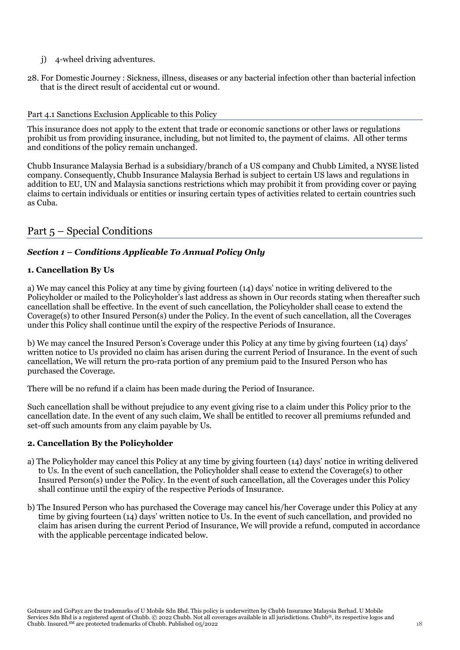- j) 4-wheel driving adventures.
- 28. For Domestic Journey : Sickness, illness, diseases or any bacterial infection other than bacterial infection that is the direct result of accidental cut or wound.

#### Part 4.1 Sanctions Exclusion Applicable to this Policy

This insurance does not apply to the extent that trade or economic sanctions or other laws or regulations prohibit us from providing insurance, including, but not limited to, the payment of claims. All other terms and conditions of the policy remain unchanged.

Chubb Insurance Malaysia Berhad is a subsidiary/branch of a US company and Chubb Limited, a NYSE listed company. Consequently, Chubb Insurance Malaysia Berhad is subject to certain US laws and regulations in addition to EU, UN and Malaysia sanctions restrictions which may prohibit it from providing cover or paying claims to certain individuals or entities or insuring certain types of activities related to certain countries such as Cuba.

# Part 5 – Special Conditions

# *Section 1 – Conditions Applicable To Annual Policy Only*

## **1. Cancellation By Us**

a) We may cancel this Policy at any time by giving fourteen (14) days' notice in writing delivered to the Policyholder or mailed to the Policyholder's last address as shown in Our records stating when thereafter such cancellation shall be effective. In the event of such cancellation, the Policyholder shall cease to extend the Coverage(s) to other Insured Person(s) under the Policy. In the event of such cancellation, all the Coverages under this Policy shall continue until the expiry of the respective Periods of Insurance.

b) We may cancel the Insured Person's Coverage under this Policy at any time by giving fourteen (14) days' written notice to Us provided no claim has arisen during the current Period of Insurance. In the event of such cancellation, We will return the pro-rata portion of any premium paid to the Insured Person who has purchased the Coverage.

There will be no refund if a claim has been made during the Period of Insurance.

Such cancellation shall be without prejudice to any event giving rise to a claim under this Policy prior to the cancellation date. In the event of any such claim, We shall be entitled to recover all premiums refunded and set-off such amounts from any claim payable by Us.

#### **2. Cancellation By the Policyholder**

- a) The Policyholder may cancel this Policy at any time by giving fourteen (14) days' notice in writing delivered to Us. In the event of such cancellation, the Policyholder shall cease to extend the Coverage(s) to other Insured Person(s) under the Policy. In the event of such cancellation, all the Coverages under this Policy shall continue until the expiry of the respective Periods of Insurance.
- b) The Insured Person who has purchased the Coverage may cancel his/her Coverage under this Policy at any time by giving fourteen (14) days' written notice to Us. In the event of such cancellation, and provided no claim has arisen during the current Period of Insurance, We will provide a refund, computed in accordance with the applicable percentage indicated below.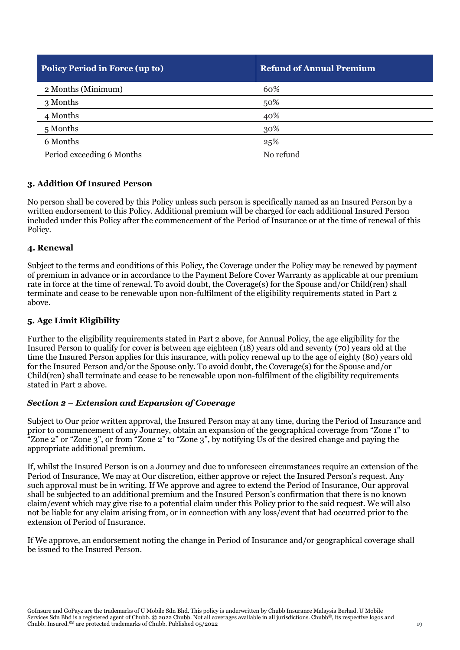| <b>Policy Period in Force (up to)</b> | <b>Refund of Annual Premium</b> |
|---------------------------------------|---------------------------------|
| 2 Months (Minimum)                    | 60%                             |
| 3 Months                              | 50%                             |
| 4 Months                              | 40%                             |
| 5 Months                              | 30%                             |
| 6 Months                              | 25%                             |
| Period exceeding 6 Months             | No refund                       |

# **3. Addition Of Insured Person**

No person shall be covered by this Policy unless such person is specifically named as an Insured Person by a written endorsement to this Policy. Additional premium will be charged for each additional Insured Person included under this Policy after the commencement of the Period of Insurance or at the time of renewal of this Policy.

#### **4. Renewal**

Subject to the terms and conditions of this Policy, the Coverage under the Policy may be renewed by payment of premium in advance or in accordance to the Payment Before Cover Warranty as applicable at our premium rate in force at the time of renewal. To avoid doubt, the Coverage(s) for the Spouse and/or Child(ren) shall terminate and cease to be renewable upon non-fulfilment of the eligibility requirements stated in Part 2 above.

## **5. Age Limit Eligibility**

Further to the eligibility requirements stated in Part 2 above, for Annual Policy, the age eligibility for the Insured Person to qualify for cover is between age eighteen (18) years old and seventy (70) years old at the time the Insured Person applies for this insurance, with policy renewal up to the age of eighty (80) years old for the Insured Person and/or the Spouse only. To avoid doubt, the Coverage(s) for the Spouse and/or Child(ren) shall terminate and cease to be renewable upon non-fulfilment of the eligibility requirements stated in Part 2 above.

#### *Section 2 – Extension and Expansion of Coverage*

Subject to Our prior written approval, the Insured Person may at any time, during the Period of Insurance and prior to commencement of any Journey, obtain an expansion of the geographical coverage from "Zone 1" to "Zone 2" or "Zone 3", or from "Zone 2" to "Zone 3", by notifying Us of the desired change and paying the appropriate additional premium.

If, whilst the Insured Person is on a Journey and due to unforeseen circumstances require an extension of the Period of Insurance, We may at Our discretion, either approve or reject the Insured Person's request. Any such approval must be in writing. If We approve and agree to extend the Period of Insurance, Our approval shall be subjected to an additional premium and the Insured Person's confirmation that there is no known claim/event which may give rise to a potential claim under this Policy prior to the said request. We will also not be liable for any claim arising from, or in connection with any loss/event that had occurred prior to the extension of Period of Insurance.

If We approve, an endorsement noting the change in Period of Insurance and/or geographical coverage shall be issued to the Insured Person.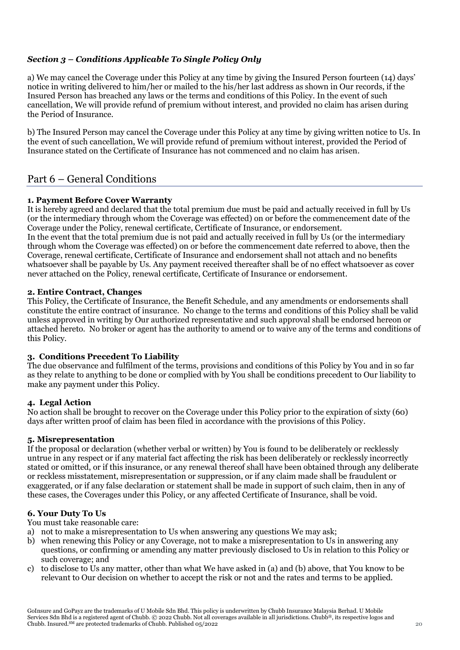# *Section 3 – Conditions Applicable To Single Policy Only*

a) We may cancel the Coverage under this Policy at any time by giving the Insured Person fourteen (14) days' notice in writing delivered to him/her or mailed to the his/her last address as shown in Our records, if the Insured Person has breached any laws or the terms and conditions of this Policy. In the event of such cancellation, We will provide refund of premium without interest, and provided no claim has arisen during the Period of Insurance.

b) The Insured Person may cancel the Coverage under this Policy at any time by giving written notice to Us. In the event of such cancellation, We will provide refund of premium without interest, provided the Period of Insurance stated on the Certificate of Insurance has not commenced and no claim has arisen.

# Part 6 – General Conditions

## **1. Payment Before Cover Warranty**

It is hereby agreed and declared that the total premium due must be paid and actually received in full by Us (or the intermediary through whom the Coverage was effected) on or before the commencement date of the Coverage under the Policy, renewal certificate, Certificate of Insurance, or endorsement. In the event that the total premium due is not paid and actually received in full by Us (or the intermediary through whom the Coverage was effected) on or before the commencement date referred to above, then the Coverage, renewal certificate, Certificate of Insurance and endorsement shall not attach and no benefits whatsoever shall be payable by Us. Any payment received thereafter shall be of no effect whatsoever as cover never attached on the Policy, renewal certificate, Certificate of Insurance or endorsement.

#### **2. Entire Contract, Changes**

This Policy, the Certificate of Insurance, the Benefit Schedule, and any amendments or endorsements shall constitute the entire contract of insurance. No change to the terms and conditions of this Policy shall be valid unless approved in writing by Our authorized representative and such approval shall be endorsed hereon or attached hereto. No broker or agent has the authority to amend or to waive any of the terms and conditions of this Policy.

## **3. Conditions Precedent To Liability**

The due observance and fulfilment of the terms, provisions and conditions of this Policy by You and in so far as they relate to anything to be done or complied with by You shall be conditions precedent to Our liability to make any payment under this Policy.

## **4. Legal Action**

No action shall be brought to recover on the Coverage under this Policy prior to the expiration of sixty (60) days after written proof of claim has been filed in accordance with the provisions of this Policy.

## **5. Misrepresentation**

If the proposal or declaration (whether verbal or written) by You is found to be deliberately or recklessly untrue in any respect or if any material fact affecting the risk has been deliberately or recklessly incorrectly stated or omitted, or if this insurance, or any renewal thereof shall have been obtained through any deliberate or reckless misstatement, misrepresentation or suppression, or if any claim made shall be fraudulent or exaggerated, or if any false declaration or statement shall be made in support of such claim, then in any of these cases, the Coverages under this Policy, or any affected Certificate of Insurance, shall be void.

## **6. Your Duty To Us**

You must take reasonable care:

- a) not to make a misrepresentation to Us when answering any questions We may ask;
- b) when renewing this Policy or any Coverage, not to make a misrepresentation to Us in answering any questions, or confirming or amending any matter previously disclosed to Us in relation to this Policy or such coverage; and
- c) to disclose to Us any matter, other than what We have asked in (a) and (b) above, that You know to be relevant to Our decision on whether to accept the risk or not and the rates and terms to be applied.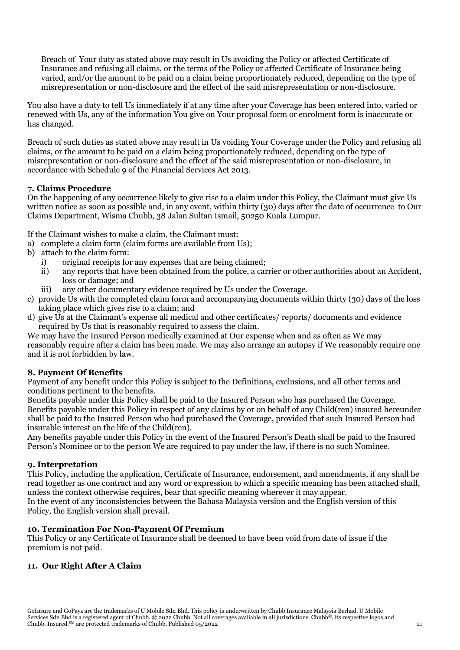Breach of Your duty as stated above may result in Us avoiding the Policy or affected Certificate of Insurance and refusing all claims, or the terms of the Policy or affected Certificate of Insurance being varied, and/or the amount to be paid on a claim being proportionately reduced, depending on the type of misrepresentation or non-disclosure and the effect of the said misrepresentation or non-disclosure.

You also have a duty to tell Us immediately if at any time after your Coverage has been entered into, varied or renewed with Us, any of the information You give on Your proposal form or enrolment form is inaccurate or has changed.

Breach of such duties as stated above may result in Us voiding Your Coverage under the Policy and refusing all claims, or the amount to be paid on a claim being proportionately reduced, depending on the type of misrepresentation or non-disclosure and the effect of the said misrepresentation or non-disclosure, in accordance with Schedule 9 of the Financial Services Act 2013.

## **7. Claims Procedure**

On the happening of any occurrence likely to give rise to a claim under this Policy, the Claimant must give Us written notice as soon as possible and, in any event, within thirty (30) days after the date of occurrence to Our Claims Department, Wisma Chubb, 38 Jalan Sultan Ismail, 50250 Kuala Lumpur.

If the Claimant wishes to make a claim, the Claimant must:

- a) complete a claim form (claim forms are available from Us);
- b) attach to the claim form:
	- i) original receipts for any expenses that are being claimed;
	- ii) any reports that have been obtained from the police, a carrier or other authorities about an Accident, loss or damage; and
	- iii) any other documentary evidence required by Us under the Coverage.
- c) provide Us with the completed claim form and accompanying documents within thirty (30) days of the loss taking place which gives rise to a claim; and
- d) give Us at the Claimant's expense all medical and other certificates/ reports/ documents and evidence required by Us that is reasonably required to assess the claim.

We may have the Insured Person medically examined at Our expense when and as often as We may reasonably require after a claim has been made. We may also arrange an autopsy if We reasonably require one and it is not forbidden by law.

#### **8. Payment Of Benefits**

Payment of any benefit under this Policy is subject to the Definitions, exclusions, and all other terms and conditions pertinent to the benefits.

Benefits payable under this Policy shall be paid to the Insured Person who has purchased the Coverage. Benefits payable under this Policy in respect of any claims by or on behalf of any Child(ren) insured hereunder shall be paid to the Insured Person who had purchased the Coverage, provided that such Insured Person had insurable interest on the life of the Child(ren).

Any benefits payable under this Policy in the event of the Insured Person's Death shall be paid to the Insured Person's Nominee or to the person We are required to pay under the law, if there is no such Nominee.

#### **9. Interpretation**

This Policy, including the application, Certificate of Insurance, endorsement, and amendments, if any shall be read together as one contract and any word or expression to which a specific meaning has been attached shall, unless the context otherwise requires, bear that specific meaning wherever it may appear.

In the event of any inconsistencies between the Bahasa Malaysia version and the English version of this Policy, the English version shall prevail.

#### **10. Termination For Non-Payment Of Premium**

This Policy or any Certificate of Insurance shall be deemed to have been void from date of issue if the premium is not paid.

## **11. Our Right After A Claim**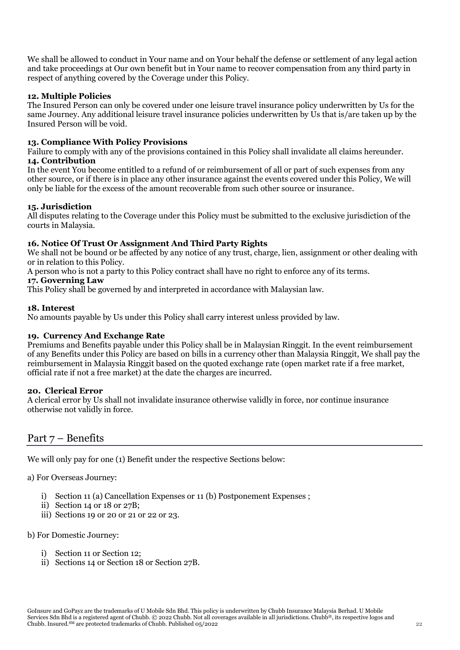We shall be allowed to conduct in Your name and on Your behalf the defense or settlement of any legal action and take proceedings at Our own benefit but in Your name to recover compensation from any third party in respect of anything covered by the Coverage under this Policy.

## **12. Multiple Policies**

The Insured Person can only be covered under one leisure travel insurance policy underwritten by Us for the same Journey. Any additional leisure travel insurance policies underwritten by Us that is/are taken up by the Insured Person will be void.

#### **13. Compliance With Policy Provisions**

Failure to comply with any of the provisions contained in this Policy shall invalidate all claims hereunder. **14. Contribution**

In the event You become entitled to a refund of or reimbursement of all or part of such expenses from any other source, or if there is in place any other insurance against the events covered under this Policy, We will only be liable for the excess of the amount recoverable from such other source or insurance.

#### **15. Jurisdiction**

All disputes relating to the Coverage under this Policy must be submitted to the exclusive jurisdiction of the courts in Malaysia.

#### **16. Notice Of Trust Or Assignment And Third Party Rights**

We shall not be bound or be affected by any notice of any trust, charge, lien, assignment or other dealing with or in relation to this Policy.

A person who is not a party to this Policy contract shall have no right to enforce any of its terms.

#### **17. Governing Law**

This Policy shall be governed by and interpreted in accordance with Malaysian law.

#### **18. Interest**

No amounts payable by Us under this Policy shall carry interest unless provided by law.

#### **19. Currency And Exchange Rate**

Premiums and Benefits payable under this Policy shall be in Malaysian Ringgit. In the event reimbursement of any Benefits under this Policy are based on bills in a currency other than Malaysia Ringgit, We shall pay the reimbursement in Malaysia Ringgit based on the quoted exchange rate (open market rate if a free market, official rate if not a free market) at the date the charges are incurred.

#### **20. Clerical Error**

A clerical error by Us shall not invalidate insurance otherwise validly in force, nor continue insurance otherwise not validly in force.

# Part 7 – Benefits

We will only pay for one (1) Benefit under the respective Sections below:

a) For Overseas Journey:

- i) Section 11 (a) Cancellation Expenses or 11 (b) Postponement Expenses ;
- ii) Section 14 or 18 or 27B;
- iii) Sections 19 or 20 or 21 or 22 or 23.

#### b) For Domestic Journey:

- i) Section 11 or Section 12;
- ii) Sections 14 or Section 18 or Section 27B.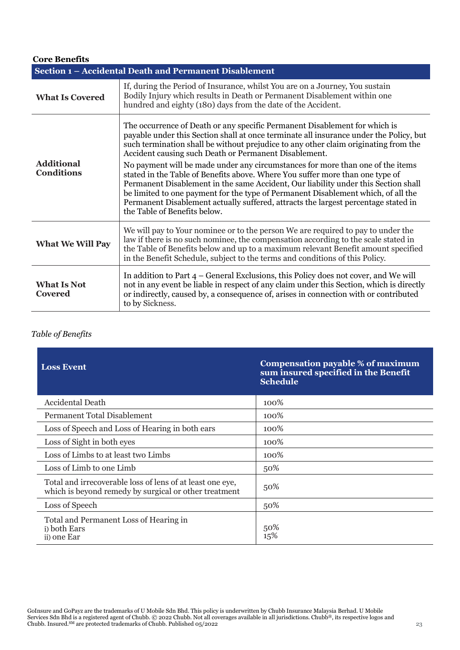| <b>Core Benefits</b>                                   |                                                                                                                                                                                                                                                                                                                                                                                                                                                                                                                                                                                                                                                                                                                                                                                          |  |
|--------------------------------------------------------|------------------------------------------------------------------------------------------------------------------------------------------------------------------------------------------------------------------------------------------------------------------------------------------------------------------------------------------------------------------------------------------------------------------------------------------------------------------------------------------------------------------------------------------------------------------------------------------------------------------------------------------------------------------------------------------------------------------------------------------------------------------------------------------|--|
| Section 1 - Accidental Death and Permanent Disablement |                                                                                                                                                                                                                                                                                                                                                                                                                                                                                                                                                                                                                                                                                                                                                                                          |  |
| <b>What Is Covered</b>                                 | If, during the Period of Insurance, whilst You are on a Journey, You sustain<br>Bodily Injury which results in Death or Permanent Disablement within one<br>hundred and eighty (180) days from the date of the Accident.                                                                                                                                                                                                                                                                                                                                                                                                                                                                                                                                                                 |  |
| <b>Additional</b><br><b>Conditions</b>                 | The occurrence of Death or any specific Permanent Disablement for which is<br>payable under this Section shall at once terminate all insurance under the Policy, but<br>such termination shall be without prejudice to any other claim originating from the<br>Accident causing such Death or Permanent Disablement.<br>No payment will be made under any circumstances for more than one of the items<br>stated in the Table of Benefits above. Where You suffer more than one type of<br>Permanent Disablement in the same Accident, Our liability under this Section shall<br>be limited to one payment for the type of Permanent Disablement which, of all the<br>Permanent Disablement actually suffered, attracts the largest percentage stated in<br>the Table of Benefits below. |  |
| <b>What We Will Pay</b>                                | We will pay to Your nominee or to the person We are required to pay to under the<br>law if there is no such nominee, the compensation according to the scale stated in<br>the Table of Benefits below and up to a maximum relevant Benefit amount specified<br>in the Benefit Schedule, subject to the terms and conditions of this Policy.                                                                                                                                                                                                                                                                                                                                                                                                                                              |  |
| <b>What Is Not</b><br><b>Covered</b>                   | In addition to Part $4$ – General Exclusions, this Policy does not cover, and We will<br>not in any event be liable in respect of any claim under this Section, which is directly<br>or indirectly, caused by, a consequence of, arises in connection with or contributed<br>to by Sickness.                                                                                                                                                                                                                                                                                                                                                                                                                                                                                             |  |

# *Table of Benefits*

| <b>Loss Event</b>                                                                                                  | <b>Compensation payable % of maximum</b><br>sum insured specified in the Benefit<br><b>Schedule</b> |
|--------------------------------------------------------------------------------------------------------------------|-----------------------------------------------------------------------------------------------------|
| <b>Accidental Death</b>                                                                                            | 100\%                                                                                               |
| Permanent Total Disablement                                                                                        | 100%                                                                                                |
| Loss of Speech and Loss of Hearing in both ears                                                                    | 100%                                                                                                |
| Loss of Sight in both eyes                                                                                         | 100%                                                                                                |
| Loss of Limbs to at least two Limbs                                                                                | 100%                                                                                                |
| Loss of Limb to one Limb                                                                                           | 50%                                                                                                 |
| Total and irrecoverable loss of lens of at least one eye,<br>which is beyond remedy by surgical or other treatment | 50%                                                                                                 |
| Loss of Speech                                                                                                     | 50%                                                                                                 |
| Total and Permanent Loss of Hearing in<br>i) both Ears<br>ii) one Ear                                              | 50%<br>15%                                                                                          |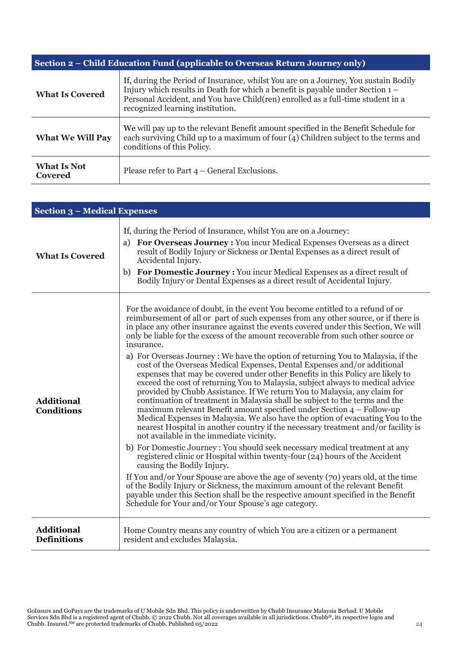| Section 2 – Child Education Fund (applicable to Overseas Return Journey only) |                                                                                                                                                                                                                                                                                                |  |
|-------------------------------------------------------------------------------|------------------------------------------------------------------------------------------------------------------------------------------------------------------------------------------------------------------------------------------------------------------------------------------------|--|
| <b>What Is Covered</b>                                                        | If, during the Period of Insurance, whilst You are on a Journey, You sustain Bodily<br>Injury which results in Death for which a benefit is payable under Section $1 -$<br>Personal Accident, and You have Child(ren) enrolled as a full-time student in a<br>recognized learning institution. |  |
| <b>What We Will Pay</b>                                                       | We will pay up to the relevant Benefit amount specified in the Benefit Schedule for<br>each surviving Child up to a maximum of four (4) Children subject to the terms and<br>conditions of this Policy.                                                                                        |  |
| <b>What Is Not</b><br>Covered                                                 | Please refer to Part $4$ – General Exclusions.                                                                                                                                                                                                                                                 |  |

| <b>Section 3 - Medical Expenses</b>     |                                                                                                                                                                                                                                                                                                                                                                                                                                                                                                                                                                                                                                                                                                                                                                                                                                                                                                                                                                                                                                                                                                                                                                                                                                                                                                                                                                                                                                                                                                                                                                                                                                                                               |  |
|-----------------------------------------|-------------------------------------------------------------------------------------------------------------------------------------------------------------------------------------------------------------------------------------------------------------------------------------------------------------------------------------------------------------------------------------------------------------------------------------------------------------------------------------------------------------------------------------------------------------------------------------------------------------------------------------------------------------------------------------------------------------------------------------------------------------------------------------------------------------------------------------------------------------------------------------------------------------------------------------------------------------------------------------------------------------------------------------------------------------------------------------------------------------------------------------------------------------------------------------------------------------------------------------------------------------------------------------------------------------------------------------------------------------------------------------------------------------------------------------------------------------------------------------------------------------------------------------------------------------------------------------------------------------------------------------------------------------------------------|--|
| <b>What Is Covered</b>                  | If, during the Period of Insurance, whilst You are on a Journey:<br>a) For Overseas Journey : You incur Medical Expenses Overseas as a direct<br>result of Bodily Injury or Sickness or Dental Expenses as a direct result of<br>Accidental Injury.<br>b) For Domestic Journey : You incur Medical Expenses as a direct result of<br>Bodily Injury or Dental Expenses as a direct result of Accidental Injury.                                                                                                                                                                                                                                                                                                                                                                                                                                                                                                                                                                                                                                                                                                                                                                                                                                                                                                                                                                                                                                                                                                                                                                                                                                                                |  |
| <b>Additional</b><br><b>Conditions</b>  | For the avoidance of doubt, in the event You become entitled to a refund of or<br>reimbursement of all or part of such expenses from any other source, or if there is<br>in place any other insurance against the events covered under this Section, We will<br>only be liable for the excess of the amount recoverable from such other source or<br>insurance.<br>a) For Overseas Journey : We have the option of returning You to Malaysia, if the<br>cost of the Overseas Medical Expenses, Dental Expenses and/or additional<br>expenses that may be covered under other Benefits in this Policy are likely to<br>exceed the cost of returning You to Malaysia, subject always to medical advice<br>provided by Chubb Assistance. If We return You to Malaysia, any claim for<br>continuation of treatment in Malaysia shall be subject to the terms and the<br>maximum relevant Benefit amount specified under Section 4 - Follow-up<br>Medical Expenses in Malaysia. We also have the option of evacuating You to the<br>nearest Hospital in another country if the necessary treatment and/or facility is<br>not available in the immediate vicinity.<br>b) For Domestic Journey : You should seek necessary medical treatment at any<br>registered clinic or Hospital within twenty-four (24) hours of the Accident<br>causing the Bodily Injury.<br>If You and/or Your Spouse are above the age of seventy (70) years old, at the time<br>of the Bodily Injury or Sickness, the maximum amount of the relevant Benefit<br>payable under this Section shall be the respective amount specified in the Benefit<br>Schedule for Your and/or Your Spouse's age category. |  |
| <b>Additional</b><br><b>Definitions</b> | Home Country means any country of which You are a citizen or a permanent<br>resident and excludes Malaysia.                                                                                                                                                                                                                                                                                                                                                                                                                                                                                                                                                                                                                                                                                                                                                                                                                                                                                                                                                                                                                                                                                                                                                                                                                                                                                                                                                                                                                                                                                                                                                                   |  |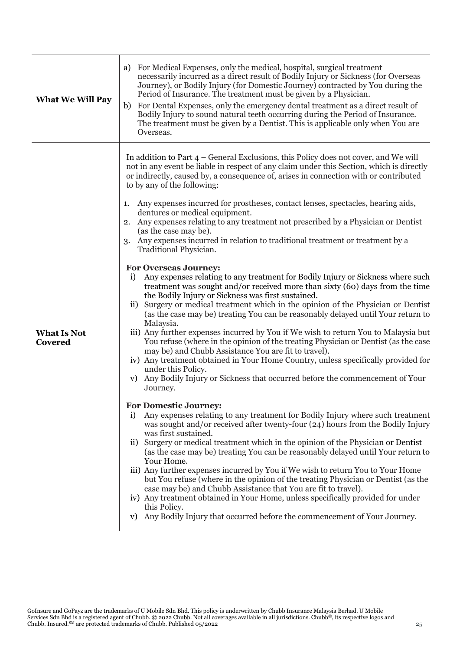| <b>What We Will Pay</b>       | For Medical Expenses, only the medical, hospital, surgical treatment<br>a)<br>necessarily incurred as a direct result of Bodily Injury or Sickness (for Overseas<br>Journey), or Bodily Injury (for Domestic Journey) contracted by You during the<br>Period of Insurance. The treatment must be given by a Physician.<br>For Dental Expenses, only the emergency dental treatment as a direct result of<br>b)<br>Bodily Injury to sound natural teeth occurring during the Period of Insurance.<br>The treatment must be given by a Dentist. This is applicable only when You are<br>Overseas.                                                                                                                                                                                                                                                                                                                                                                                                                                                                                                                                                                                                                                                                                                                                                                                                                                                                                                                                                                                                                                                                                                                                                                                                                                                                                                                                                                                                                                                                                                                                                                                                                                                                                                                                                                                                                                                     |
|-------------------------------|-----------------------------------------------------------------------------------------------------------------------------------------------------------------------------------------------------------------------------------------------------------------------------------------------------------------------------------------------------------------------------------------------------------------------------------------------------------------------------------------------------------------------------------------------------------------------------------------------------------------------------------------------------------------------------------------------------------------------------------------------------------------------------------------------------------------------------------------------------------------------------------------------------------------------------------------------------------------------------------------------------------------------------------------------------------------------------------------------------------------------------------------------------------------------------------------------------------------------------------------------------------------------------------------------------------------------------------------------------------------------------------------------------------------------------------------------------------------------------------------------------------------------------------------------------------------------------------------------------------------------------------------------------------------------------------------------------------------------------------------------------------------------------------------------------------------------------------------------------------------------------------------------------------------------------------------------------------------------------------------------------------------------------------------------------------------------------------------------------------------------------------------------------------------------------------------------------------------------------------------------------------------------------------------------------------------------------------------------------------------------------------------------------------------------------------------------------|
| <b>What Is Not</b><br>Covered | In addition to Part $4$ – General Exclusions, this Policy does not cover, and We will<br>not in any event be liable in respect of any claim under this Section, which is directly<br>or indirectly, caused by, a consequence of, arises in connection with or contributed<br>to by any of the following:<br>Any expenses incurred for prostheses, contact lenses, spectacles, hearing aids,<br>1.<br>dentures or medical equipment.<br>2. Any expenses relating to any treatment not prescribed by a Physician or Dentist<br>(as the case may be).<br>Any expenses incurred in relation to traditional treatment or treatment by a<br>3.<br>Traditional Physician.<br><b>For Overseas Journey:</b><br>Any expenses relating to any treatment for Bodily Injury or Sickness where such<br>$\mathbf{i}$<br>treatment was sought and/or received more than sixty (60) days from the time<br>the Bodily Injury or Sickness was first sustained.<br>Surgery or medical treatment which in the opinion of the Physician or Dentist<br>$\rm ii)$<br>(as the case may be) treating You can be reasonably delayed until Your return to<br>Malaysia.<br>iii) Any further expenses incurred by You if We wish to return You to Malaysia but<br>You refuse (where in the opinion of the treating Physician or Dentist (as the case<br>may be) and Chubb Assistance You are fit to travel).<br>iv) Any treatment obtained in Your Home Country, unless specifically provided for<br>under this Policy.<br>Any Bodily Injury or Sickness that occurred before the commencement of Your<br>V)<br>Journey.<br><b>For Domestic Journey:</b><br>Any expenses relating to any treatment for Bodily Injury where such treatment<br>i)<br>was sought and/or received after twenty-four $(24)$ hours from the Bodily Injury<br>was first sustained.<br>ii) Surgery or medical treatment which in the opinion of the Physician or Dentist<br>(as the case may be) treating You can be reasonably delayed until Your return to<br>Your Home.<br>iii) Any further expenses incurred by You if We wish to return You to Your Home<br>but You refuse (where in the opinion of the treating Physician or Dentist (as the<br>case may be) and Chubb Assistance that You are fit to travel).<br>iv) Any treatment obtained in Your Home, unless specifically provided for under<br>this Policy.<br>Any Bodily Injury that occurred before the commencement of Your Journey.<br>V) |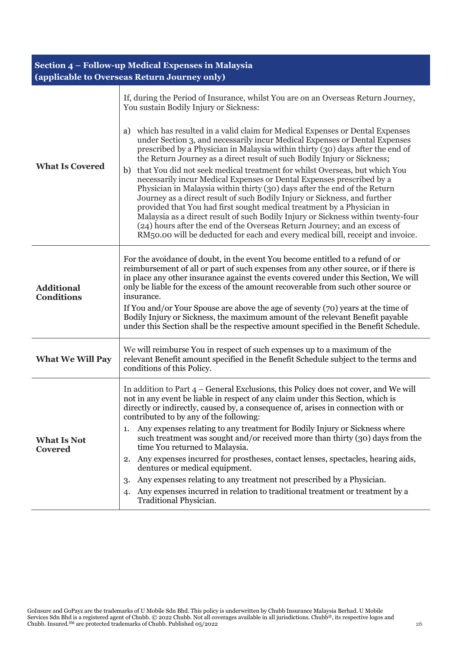# **Section 4 – Follow-up Medical Expenses in Malaysia (applicable to Overseas Return Journey only)**

|                                        | If, during the Period of Insurance, whilst You are on an Overseas Return Journey,<br>You sustain Bodily Injury or Sickness:                                                                                                                                                                                                                                                                                                                                                                                                                                                                                                                                                                                                                                                                                                                                                                                                                                                       |  |  |
|----------------------------------------|-----------------------------------------------------------------------------------------------------------------------------------------------------------------------------------------------------------------------------------------------------------------------------------------------------------------------------------------------------------------------------------------------------------------------------------------------------------------------------------------------------------------------------------------------------------------------------------------------------------------------------------------------------------------------------------------------------------------------------------------------------------------------------------------------------------------------------------------------------------------------------------------------------------------------------------------------------------------------------------|--|--|
| <b>What Is Covered</b>                 | which has resulted in a valid claim for Medical Expenses or Dental Expenses<br>a)<br>under Section 3, and necessarily incur Medical Expenses or Dental Expenses<br>prescribed by a Physician in Malaysia within thirty (30) days after the end of<br>the Return Journey as a direct result of such Bodily Injury or Sickness;<br>that You did not seek medical treatment for whilst Overseas, but which You<br>b)<br>necessarily incur Medical Expenses or Dental Expenses prescribed by a<br>Physician in Malaysia within thirty (30) days after the end of the Return<br>Journey as a direct result of such Bodily Injury or Sickness, and further<br>provided that You had first sought medical treatment by a Physician in<br>Malaysia as a direct result of such Bodily Injury or Sickness within twenty-four<br>(24) hours after the end of the Overseas Return Journey; and an excess of<br>RM50.00 will be deducted for each and every medical bill, receipt and invoice. |  |  |
| <b>Additional</b><br><b>Conditions</b> | For the avoidance of doubt, in the event You become entitled to a refund of or<br>reimbursement of all or part of such expenses from any other source, or if there is<br>in place any other insurance against the events covered under this Section, We will<br>only be liable for the excess of the amount recoverable from such other source or<br>insurance.<br>If You and/or Your Spouse are above the age of seventy (70) years at the time of<br>Bodily Injury or Sickness, the maximum amount of the relevant Benefit payable<br>under this Section shall be the respective amount specified in the Benefit Schedule.                                                                                                                                                                                                                                                                                                                                                      |  |  |
| <b>What We Will Pay</b>                | We will reimburse You in respect of such expenses up to a maximum of the<br>relevant Benefit amount specified in the Benefit Schedule subject to the terms and<br>conditions of this Policy.                                                                                                                                                                                                                                                                                                                                                                                                                                                                                                                                                                                                                                                                                                                                                                                      |  |  |
|                                        | In addition to Part $4$ – General Exclusions, this Policy does not cover, and We will<br>not in any event be liable in respect of any claim under this Section, which is<br>directly or indirectly, caused by, a consequence of, arises in connection with or<br>contributed to by any of the following:                                                                                                                                                                                                                                                                                                                                                                                                                                                                                                                                                                                                                                                                          |  |  |
| <b>What Is Not</b><br><b>Covered</b>   | 1. Any expenses relating to any treatment for Bodily Injury or Sickness where<br>such treatment was sought and/or received more than thirty (30) days from the<br>time You returned to Malaysia.                                                                                                                                                                                                                                                                                                                                                                                                                                                                                                                                                                                                                                                                                                                                                                                  |  |  |
|                                        | Any expenses incurred for prostheses, contact lenses, spectacles, hearing aids,<br>2.<br>dentures or medical equipment.                                                                                                                                                                                                                                                                                                                                                                                                                                                                                                                                                                                                                                                                                                                                                                                                                                                           |  |  |
|                                        | Any expenses relating to any treatment not prescribed by a Physician.<br>3.                                                                                                                                                                                                                                                                                                                                                                                                                                                                                                                                                                                                                                                                                                                                                                                                                                                                                                       |  |  |
|                                        | Any expenses incurred in relation to traditional treatment or treatment by a<br>4.<br>Traditional Physician.                                                                                                                                                                                                                                                                                                                                                                                                                                                                                                                                                                                                                                                                                                                                                                                                                                                                      |  |  |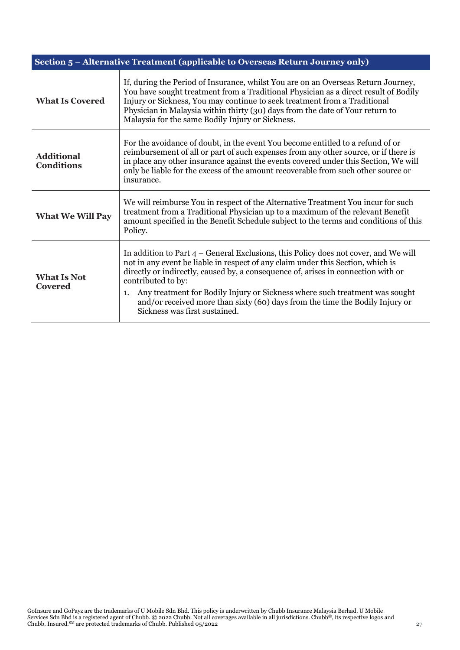| Section 5 - Alternative Treatment (applicable to Overseas Return Journey only) |                                                                                                                                                                                                                                                                                                                                                                                                                                                                                           |  |
|--------------------------------------------------------------------------------|-------------------------------------------------------------------------------------------------------------------------------------------------------------------------------------------------------------------------------------------------------------------------------------------------------------------------------------------------------------------------------------------------------------------------------------------------------------------------------------------|--|
| <b>What Is Covered</b>                                                         | If, during the Period of Insurance, whilst You are on an Overseas Return Journey,<br>You have sought treatment from a Traditional Physician as a direct result of Bodily<br>Injury or Sickness, You may continue to seek treatment from a Traditional<br>Physician in Malaysia within thirty (30) days from the date of Your return to<br>Malaysia for the same Bodily Injury or Sickness.                                                                                                |  |
| <b>Additional</b><br><b>Conditions</b>                                         | For the avoidance of doubt, in the event You become entitled to a refund of or<br>reimbursement of all or part of such expenses from any other source, or if there is<br>in place any other insurance against the events covered under this Section, We will<br>only be liable for the excess of the amount recoverable from such other source or<br>insurance.                                                                                                                           |  |
| <b>What We Will Pay</b>                                                        | We will reimburse You in respect of the Alternative Treatment You incur for such<br>treatment from a Traditional Physician up to a maximum of the relevant Benefit<br>amount specified in the Benefit Schedule subject to the terms and conditions of this<br>Policy.                                                                                                                                                                                                                     |  |
| <b>What Is Not</b><br><b>Covered</b>                                           | In addition to Part $4$ – General Exclusions, this Policy does not cover, and We will<br>not in any event be liable in respect of any claim under this Section, which is<br>directly or indirectly, caused by, a consequence of, arises in connection with or<br>contributed to by:<br>Any treatment for Bodily Injury or Sickness where such treatment was sought<br>1.<br>and/or received more than sixty (60) days from the time the Bodily Injury or<br>Sickness was first sustained. |  |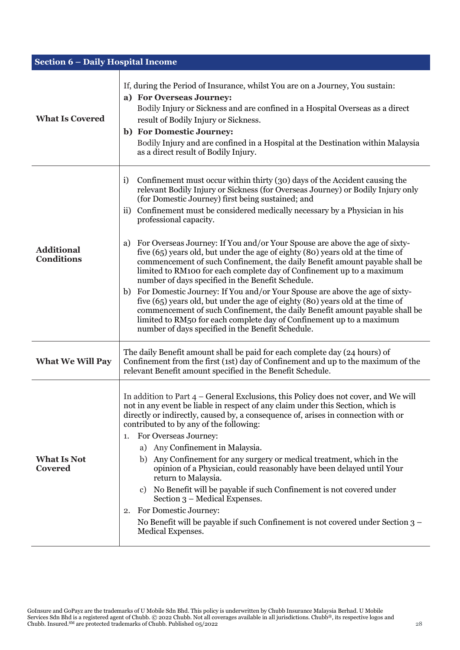| <b>Section 6 - Daily Hospital Income</b> |                                                                                                                                                                                                                                                                                                                                                                                                                                                                                                                                                                                                                                                                                                                                                                                                                                                                                                                                                                                                                                                                                                                    |
|------------------------------------------|--------------------------------------------------------------------------------------------------------------------------------------------------------------------------------------------------------------------------------------------------------------------------------------------------------------------------------------------------------------------------------------------------------------------------------------------------------------------------------------------------------------------------------------------------------------------------------------------------------------------------------------------------------------------------------------------------------------------------------------------------------------------------------------------------------------------------------------------------------------------------------------------------------------------------------------------------------------------------------------------------------------------------------------------------------------------------------------------------------------------|
| <b>What Is Covered</b>                   | If, during the Period of Insurance, whilst You are on a Journey, You sustain:<br>a) For Overseas Journey:<br>Bodily Injury or Sickness and are confined in a Hospital Overseas as a direct<br>result of Bodily Injury or Sickness.<br>b) For Domestic Journey:<br>Bodily Injury and are confined in a Hospital at the Destination within Malaysia<br>as a direct result of Bodily Injury.                                                                                                                                                                                                                                                                                                                                                                                                                                                                                                                                                                                                                                                                                                                          |
| <b>Additional</b><br><b>Conditions</b>   | Confinement must occur within thirty (30) days of the Accident causing the<br>i)<br>relevant Bodily Injury or Sickness (for Overseas Journey) or Bodily Injury only<br>(for Domestic Journey) first being sustained; and<br>Confinement must be considered medically necessary by a Physician in his<br>$\rm ii)$<br>professional capacity.<br>For Overseas Journey: If You and/or Your Spouse are above the age of sixty-<br>a)<br>five (65) years old, but under the age of eighty (80) years old at the time of<br>commencement of such Confinement, the daily Benefit amount payable shall be<br>limited to RM100 for each complete day of Confinement up to a maximum<br>number of days specified in the Benefit Schedule.<br>For Domestic Journey: If You and/or Your Spouse are above the age of sixty-<br>b)<br>five (65) years old, but under the age of eighty (80) years old at the time of<br>commencement of such Confinement, the daily Benefit amount payable shall be<br>limited to RM50 for each complete day of Confinement up to a maximum<br>number of days specified in the Benefit Schedule. |
| <b>What We Will Pay</b>                  | The daily Benefit amount shall be paid for each complete day (24 hours) of<br>Confinement from the first (1st) day of Confinement and up to the maximum of the<br>relevant Benefit amount specified in the Benefit Schedule.                                                                                                                                                                                                                                                                                                                                                                                                                                                                                                                                                                                                                                                                                                                                                                                                                                                                                       |
| <b>What Is Not</b><br><b>Covered</b>     | In addition to Part 4 – General Exclusions, this Policy does not cover, and We will<br>not in any event be liable in respect of any claim under this Section, which is<br>directly or indirectly, caused by, a consequence of, arises in connection with or<br>contributed to by any of the following:<br>For Overseas Journey:<br>1.<br>a) Any Confinement in Malaysia.<br>b) Any Confinement for any surgery or medical treatment, which in the<br>opinion of a Physician, could reasonably have been delayed until Your<br>return to Malaysia.<br>c) No Benefit will be payable if such Confinement is not covered under<br>Section 3 – Medical Expenses.<br>For Domestic Journey:<br>2.<br>No Benefit will be payable if such Confinement is not covered under Section $3 -$<br>Medical Expenses.                                                                                                                                                                                                                                                                                                              |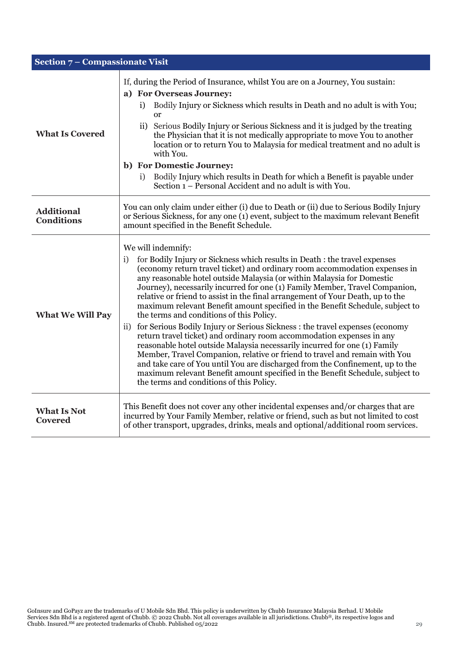| Section 7 - Compassionate Visit        |                                                                                                                                                                                                                                                                                                                                                                                                                                                                                                                                                                                                                                                                                                                                                                                                                                                                                                                                                                                                                                                                                                             |
|----------------------------------------|-------------------------------------------------------------------------------------------------------------------------------------------------------------------------------------------------------------------------------------------------------------------------------------------------------------------------------------------------------------------------------------------------------------------------------------------------------------------------------------------------------------------------------------------------------------------------------------------------------------------------------------------------------------------------------------------------------------------------------------------------------------------------------------------------------------------------------------------------------------------------------------------------------------------------------------------------------------------------------------------------------------------------------------------------------------------------------------------------------------|
| <b>What Is Covered</b>                 | If, during the Period of Insurance, whilst You are on a Journey, You sustain:<br>a) For Overseas Journey:<br>Bodily Injury or Sickness which results in Death and no adult is with You;<br>i)<br><b>or</b><br>Serious Bodily Injury or Serious Sickness and it is judged by the treating<br>$\rm ii)$<br>the Physician that it is not medically appropriate to move You to another<br>location or to return You to Malaysia for medical treatment and no adult is<br>with You.<br>b) For Domestic Journey:<br>Bodily Injury which results in Death for which a Benefit is payable under<br>i)<br>Section 1 – Personal Accident and no adult is with You.                                                                                                                                                                                                                                                                                                                                                                                                                                                    |
| <b>Additional</b><br><b>Conditions</b> | You can only claim under either (i) due to Death or (ii) due to Serious Bodily Injury<br>or Serious Sickness, for any one (1) event, subject to the maximum relevant Benefit<br>amount specified in the Benefit Schedule.                                                                                                                                                                                                                                                                                                                                                                                                                                                                                                                                                                                                                                                                                                                                                                                                                                                                                   |
| <b>What We Will Pay</b>                | We will indemnify:<br>for Bodily Injury or Sickness which results in Death : the travel expenses<br>i)<br>(economy return travel ticket) and ordinary room accommodation expenses in<br>any reasonable hotel outside Malaysia (or within Malaysia for Domestic<br>Journey), necessarily incurred for one (1) Family Member, Travel Companion,<br>relative or friend to assist in the final arrangement of Your Death, up to the<br>maximum relevant Benefit amount specified in the Benefit Schedule, subject to<br>the terms and conditions of this Policy.<br>for Serious Bodily Injury or Serious Sickness : the travel expenses (economy<br>$\rm ii)$<br>return travel ticket) and ordinary room accommodation expenses in any<br>reasonable hotel outside Malaysia necessarily incurred for one (1) Family<br>Member, Travel Companion, relative or friend to travel and remain with You<br>and take care of You until You are discharged from the Confinement, up to the<br>maximum relevant Benefit amount specified in the Benefit Schedule, subject to<br>the terms and conditions of this Policy. |
| <b>What Is Not</b><br><b>Covered</b>   | This Benefit does not cover any other incidental expenses and/or charges that are<br>incurred by Your Family Member, relative or friend, such as but not limited to cost<br>of other transport, upgrades, drinks, meals and optional/additional room services.                                                                                                                                                                                                                                                                                                                                                                                                                                                                                                                                                                                                                                                                                                                                                                                                                                              |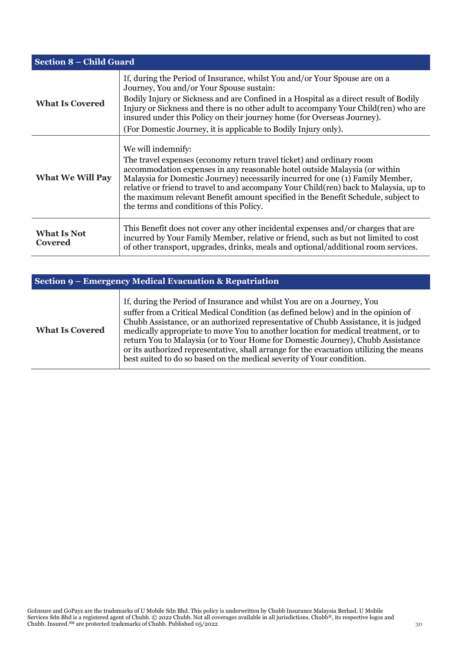| <b>Section 8 – Child Guard</b> |                                                                                                                                                                                                                                                                                                                                                                                                                                                                                      |
|--------------------------------|--------------------------------------------------------------------------------------------------------------------------------------------------------------------------------------------------------------------------------------------------------------------------------------------------------------------------------------------------------------------------------------------------------------------------------------------------------------------------------------|
| <b>What Is Covered</b>         | If, during the Period of Insurance, whilst You and/or Your Spouse are on a<br>Journey, You and/or Your Spouse sustain:<br>Bodily Injury or Sickness and are Confined in a Hospital as a direct result of Bodily<br>Injury or Sickness and there is no other adult to accompany Your Child(ren) who are<br>insured under this Policy on their journey home (for Overseas Journey).<br>(For Domestic Journey, it is applicable to Bodily Injury only).                                 |
| <b>What We Will Pay</b>        | We will indemnify:<br>The travel expenses (economy return travel ticket) and ordinary room<br>accommodation expenses in any reasonable hotel outside Malaysia (or within<br>Malaysia for Domestic Journey) necessarily incurred for one (1) Family Member,<br>relative or friend to travel to and accompany Your Child(ren) back to Malaysia, up to<br>the maximum relevant Benefit amount specified in the Benefit Schedule, subject to<br>the terms and conditions of this Policy. |
| <b>What Is Not</b><br>Covered  | This Benefit does not cover any other incidental expenses and/or charges that are<br>incurred by Your Family Member, relative or friend, such as but not limited to cost<br>of other transport, upgrades, drinks, meals and optional/additional room services.                                                                                                                                                                                                                       |

| Section 9 – Emergency Medical Evacuation & Repatriation |                                                                                                                                                                                                                                                                                                                                                                                                                                                                                                                                                                                                 |
|---------------------------------------------------------|-------------------------------------------------------------------------------------------------------------------------------------------------------------------------------------------------------------------------------------------------------------------------------------------------------------------------------------------------------------------------------------------------------------------------------------------------------------------------------------------------------------------------------------------------------------------------------------------------|
| <b>What Is Covered</b>                                  | If, during the Period of Insurance and whilst You are on a Journey, You<br>suffer from a Critical Medical Condition (as defined below) and in the opinion of<br>Chubb Assistance, or an authorized representative of Chubb Assistance, it is judged<br>medically appropriate to move You to another location for medical treatment, or to<br>return You to Malaysia (or to Your Home for Domestic Journey), Chubb Assistance<br>or its authorized representative, shall arrange for the evacuation utilizing the means<br>best suited to do so based on the medical severity of Your condition. |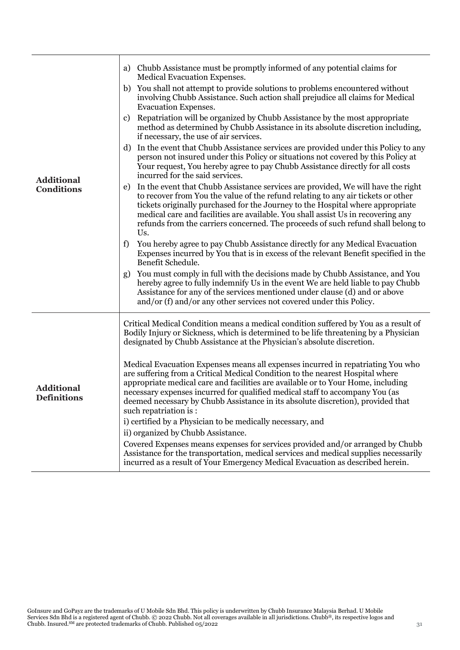| <b>Additional</b><br><b>Conditions</b>  | a) Chubb Assistance must be promptly informed of any potential claims for<br>Medical Evacuation Expenses.<br>b) You shall not attempt to provide solutions to problems encountered without<br>involving Chubb Assistance. Such action shall prejudice all claims for Medical<br><b>Evacuation Expenses.</b><br>Repatriation will be organized by Chubb Assistance by the most appropriate<br>c)<br>method as determined by Chubb Assistance in its absolute discretion including,<br>if necessary, the use of air services.<br>In the event that Chubb Assistance services are provided under this Policy to any<br>d)<br>person not insured under this Policy or situations not covered by this Policy at<br>Your request, You hereby agree to pay Chubb Assistance directly for all costs<br>incurred for the said services.<br>In the event that Chubb Assistance services are provided, We will have the right<br>e)<br>to recover from You the value of the refund relating to any air tickets or other<br>tickets originally purchased for the Journey to the Hospital where appropriate<br>medical care and facilities are available. You shall assist Us in recovering any<br>refunds from the carriers concerned. The proceeds of such refund shall belong to<br>Us.<br>You hereby agree to pay Chubb Assistance directly for any Medical Evacuation<br>f)<br>Expenses incurred by You that is in excess of the relevant Benefit specified in the<br>Benefit Schedule.<br>You must comply in full with the decisions made by Chubb Assistance, and You<br>g)<br>hereby agree to fully indemnify Us in the event We are held liable to pay Chubb<br>Assistance for any of the services mentioned under clause (d) and or above |
|-----------------------------------------|----------------------------------------------------------------------------------------------------------------------------------------------------------------------------------------------------------------------------------------------------------------------------------------------------------------------------------------------------------------------------------------------------------------------------------------------------------------------------------------------------------------------------------------------------------------------------------------------------------------------------------------------------------------------------------------------------------------------------------------------------------------------------------------------------------------------------------------------------------------------------------------------------------------------------------------------------------------------------------------------------------------------------------------------------------------------------------------------------------------------------------------------------------------------------------------------------------------------------------------------------------------------------------------------------------------------------------------------------------------------------------------------------------------------------------------------------------------------------------------------------------------------------------------------------------------------------------------------------------------------------------------------------------------------------------------------------------------------------------------|
| <b>Additional</b><br><b>Definitions</b> | and/or (f) and/or any other services not covered under this Policy.<br>Critical Medical Condition means a medical condition suffered by You as a result of<br>Bodily Injury or Sickness, which is determined to be life threatening by a Physician<br>designated by Chubb Assistance at the Physician's absolute discretion.<br>Medical Evacuation Expenses means all expenses incurred in repatriating You who<br>are suffering from a Critical Medical Condition to the nearest Hospital where<br>appropriate medical care and facilities are available or to Your Home, including<br>necessary expenses incurred for qualified medical staff to accompany You (as<br>deemed necessary by Chubb Assistance in its absolute discretion), provided that<br>such repatriation is :<br>i) certified by a Physician to be medically necessary, and<br>ii) organized by Chubb Assistance.<br>Covered Expenses means expenses for services provided and/or arranged by Chubb<br>Assistance for the transportation, medical services and medical supplies necessarily<br>incurred as a result of Your Emergency Medical Evacuation as described herein.                                                                                                                                                                                                                                                                                                                                                                                                                                                                                                                                                                                      |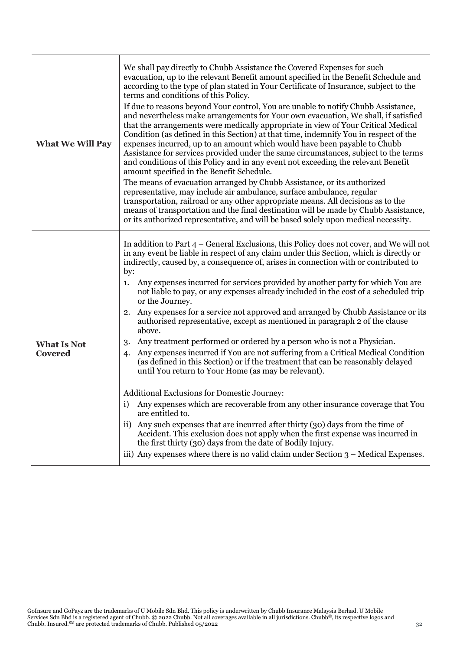| <b>What We Will Pay</b>              | We shall pay directly to Chubb Assistance the Covered Expenses for such<br>evacuation, up to the relevant Benefit amount specified in the Benefit Schedule and<br>according to the type of plan stated in Your Certificate of Insurance, subject to the<br>terms and conditions of this Policy.<br>If due to reasons beyond Your control, You are unable to notify Chubb Assistance,<br>and nevertheless make arrangements for Your own evacuation, We shall, if satisfied<br>that the arrangements were medically appropriate in view of Your Critical Medical<br>Condition (as defined in this Section) at that time, indemnify You in respect of the<br>expenses incurred, up to an amount which would have been payable to Chubb<br>Assistance for services provided under the same circumstances, subject to the terms<br>and conditions of this Policy and in any event not exceeding the relevant Benefit<br>amount specified in the Benefit Schedule.<br>The means of evacuation arranged by Chubb Assistance, or its authorized<br>representative, may include air ambulance, surface ambulance, regular<br>transportation, railroad or any other appropriate means. All decisions as to the<br>means of transportation and the final destination will be made by Chubb Assistance,<br>or its authorized representative, and will be based solely upon medical necessity.                                                                                                   |
|--------------------------------------|--------------------------------------------------------------------------------------------------------------------------------------------------------------------------------------------------------------------------------------------------------------------------------------------------------------------------------------------------------------------------------------------------------------------------------------------------------------------------------------------------------------------------------------------------------------------------------------------------------------------------------------------------------------------------------------------------------------------------------------------------------------------------------------------------------------------------------------------------------------------------------------------------------------------------------------------------------------------------------------------------------------------------------------------------------------------------------------------------------------------------------------------------------------------------------------------------------------------------------------------------------------------------------------------------------------------------------------------------------------------------------------------------------------------------------------------------------------------------------------|
| <b>What Is Not</b><br><b>Covered</b> | In addition to Part $4$ – General Exclusions, this Policy does not cover, and We will not<br>in any event be liable in respect of any claim under this Section, which is directly or<br>indirectly, caused by, a consequence of, arises in connection with or contributed to<br>by:<br>Any expenses incurred for services provided by another party for which You are<br>1.<br>not liable to pay, or any expenses already included in the cost of a scheduled trip<br>or the Journey.<br>Any expenses for a service not approved and arranged by Chubb Assistance or its<br>2.<br>authorised representative, except as mentioned in paragraph 2 of the clause<br>above.<br>Any treatment performed or ordered by a person who is not a Physician.<br>3.<br>Any expenses incurred if You are not suffering from a Critical Medical Condition<br>4.<br>(as defined in this Section) or if the treatment that can be reasonably delayed<br>until You return to Your Home (as may be relevant).<br>Additional Exclusions for Domestic Journey:<br>Any expenses which are recoverable from any other insurance coverage that You<br>are entitled to.<br>Any such expenses that are incurred after thirty (30) days from the time of<br>$\rm ii)$<br>Accident. This exclusion does not apply when the first expense was incurred in<br>the first thirty (30) days from the date of Bodily Injury.<br>iii) Any expenses where there is no valid claim under Section $3$ – Medical Expenses. |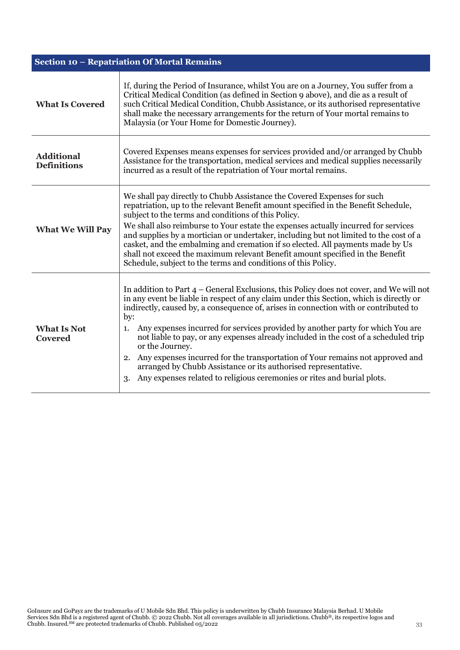| Section 10 – Repatriation Of Mortal Remains |                                                                                                                                                                                                                                                                                                                                                                                                                                                                                                                                                                                                                                                                                                                                 |
|---------------------------------------------|---------------------------------------------------------------------------------------------------------------------------------------------------------------------------------------------------------------------------------------------------------------------------------------------------------------------------------------------------------------------------------------------------------------------------------------------------------------------------------------------------------------------------------------------------------------------------------------------------------------------------------------------------------------------------------------------------------------------------------|
| <b>What Is Covered</b>                      | If, during the Period of Insurance, whilst You are on a Journey, You suffer from a<br>Critical Medical Condition (as defined in Section 9 above), and die as a result of<br>such Critical Medical Condition, Chubb Assistance, or its authorised representative<br>shall make the necessary arrangements for the return of Your mortal remains to<br>Malaysia (or Your Home for Domestic Journey).                                                                                                                                                                                                                                                                                                                              |
| <b>Additional</b><br><b>Definitions</b>     | Covered Expenses means expenses for services provided and/or arranged by Chubb<br>Assistance for the transportation, medical services and medical supplies necessarily<br>incurred as a result of the repatriation of Your mortal remains.                                                                                                                                                                                                                                                                                                                                                                                                                                                                                      |
| <b>What We Will Pay</b>                     | We shall pay directly to Chubb Assistance the Covered Expenses for such<br>repatriation, up to the relevant Benefit amount specified in the Benefit Schedule,<br>subject to the terms and conditions of this Policy.<br>We shall also reimburse to Your estate the expenses actually incurred for services<br>and supplies by a mortician or undertaker, including but not limited to the cost of a<br>casket, and the embalming and cremation if so elected. All payments made by Us<br>shall not exceed the maximum relevant Benefit amount specified in the Benefit<br>Schedule, subject to the terms and conditions of this Policy.                                                                                         |
| <b>What Is Not</b><br><b>Covered</b>        | In addition to Part $4$ – General Exclusions, this Policy does not cover, and We will not<br>in any event be liable in respect of any claim under this Section, which is directly or<br>indirectly, caused by, a consequence of, arises in connection with or contributed to<br>by:<br>Any expenses incurred for services provided by another party for which You are<br>1.<br>not liable to pay, or any expenses already included in the cost of a scheduled trip<br>or the Journey.<br>Any expenses incurred for the transportation of Your remains not approved and<br>2.<br>arranged by Chubb Assistance or its authorised representative.<br>Any expenses related to religious ceremonies or rites and burial plots.<br>3. |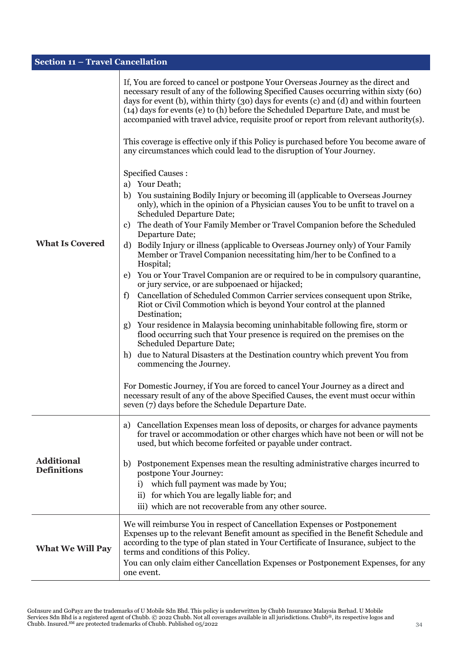| <b>Section 11 - Travel Cancellation</b> |                                                                                                                                                                                                                                                                                                                                                                                                                                                                                                                                                                                                                                                                                                                                                                                                                                                                                                                                                                                                                                                                                                                                                                                                                                                                                                                                                                                                                                                                                                                                                                                                                                                                                                                                                                                                       |
|-----------------------------------------|-------------------------------------------------------------------------------------------------------------------------------------------------------------------------------------------------------------------------------------------------------------------------------------------------------------------------------------------------------------------------------------------------------------------------------------------------------------------------------------------------------------------------------------------------------------------------------------------------------------------------------------------------------------------------------------------------------------------------------------------------------------------------------------------------------------------------------------------------------------------------------------------------------------------------------------------------------------------------------------------------------------------------------------------------------------------------------------------------------------------------------------------------------------------------------------------------------------------------------------------------------------------------------------------------------------------------------------------------------------------------------------------------------------------------------------------------------------------------------------------------------------------------------------------------------------------------------------------------------------------------------------------------------------------------------------------------------------------------------------------------------------------------------------------------------|
| <b>What Is Covered</b>                  | If, You are forced to cancel or postpone Your Overseas Journey as the direct and<br>necessary result of any of the following Specified Causes occurring within sixty (60)<br>days for event (b), within thirty (30) days for events (c) and (d) and within fourteen<br>(14) days for events (e) to (h) before the Scheduled Departure Date, and must be<br>accompanied with travel advice, requisite proof or report from relevant authority(s).<br>This coverage is effective only if this Policy is purchased before You become aware of<br>any circumstances which could lead to the disruption of Your Journey.<br><b>Specified Causes:</b><br>a) Your Death;<br>b) You sustaining Bodily Injury or becoming ill (applicable to Overseas Journey<br>only), which in the opinion of a Physician causes You to be unfit to travel on a<br><b>Scheduled Departure Date;</b><br>The death of Your Family Member or Travel Companion before the Scheduled<br>c)<br>Departure Date;<br>Bodily Injury or illness (applicable to Overseas Journey only) of Your Family<br>d)<br>Member or Travel Companion necessitating him/her to be Confined to a<br>Hospital;<br>You or Your Travel Companion are or required to be in compulsory quarantine,<br>e)<br>or jury service, or are subpoenaed or hijacked;<br>Cancellation of Scheduled Common Carrier services consequent upon Strike,<br>f)<br>Riot or Civil Commotion which is beyond Your control at the planned<br>Destination;<br>Your residence in Malaysia becoming uninhabitable following fire, storm or<br>g)<br>flood occurring such that Your presence is required on the premises on the<br><b>Scheduled Departure Date;</b><br>due to Natural Disasters at the Destination country which prevent You from<br>h)<br>commencing the Journey. |
|                                         | For Domestic Journey, if You are forced to cancel Your Journey as a direct and<br>necessary result of any of the above Specified Causes, the event must occur within<br>seven (7) days before the Schedule Departure Date.                                                                                                                                                                                                                                                                                                                                                                                                                                                                                                                                                                                                                                                                                                                                                                                                                                                                                                                                                                                                                                                                                                                                                                                                                                                                                                                                                                                                                                                                                                                                                                            |
|                                         |                                                                                                                                                                                                                                                                                                                                                                                                                                                                                                                                                                                                                                                                                                                                                                                                                                                                                                                                                                                                                                                                                                                                                                                                                                                                                                                                                                                                                                                                                                                                                                                                                                                                                                                                                                                                       |
|                                         | Cancellation Expenses mean loss of deposits, or charges for advance payments<br>a)<br>for travel or accommodation or other charges which have not been or will not be<br>used, but which become forfeited or payable under contract.                                                                                                                                                                                                                                                                                                                                                                                                                                                                                                                                                                                                                                                                                                                                                                                                                                                                                                                                                                                                                                                                                                                                                                                                                                                                                                                                                                                                                                                                                                                                                                  |
| <b>Additional</b><br><b>Definitions</b> | Postponement Expenses mean the resulting administrative charges incurred to<br>b)<br>postpone Your Journey:<br>which full payment was made by You;<br>i)                                                                                                                                                                                                                                                                                                                                                                                                                                                                                                                                                                                                                                                                                                                                                                                                                                                                                                                                                                                                                                                                                                                                                                                                                                                                                                                                                                                                                                                                                                                                                                                                                                              |
|                                         | for which You are legally liable for; and<br>$\rm ii)$                                                                                                                                                                                                                                                                                                                                                                                                                                                                                                                                                                                                                                                                                                                                                                                                                                                                                                                                                                                                                                                                                                                                                                                                                                                                                                                                                                                                                                                                                                                                                                                                                                                                                                                                                |
|                                         | iii) which are not recoverable from any other source.                                                                                                                                                                                                                                                                                                                                                                                                                                                                                                                                                                                                                                                                                                                                                                                                                                                                                                                                                                                                                                                                                                                                                                                                                                                                                                                                                                                                                                                                                                                                                                                                                                                                                                                                                 |
| <b>What We Will Pay</b>                 | We will reimburse You in respect of Cancellation Expenses or Postponement<br>Expenses up to the relevant Benefit amount as specified in the Benefit Schedule and<br>according to the type of plan stated in Your Certificate of Insurance, subject to the<br>terms and conditions of this Policy.<br>You can only claim either Cancellation Expenses or Postponement Expenses, for any<br>one event.                                                                                                                                                                                                                                                                                                                                                                                                                                                                                                                                                                                                                                                                                                                                                                                                                                                                                                                                                                                                                                                                                                                                                                                                                                                                                                                                                                                                  |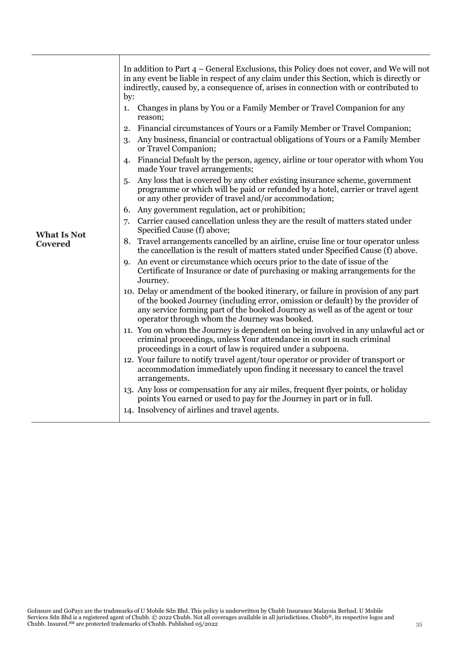|                    | In addition to Part $4$ – General Exclusions, this Policy does not cover, and We will not<br>in any event be liable in respect of any claim under this Section, which is directly or<br>indirectly, caused by, a consequence of, arises in connection with or contributed to<br>by:                       |
|--------------------|-----------------------------------------------------------------------------------------------------------------------------------------------------------------------------------------------------------------------------------------------------------------------------------------------------------|
|                    | Changes in plans by You or a Family Member or Travel Companion for any<br>1.<br>reason;                                                                                                                                                                                                                   |
|                    | Financial circumstances of Yours or a Family Member or Travel Companion;<br>2.                                                                                                                                                                                                                            |
|                    | Any business, financial or contractual obligations of Yours or a Family Member<br>3.<br>or Travel Companion;                                                                                                                                                                                              |
|                    | Financial Default by the person, agency, airline or tour operator with whom You<br>4.<br>made Your travel arrangements;                                                                                                                                                                                   |
|                    | Any loss that is covered by any other existing insurance scheme, government<br>.5.<br>programme or which will be paid or refunded by a hotel, carrier or travel agent<br>or any other provider of travel and/or accommodation;                                                                            |
|                    | Any government regulation, act or prohibition;<br>6.                                                                                                                                                                                                                                                      |
| <b>What Is Not</b> | Carrier caused cancellation unless they are the result of matters stated under<br>7.<br>Specified Cause (f) above;                                                                                                                                                                                        |
| <b>Covered</b>     | 8. Travel arrangements cancelled by an airline, cruise line or tour operator unless<br>the cancellation is the result of matters stated under Specified Cause (f) above.                                                                                                                                  |
|                    | An event or circumstance which occurs prior to the date of issue of the<br>9.<br>Certificate of Insurance or date of purchasing or making arrangements for the<br>Journey.                                                                                                                                |
|                    | 10. Delay or amendment of the booked itinerary, or failure in provision of any part<br>of the booked Journey (including error, omission or default) by the provider of<br>any service forming part of the booked Journey as well as of the agent or tour<br>operator through whom the Journey was booked. |
|                    | 11. You on whom the Journey is dependent on being involved in any unlawful act or<br>criminal proceedings, unless Your attendance in court in such criminal<br>proceedings in a court of law is required under a subpoena.                                                                                |
|                    | 12. Your failure to notify travel agent/tour operator or provider of transport or<br>accommodation immediately upon finding it necessary to cancel the travel<br>arrangements.                                                                                                                            |
|                    | 13. Any loss or compensation for any air miles, frequent flyer points, or holiday<br>points You earned or used to pay for the Journey in part or in full.                                                                                                                                                 |
|                    | 14. Insolvency of airlines and travel agents.                                                                                                                                                                                                                                                             |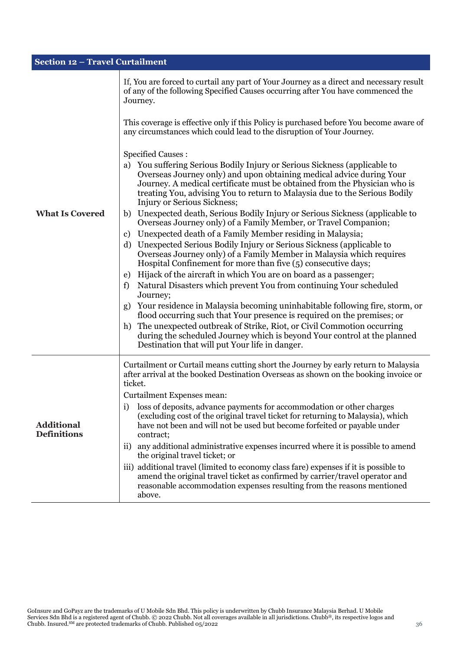| <b>Section 12 - Travel Curtailment</b>  |                                                                                                                                                                                                                                                                                                                                                                                                                                                                                                                                                                                                                                                                                                                                                                                                                                                                                                                                                                                                                                                                                                                                                                                                                                                                                                                         |  |
|-----------------------------------------|-------------------------------------------------------------------------------------------------------------------------------------------------------------------------------------------------------------------------------------------------------------------------------------------------------------------------------------------------------------------------------------------------------------------------------------------------------------------------------------------------------------------------------------------------------------------------------------------------------------------------------------------------------------------------------------------------------------------------------------------------------------------------------------------------------------------------------------------------------------------------------------------------------------------------------------------------------------------------------------------------------------------------------------------------------------------------------------------------------------------------------------------------------------------------------------------------------------------------------------------------------------------------------------------------------------------------|--|
|                                         | If, You are forced to curtail any part of Your Journey as a direct and necessary result<br>of any of the following Specified Causes occurring after You have commenced the<br>Journey.                                                                                                                                                                                                                                                                                                                                                                                                                                                                                                                                                                                                                                                                                                                                                                                                                                                                                                                                                                                                                                                                                                                                  |  |
|                                         | This coverage is effective only if this Policy is purchased before You become aware of<br>any circumstances which could lead to the disruption of Your Journey.                                                                                                                                                                                                                                                                                                                                                                                                                                                                                                                                                                                                                                                                                                                                                                                                                                                                                                                                                                                                                                                                                                                                                         |  |
| <b>What Is Covered</b>                  | <b>Specified Causes:</b><br>You suffering Serious Bodily Injury or Serious Sickness (applicable to<br>a)<br>Overseas Journey only) and upon obtaining medical advice during Your<br>Journey. A medical certificate must be obtained from the Physician who is<br>treating You, advising You to return to Malaysia due to the Serious Bodily<br>Injury or Serious Sickness;<br>Unexpected death, Serious Bodily Injury or Serious Sickness (applicable to<br>b)<br>Overseas Journey only) of a Family Member, or Travel Companion;<br>Unexpected death of a Family Member residing in Malaysia;<br>c)<br>Unexpected Serious Bodily Injury or Serious Sickness (applicable to<br>d)<br>Overseas Journey only) of a Family Member in Malaysia which requires<br>Hospital Confinement for more than five (5) consecutive days;<br>Hijack of the aircraft in which You are on board as a passenger;<br>e)<br>Natural Disasters which prevent You from continuing Your scheduled<br>f)<br>Journey;<br>Your residence in Malaysia becoming uninhabitable following fire, storm, or<br>g)<br>flood occurring such that Your presence is required on the premises; or<br>The unexpected outbreak of Strike, Riot, or Civil Commotion occurring<br>h)<br>during the scheduled Journey which is beyond Your control at the planned |  |
|                                         | Destination that will put Your life in danger.                                                                                                                                                                                                                                                                                                                                                                                                                                                                                                                                                                                                                                                                                                                                                                                                                                                                                                                                                                                                                                                                                                                                                                                                                                                                          |  |
| <b>Additional</b><br><b>Definitions</b> | Curtailment or Curtail means cutting short the Journey by early return to Malaysia<br>after arrival at the booked Destination Overseas as shown on the booking invoice or<br>ticket.<br>Curtailment Expenses mean:<br>loss of deposits, advance payments for accommodation or other charges<br>1)<br>(excluding cost of the original travel ticket for returning to Malaysia), which<br>have not been and will not be used but become forfeited or payable under<br>contract;<br>any additional administrative expenses incurred where it is possible to amend<br>$\rm ii)$<br>the original travel ticket; or<br>iii) additional travel (limited to economy class fare) expenses if it is possible to<br>amend the original travel ticket as confirmed by carrier/travel operator and<br>reasonable accommodation expenses resulting from the reasons mentioned<br>above.                                                                                                                                                                                                                                                                                                                                                                                                                                               |  |

l.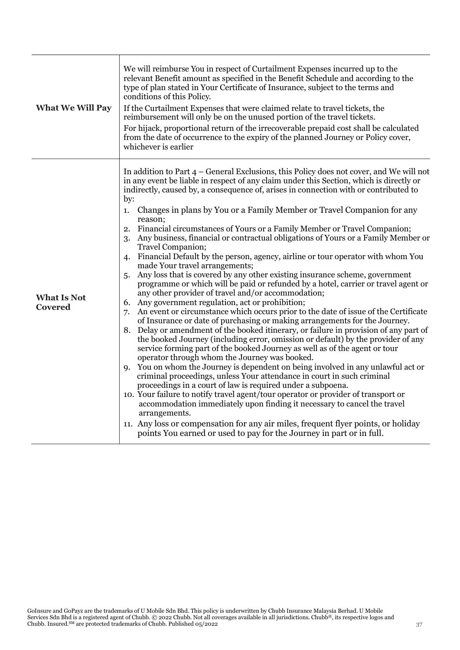| <b>What We Will Pay</b>              | We will reimburse You in respect of Curtailment Expenses incurred up to the<br>relevant Benefit amount as specified in the Benefit Schedule and according to the<br>type of plan stated in Your Certificate of Insurance, subject to the terms and<br>conditions of this Policy.<br>If the Curtailment Expenses that were claimed relate to travel tickets, the<br>reimbursement will only be on the unused portion of the travel tickets.<br>For hijack, proportional return of the irrecoverable prepaid cost shall be calculated<br>from the date of occurrence to the expiry of the planned Journey or Policy cover,<br>whichever is earlier                                                                                                                                                                                                                                                                                                                                                                                                                                                                                                                                                                                                                                                                                                                                                                                                                                                                                                                                                                                                                                                                                                                                                                                                                                                                                                                                                                                                                           |
|--------------------------------------|----------------------------------------------------------------------------------------------------------------------------------------------------------------------------------------------------------------------------------------------------------------------------------------------------------------------------------------------------------------------------------------------------------------------------------------------------------------------------------------------------------------------------------------------------------------------------------------------------------------------------------------------------------------------------------------------------------------------------------------------------------------------------------------------------------------------------------------------------------------------------------------------------------------------------------------------------------------------------------------------------------------------------------------------------------------------------------------------------------------------------------------------------------------------------------------------------------------------------------------------------------------------------------------------------------------------------------------------------------------------------------------------------------------------------------------------------------------------------------------------------------------------------------------------------------------------------------------------------------------------------------------------------------------------------------------------------------------------------------------------------------------------------------------------------------------------------------------------------------------------------------------------------------------------------------------------------------------------------------------------------------------------------------------------------------------------------|
| <b>What Is Not</b><br><b>Covered</b> | In addition to Part $4$ – General Exclusions, this Policy does not cover, and We will not<br>in any event be liable in respect of any claim under this Section, which is directly or<br>indirectly, caused by, a consequence of, arises in connection with or contributed to<br>by:<br>Changes in plans by You or a Family Member or Travel Companion for any<br>1.<br>reason;<br>Financial circumstances of Yours or a Family Member or Travel Companion;<br>2.<br>Any business, financial or contractual obligations of Yours or a Family Member or<br>3.<br>Travel Companion;<br>Financial Default by the person, agency, airline or tour operator with whom You<br>4.<br>made Your travel arrangements;<br>Any loss that is covered by any other existing insurance scheme, government<br>5.<br>programme or which will be paid or refunded by a hotel, carrier or travel agent or<br>any other provider of travel and/or accommodation;<br>6. Any government regulation, act or prohibition;<br>An event or circumstance which occurs prior to the date of issue of the Certificate<br>7.<br>of Insurance or date of purchasing or making arrangements for the Journey.<br>Delay or amendment of the booked itinerary, or failure in provision of any part of<br>8.<br>the booked Journey (including error, omission or default) by the provider of any<br>service forming part of the booked Journey as well as of the agent or tour<br>operator through whom the Journey was booked.<br>You on whom the Journey is dependent on being involved in any unlawful act or<br>9.<br>criminal proceedings, unless Your attendance in court in such criminal<br>proceedings in a court of law is required under a subpoena.<br>10. Your failure to notify travel agent/tour operator or provider of transport or<br>accommodation immediately upon finding it necessary to cancel the travel<br>arrangements.<br>11. Any loss or compensation for any air miles, frequent flyer points, or holiday<br>points You earned or used to pay for the Journey in part or in full. |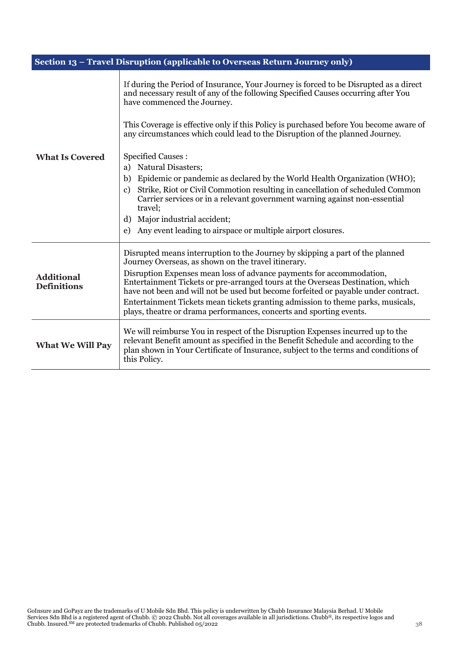|                                         | Section 13 - Travel Disruption (applicable to Overseas Return Journey only)                                                                                                                                                                                                                                                                                                                                                                                                                                                                                                                                                                                                                                                                                                                                                             |  |
|-----------------------------------------|-----------------------------------------------------------------------------------------------------------------------------------------------------------------------------------------------------------------------------------------------------------------------------------------------------------------------------------------------------------------------------------------------------------------------------------------------------------------------------------------------------------------------------------------------------------------------------------------------------------------------------------------------------------------------------------------------------------------------------------------------------------------------------------------------------------------------------------------|--|
| <b>What Is Covered</b>                  | If during the Period of Insurance, Your Journey is forced to be Disrupted as a direct<br>and necessary result of any of the following Specified Causes occurring after You<br>have commenced the Journey.<br>This Coverage is effective only if this Policy is purchased before You become aware of<br>any circumstances which could lead to the Disruption of the planned Journey.<br><b>Specified Causes:</b><br><b>Natural Disasters;</b><br>a)<br>Epidemic or pandemic as declared by the World Health Organization (WHO);<br>b)<br>Strike, Riot or Civil Commotion resulting in cancellation of scheduled Common<br>$\mathbf{c}$<br>Carrier services or in a relevant government warning against non-essential<br>travel;<br>Major industrial accident;<br>d)<br>Any event leading to airspace or multiple airport closures.<br>e) |  |
| <b>Additional</b><br><b>Definitions</b> | Disrupted means interruption to the Journey by skipping a part of the planned<br>Journey Overseas, as shown on the travel itinerary.<br>Disruption Expenses mean loss of advance payments for accommodation,<br>Entertainment Tickets or pre-arranged tours at the Overseas Destination, which<br>have not been and will not be used but become forfeited or payable under contract.<br>Entertainment Tickets mean tickets granting admission to theme parks, musicals,<br>plays, theatre or drama performances, concerts and sporting events.                                                                                                                                                                                                                                                                                          |  |
| <b>What We Will Pay</b>                 | We will reimburse You in respect of the Disruption Expenses incurred up to the<br>relevant Benefit amount as specified in the Benefit Schedule and according to the<br>plan shown in Your Certificate of Insurance, subject to the terms and conditions of<br>this Policy.                                                                                                                                                                                                                                                                                                                                                                                                                                                                                                                                                              |  |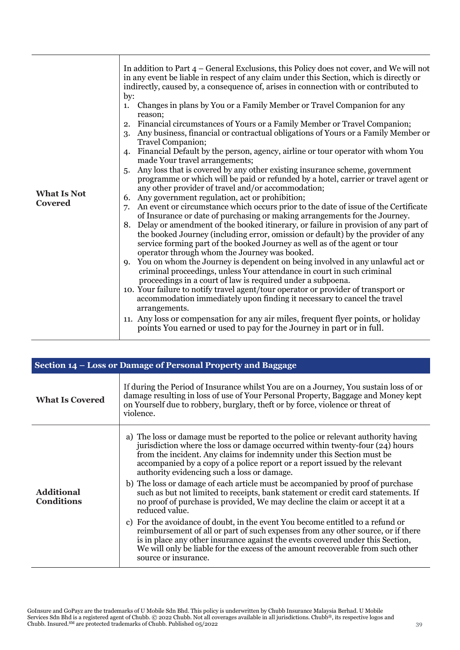| <b>What Is Not</b><br><b>Covered</b> | In addition to Part $4$ – General Exclusions, this Policy does not cover, and We will not<br>in any event be liable in respect of any claim under this Section, which is directly or<br>indirectly, caused by, a consequence of, arises in connection with or contributed to<br>by:<br>Changes in plans by You or a Family Member or Travel Companion for any<br>1.<br>reason;<br>Financial circumstances of Yours or a Family Member or Travel Companion;<br>2.<br>Any business, financial or contractual obligations of Yours or a Family Member or<br>3.<br>Travel Companion;<br>Financial Default by the person, agency, airline or tour operator with whom You<br>$\mathbf{4}$<br>made Your travel arrangements;<br>Any loss that is covered by any other existing insurance scheme, government<br>5.<br>programme or which will be paid or refunded by a hotel, carrier or travel agent or<br>any other provider of travel and/or accommodation;<br>Any government regulation, act or prohibition;<br>6.<br>An event or circumstance which occurs prior to the date of issue of the Certificate<br>7.<br>of Insurance or date of purchasing or making arrangements for the Journey.<br>Delay or amendment of the booked itinerary, or failure in provision of any part of<br>8.<br>the booked Journey (including error, omission or default) by the provider of any<br>service forming part of the booked Journey as well as of the agent or tour<br>operator through whom the Journey was booked.<br>You on whom the Journey is dependent on being involved in any unlawful act or<br>$Q_{\star}$<br>criminal proceedings, unless Your attendance in court in such criminal |
|--------------------------------------|------------------------------------------------------------------------------------------------------------------------------------------------------------------------------------------------------------------------------------------------------------------------------------------------------------------------------------------------------------------------------------------------------------------------------------------------------------------------------------------------------------------------------------------------------------------------------------------------------------------------------------------------------------------------------------------------------------------------------------------------------------------------------------------------------------------------------------------------------------------------------------------------------------------------------------------------------------------------------------------------------------------------------------------------------------------------------------------------------------------------------------------------------------------------------------------------------------------------------------------------------------------------------------------------------------------------------------------------------------------------------------------------------------------------------------------------------------------------------------------------------------------------------------------------------------------------------------------------------------------------------------------------------------------------------------|
|                                      | proceedings in a court of law is required under a subpoena.<br>10. Your failure to notify travel agent/tour operator or provider of transport or<br>accommodation immediately upon finding it necessary to cancel the travel<br>arrangements.                                                                                                                                                                                                                                                                                                                                                                                                                                                                                                                                                                                                                                                                                                                                                                                                                                                                                                                                                                                                                                                                                                                                                                                                                                                                                                                                                                                                                                      |
|                                      | 11. Any loss or compensation for any air miles, frequent flyer points, or holiday<br>points You earned or used to pay for the Journey in part or in full.                                                                                                                                                                                                                                                                                                                                                                                                                                                                                                                                                                                                                                                                                                                                                                                                                                                                                                                                                                                                                                                                                                                                                                                                                                                                                                                                                                                                                                                                                                                          |

| Section 14 - Loss or Damage of Personal Property and Baggage |                                                                                                                                                                                                                                                                                                                                                                                                                                                                                                                                                                                                                                                                                                                                                                                                                                                                                                                                                                                                                       |
|--------------------------------------------------------------|-----------------------------------------------------------------------------------------------------------------------------------------------------------------------------------------------------------------------------------------------------------------------------------------------------------------------------------------------------------------------------------------------------------------------------------------------------------------------------------------------------------------------------------------------------------------------------------------------------------------------------------------------------------------------------------------------------------------------------------------------------------------------------------------------------------------------------------------------------------------------------------------------------------------------------------------------------------------------------------------------------------------------|
| <b>What Is Covered</b>                                       | If during the Period of Insurance whilst You are on a Journey, You sustain loss of or<br>damage resulting in loss of use of Your Personal Property, Baggage and Money kept<br>on Yourself due to robbery, burglary, theft or by force, violence or threat of<br>violence.                                                                                                                                                                                                                                                                                                                                                                                                                                                                                                                                                                                                                                                                                                                                             |
| <b>Additional</b><br><b>Conditions</b>                       | a) The loss or damage must be reported to the police or relevant authority having<br>jurisdiction where the loss or damage occurred within twenty-four (24) hours<br>from the incident. Any claims for indemnity under this Section must be<br>accompanied by a copy of a police report or a report issued by the relevant<br>authority evidencing such a loss or damage.<br>b) The loss or damage of each article must be accompanied by proof of purchase<br>such as but not limited to receipts, bank statement or credit card statements. If<br>no proof of purchase is provided. We may decline the claim or accept it at a<br>reduced value.<br>c) For the avoidance of doubt, in the event You become entitled to a refund or<br>reimbursement of all or part of such expenses from any other source, or if there<br>is in place any other insurance against the events covered under this Section,<br>We will only be liable for the excess of the amount recoverable from such other<br>source or insurance. |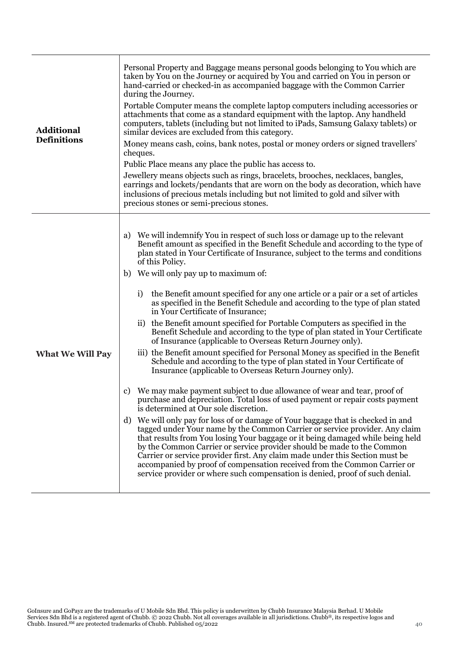| <b>Additional</b><br><b>Definitions</b> | Personal Property and Baggage means personal goods belonging to You which are<br>taken by You on the Journey or acquired by You and carried on You in person or<br>hand-carried or checked-in as accompanied baggage with the Common Carrier<br>during the Journey.<br>Portable Computer means the complete laptop computers including accessories or<br>attachments that come as a standard equipment with the laptop. Any handheld<br>computers, tablets (including but not limited to iPads, Samsung Galaxy tablets) or<br>similar devices are excluded from this category.<br>Money means cash, coins, bank notes, postal or money orders or signed travellers'<br>cheques.<br>Public Place means any place the public has access to.<br>Jewellery means objects such as rings, bracelets, brooches, necklaces, bangles,<br>earrings and lockets/pendants that are worn on the body as decoration, which have<br>inclusions of precious metals including but not limited to gold and silver with<br>precious stones or semi-precious stones.                                                                                                                                                                                                                                                                                                                                                                                                                                                                                                                                                                                                                                                                                                                                          |
|-----------------------------------------|-------------------------------------------------------------------------------------------------------------------------------------------------------------------------------------------------------------------------------------------------------------------------------------------------------------------------------------------------------------------------------------------------------------------------------------------------------------------------------------------------------------------------------------------------------------------------------------------------------------------------------------------------------------------------------------------------------------------------------------------------------------------------------------------------------------------------------------------------------------------------------------------------------------------------------------------------------------------------------------------------------------------------------------------------------------------------------------------------------------------------------------------------------------------------------------------------------------------------------------------------------------------------------------------------------------------------------------------------------------------------------------------------------------------------------------------------------------------------------------------------------------------------------------------------------------------------------------------------------------------------------------------------------------------------------------------------------------------------------------------------------------------------------------------|
| <b>What We Will Pay</b>                 | We will indemnify You in respect of such loss or damage up to the relevant<br>a)<br>Benefit amount as specified in the Benefit Schedule and according to the type of<br>plan stated in Your Certificate of Insurance, subject to the terms and conditions<br>of this Policy.<br>We will only pay up to maximum of:<br>b)<br>the Benefit amount specified for any one article or a pair or a set of articles<br>i)<br>as specified in the Benefit Schedule and according to the type of plan stated<br>in Your Certificate of Insurance;<br>ii) the Benefit amount specified for Portable Computers as specified in the<br>Benefit Schedule and according to the type of plan stated in Your Certificate<br>of Insurance (applicable to Overseas Return Journey only).<br>iii) the Benefit amount specified for Personal Money as specified in the Benefit<br>Schedule and according to the type of plan stated in Your Certificate of<br>Insurance (applicable to Overseas Return Journey only).<br>We may make payment subject to due allowance of wear and tear, proof of<br>C)<br>purchase and depreciation. Total loss of used payment or repair costs payment<br>is determined at Our sole discretion.<br>We will only pay for loss of or damage of Your baggage that is checked in and<br>d)<br>tagged under Your name by the Common Carrier or service provider. Any claim<br>that results from You losing Your baggage or it being damaged while being held<br>by the Common Carrier or service provider should be made to the Common<br>Carrier or service provider first. Any claim made under this Section must be<br>accompanied by proof of compensation received from the Common Carrier or<br>service provider or where such compensation is denied, proof of such denial. |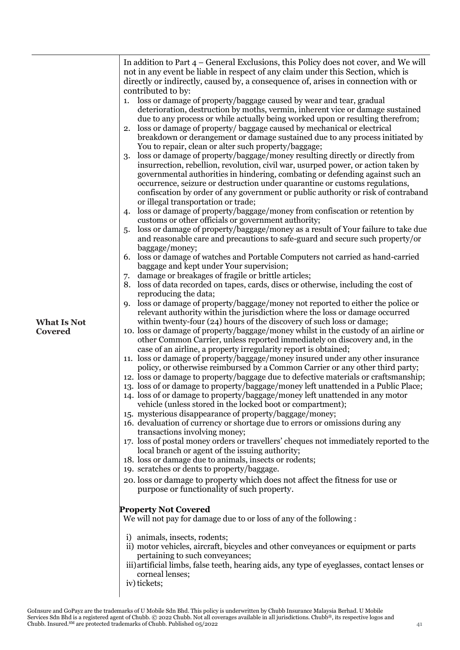| <b>What Is Not</b><br><b>Covered</b> | In addition to Part $4$ – General Exclusions, this Policy does not cover, and We will<br>not in any event be liable in respect of any claim under this Section, which is<br>directly or indirectly, caused by, a consequence of, arises in connection with or<br>contributed to by:<br>1. loss or damage of property/baggage caused by wear and tear, gradual<br>deterioration, destruction by moths, vermin, inherent vice or damage sustained<br>due to any process or while actually being worked upon or resulting therefrom;<br>loss or damage of property/ baggage caused by mechanical or electrical<br>2.<br>breakdown or derangement or damage sustained due to any process initiated by<br>You to repair, clean or alter such property/baggage;<br>loss or damage of property/baggage/money resulting directly or directly from<br>3.<br>insurrection, rebellion, revolution, civil war, usurped power, or action taken by<br>governmental authorities in hindering, combating or defending against such an<br>occurrence, seizure or destruction under quarantine or customs regulations,<br>confiscation by order of any government or public authority or risk of contraband<br>or illegal transportation or trade;<br>loss or damage of property/baggage/money from confiscation or retention by<br>$\overline{4}$<br>customs or other officials or government authority;<br>loss or damage of property/baggage/money as a result of Your failure to take due<br>5.<br>and reasonable care and precautions to safe-guard and secure such property/or<br>baggage/money;<br>loss or damage of watches and Portable Computers not carried as hand-carried<br>6.<br>baggage and kept under Your supervision;<br>damage or breakages of fragile or brittle articles;<br>7.<br>loss of data recorded on tapes, cards, discs or otherwise, including the cost of<br>8.<br>reproducing the data;<br>loss or damage of property/baggage/money not reported to either the police or<br>9.<br>relevant authority within the jurisdiction where the loss or damage occurred<br>within twenty-four (24) hours of the discovery of such loss or damage;<br>10. loss or damage of property/baggage/money whilst in the custody of an airline or<br>other Common Carrier, unless reported immediately on discovery and, in the<br>case of an airline, a property irregularity report is obtained;<br>11. loss or damage of property/baggage/money insured under any other insurance<br>policy, or otherwise reimbursed by a Common Carrier or any other third party;<br>12. loss or damage to property/baggage due to defective materials or craftsmanship;<br>13. loss of or damage to property/baggage/money left unattended in a Public Place;<br>14. loss of or damage to property/baggage/money left unattended in any motor<br>vehicle (unless stored in the locked boot or compartment);<br>15. mysterious disappearance of property/baggage/money;<br>16. devaluation of currency or shortage due to errors or omissions during any<br>transactions involving money;<br>17. loss of postal money orders or travellers' cheques not immediately reported to the<br>local branch or agent of the issuing authority;<br>18. loss or damage due to animals, insects or rodents;<br>19. scratches or dents to property/baggage.<br>20. loss or damage to property which does not affect the fitness for use or<br>purpose or functionality of such property.<br><b>Property Not Covered</b><br>We will not pay for damage due to or loss of any of the following :<br>i) animals, insects, rodents;<br>ii) motor vehicles, aircraft, bicycles and other conveyances or equipment or parts<br>pertaining to such conveyances;<br>iii) artificial limbs, false teeth, hearing aids, any type of eyeglasses, contact lenses or |
|--------------------------------------|------------------------------------------------------------------------------------------------------------------------------------------------------------------------------------------------------------------------------------------------------------------------------------------------------------------------------------------------------------------------------------------------------------------------------------------------------------------------------------------------------------------------------------------------------------------------------------------------------------------------------------------------------------------------------------------------------------------------------------------------------------------------------------------------------------------------------------------------------------------------------------------------------------------------------------------------------------------------------------------------------------------------------------------------------------------------------------------------------------------------------------------------------------------------------------------------------------------------------------------------------------------------------------------------------------------------------------------------------------------------------------------------------------------------------------------------------------------------------------------------------------------------------------------------------------------------------------------------------------------------------------------------------------------------------------------------------------------------------------------------------------------------------------------------------------------------------------------------------------------------------------------------------------------------------------------------------------------------------------------------------------------------------------------------------------------------------------------------------------------------------------------------------------------------------------------------------------------------------------------------------------------------------------------------------------------------------------------------------------------------------------------------------------------------------------------------------------------------------------------------------------------------------------------------------------------------------------------------------------------------------------------------------------------------------------------------------------------------------------------------------------------------------------------------------------------------------------------------------------------------------------------------------------------------------------------------------------------------------------------------------------------------------------------------------------------------------------------------------------------------------------------------------------------------------------------------------------------------------------------------------------------------------------------------------------------------------------------------------------------------------------------------------------------------------------------------------------------------------------------------------------------------------------------------------------------------------------------------------------------------------------------------------------------------------------------------------------------------------------------------------------------------------------------------------------------------------|
|                                      | corneal lenses;<br>iv) tickets;                                                                                                                                                                                                                                                                                                                                                                                                                                                                                                                                                                                                                                                                                                                                                                                                                                                                                                                                                                                                                                                                                                                                                                                                                                                                                                                                                                                                                                                                                                                                                                                                                                                                                                                                                                                                                                                                                                                                                                                                                                                                                                                                                                                                                                                                                                                                                                                                                                                                                                                                                                                                                                                                                                                                                                                                                                                                                                                                                                                                                                                                                                                                                                                                                                                                                                                                                                                                                                                                                                                                                                                                                                                                                                                                                                                              |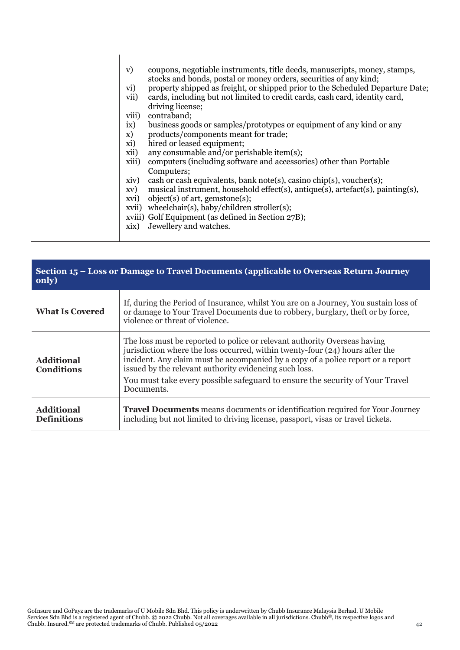| V)    | coupons, negotiable instruments, title deeds, manuscripts, money, stamps,<br>stocks and bonds, postal or money orders, securities of any kind; |
|-------|------------------------------------------------------------------------------------------------------------------------------------------------|
| vi)   | property shipped as freight, or shipped prior to the Scheduled Departure Date;                                                                 |
| vii)  | cards, including but not limited to credit cards, cash card, identity card,<br>driving license;                                                |
| viii) | contraband;                                                                                                                                    |
| ix)   | business goods or samples/prototypes or equipment of any kind or any                                                                           |
| X)    | products/components meant for trade;                                                                                                           |
| xi)   | hired or leased equipment;                                                                                                                     |
| xii)  | any consumable and/or perishable item(s);                                                                                                      |
| xiii) | computers (including software and accessories) other than Portable<br>Computers;                                                               |
| xiv)  | cash or cash equivalents, bank note(s), casino chip(s), voucher(s);                                                                            |
| XV)   | musical instrument, household effect(s), antique(s), artefact(s), painting(s),                                                                 |
| xvi)  | object(s) of art, gemstone(s);                                                                                                                 |
|       | xvii) wheelchair(s), baby/children stroller(s);                                                                                                |
|       | xviii) Golf Equipment (as defined in Section 27B);                                                                                             |
| xix)  | Jewellery and watches.                                                                                                                         |
|       |                                                                                                                                                |

| Section 15 – Loss or Damage to Travel Documents (applicable to Overseas Return Journey<br>only) |                                                                                                                                                                                                                                                                                                                                                                                                        |  |
|-------------------------------------------------------------------------------------------------|--------------------------------------------------------------------------------------------------------------------------------------------------------------------------------------------------------------------------------------------------------------------------------------------------------------------------------------------------------------------------------------------------------|--|
| <b>What Is Covered</b>                                                                          | If, during the Period of Insurance, whilst You are on a Journey, You sustain loss of<br>or damage to Your Travel Documents due to robbery, burglary, theft or by force,<br>violence or threat of violence.                                                                                                                                                                                             |  |
| <b>Additional</b><br><b>Conditions</b>                                                          | The loss must be reported to police or relevant authority Overseas having<br>jurisdiction where the loss occurred, within twenty-four (24) hours after the<br>incident. Any claim must be accompanied by a copy of a police report or a report<br>issued by the relevant authority evidencing such loss.<br>You must take every possible safeguard to ensure the security of Your Travel<br>Documents. |  |
| <b>Additional</b><br><b>Definitions</b>                                                         | <b>Travel Documents</b> means documents or identification required for Your Journey<br>including but not limited to driving license, passport, visas or travel tickets.                                                                                                                                                                                                                                |  |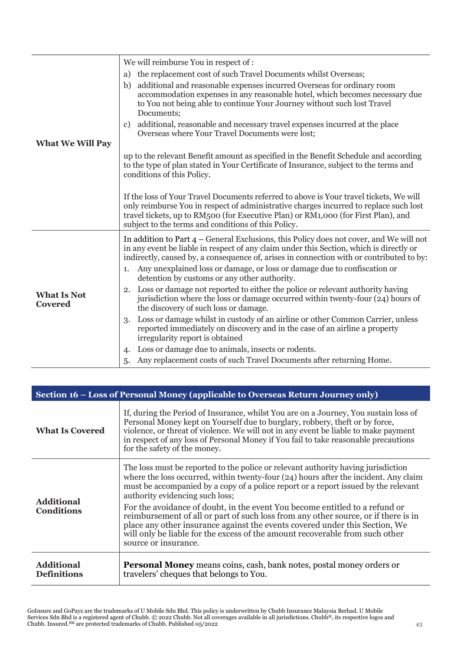|                                      | We will reimburse You in respect of :                                                                                                                                                                                                                                                                                       |
|--------------------------------------|-----------------------------------------------------------------------------------------------------------------------------------------------------------------------------------------------------------------------------------------------------------------------------------------------------------------------------|
|                                      | the replacement cost of such Travel Documents whilst Overseas;<br>a)                                                                                                                                                                                                                                                        |
|                                      | additional and reasonable expenses incurred Overseas for ordinary room<br>b)<br>accommodation expenses in any reasonable hotel, which becomes necessary due<br>to You not being able to continue Your Journey without such lost Travel<br>Documents;                                                                        |
| <b>What We Will Pay</b>              | additional, reasonable and necessary travel expenses incurred at the place<br>C)<br>Overseas where Your Travel Documents were lost;                                                                                                                                                                                         |
|                                      | up to the relevant Benefit amount as specified in the Benefit Schedule and according<br>to the type of plan stated in Your Certificate of Insurance, subject to the terms and<br>conditions of this Policy.                                                                                                                 |
|                                      | If the loss of Your Travel Documents referred to above is Your travel tickets, We will<br>only reimburse You in respect of administrative charges incurred to replace such lost<br>travel tickets, up to RM500 (for Executive Plan) or RM1,000 (for First Plan), and<br>subject to the terms and conditions of this Policy. |
|                                      | In addition to Part $4$ – General Exclusions, this Policy does not cover, and We will not<br>in any event be liable in respect of any claim under this Section, which is directly or<br>indirectly, caused by, a consequence of, arises in connection with or contributed to by:                                            |
|                                      | Any unexplained loss or damage, or loss or damage due to confiscation or<br>1.<br>detention by customs or any other authority.                                                                                                                                                                                              |
| <b>What Is Not</b><br><b>Covered</b> | Loss or damage not reported to either the police or relevant authority having<br>2.<br>jurisdiction where the loss or damage occurred within twenty-four (24) hours of<br>the discovery of such loss or damage.                                                                                                             |
|                                      | Loss or damage whilst in custody of an airline or other Common Carrier, unless<br>3.<br>reported immediately on discovery and in the case of an airline a property<br>irregularity report is obtained                                                                                                                       |
|                                      | Loss or damage due to animals, insects or rodents.<br>4.                                                                                                                                                                                                                                                                    |
|                                      | Any replacement costs of such Travel Documents after returning Home.<br>5.                                                                                                                                                                                                                                                  |

| Section 16 – Loss of Personal Money (applicable to Overseas Return Journey only) |                                                                                                                                                                                                                                                                                                                                                                                                                                                                                                                                                                                                                                                                   |
|----------------------------------------------------------------------------------|-------------------------------------------------------------------------------------------------------------------------------------------------------------------------------------------------------------------------------------------------------------------------------------------------------------------------------------------------------------------------------------------------------------------------------------------------------------------------------------------------------------------------------------------------------------------------------------------------------------------------------------------------------------------|
| <b>What Is Covered</b>                                                           | If, during the Period of Insurance, whilst You are on a Journey, You sustain loss of<br>Personal Money kept on Yourself due to burglary, robbery, theft or by force,<br>violence, or threat of violence. We will not in any event be liable to make payment<br>in respect of any loss of Personal Money if You fail to take reasonable precautions<br>for the safety of the money.                                                                                                                                                                                                                                                                                |
| <b>Additional</b><br><b>Conditions</b>                                           | The loss must be reported to the police or relevant authority having jurisdiction<br>where the loss occurred, within twenty-four $(24)$ hours after the incident. Any claim<br>must be accompanied by a copy of a police report or a report issued by the relevant<br>authority evidencing such loss;<br>For the avoidance of doubt, in the event You become entitled to a refund or<br>reimbursement of all or part of such loss from any other source, or if there is in<br>place any other insurance against the events covered under this Section, We<br>will only be liable for the excess of the amount recoverable from such other<br>source or insurance. |
| <b>Additional</b><br><b>Definitions</b>                                          | <b>Personal Money</b> means coins, cash, bank notes, postal money orders or<br>travelers' cheques that belongs to You.                                                                                                                                                                                                                                                                                                                                                                                                                                                                                                                                            |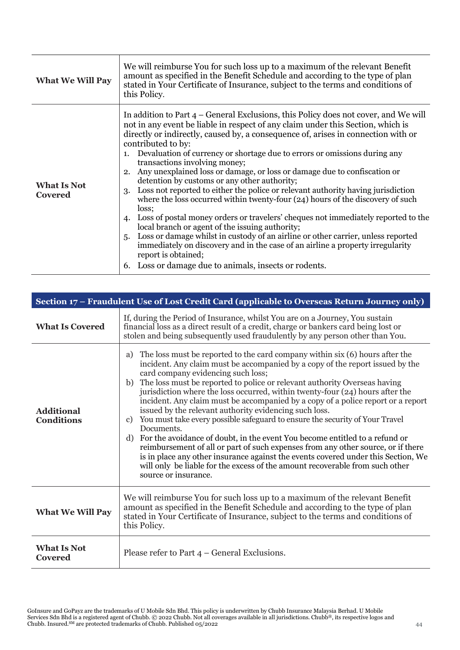| <b>What We Will Pay</b>       | We will reimburse You for such loss up to a maximum of the relevant Benefit<br>amount as specified in the Benefit Schedule and according to the type of plan<br>stated in Your Certificate of Insurance, subject to the terms and conditions of<br>this Policy.                                                                                                                                                                                                                                                                                                                                                                                                                                                                                                                                                                                                                                                                                                                                                                                                                                                               |
|-------------------------------|-------------------------------------------------------------------------------------------------------------------------------------------------------------------------------------------------------------------------------------------------------------------------------------------------------------------------------------------------------------------------------------------------------------------------------------------------------------------------------------------------------------------------------------------------------------------------------------------------------------------------------------------------------------------------------------------------------------------------------------------------------------------------------------------------------------------------------------------------------------------------------------------------------------------------------------------------------------------------------------------------------------------------------------------------------------------------------------------------------------------------------|
| <b>What Is Not</b><br>Covered | In addition to Part 4 – General Exclusions, this Policy does not cover, and We will<br>not in any event be liable in respect of any claim under this Section, which is<br>directly or indirectly, caused by, a consequence of, arises in connection with or<br>contributed to by:<br>1. Devaluation of currency or shortage due to errors or omissions during any<br>transactions involving money;<br>2. Any unexplained loss or damage, or loss or damage due to confiscation or<br>detention by customs or any other authority;<br>Loss not reported to either the police or relevant authority having jurisdiction<br>3.<br>where the loss occurred within twenty-four (24) hours of the discovery of such<br>loss;<br>4. Loss of postal money orders or travelers' cheques not immediately reported to the<br>local branch or agent of the issuing authority;<br>Loss or damage whilst in custody of an airline or other carrier, unless reported<br>5.<br>immediately on discovery and in the case of an airline a property irregularity<br>report is obtained;<br>6. Loss or damage due to animals, insects or rodents. |

| Section 17 – Fraudulent Use of Lost Credit Card (applicable to Overseas Return Journey only) |                                                                                                                                                                                                                                                                                                                                                                                                                                                                                                                                                                                                                                                                                                                                                                                                                                                                                                                                                                                                    |
|----------------------------------------------------------------------------------------------|----------------------------------------------------------------------------------------------------------------------------------------------------------------------------------------------------------------------------------------------------------------------------------------------------------------------------------------------------------------------------------------------------------------------------------------------------------------------------------------------------------------------------------------------------------------------------------------------------------------------------------------------------------------------------------------------------------------------------------------------------------------------------------------------------------------------------------------------------------------------------------------------------------------------------------------------------------------------------------------------------|
| <b>What Is Covered</b>                                                                       | If, during the Period of Insurance, whilst You are on a Journey, You sustain<br>financial loss as a direct result of a credit, charge or bankers card being lost or<br>stolen and being subsequently used fraudulently by any person other than You.                                                                                                                                                                                                                                                                                                                                                                                                                                                                                                                                                                                                                                                                                                                                               |
| <b>Additional</b><br><b>Conditions</b>                                                       | The loss must be reported to the card company within six (6) hours after the<br>a)<br>incident. Any claim must be accompanied by a copy of the report issued by the<br>card company evidencing such loss;<br>b) The loss must be reported to police or relevant authority Overseas having<br>jurisdiction where the loss occurred, within twenty-four (24) hours after the<br>incident. Any claim must be accompanied by a copy of a police report or a report<br>issued by the relevant authority evidencing such loss.<br>You must take every possible safeguard to ensure the security of Your Travel<br>c)<br>Documents.<br>For the avoidance of doubt, in the event You become entitled to a refund or<br>d)<br>reimbursement of all or part of such expenses from any other source, or if there<br>is in place any other insurance against the events covered under this Section, We<br>will only be liable for the excess of the amount recoverable from such other<br>source or insurance. |
| <b>What We Will Pay</b>                                                                      | We will reimburse You for such loss up to a maximum of the relevant Benefit<br>amount as specified in the Benefit Schedule and according to the type of plan<br>stated in Your Certificate of Insurance, subject to the terms and conditions of<br>this Policy.                                                                                                                                                                                                                                                                                                                                                                                                                                                                                                                                                                                                                                                                                                                                    |
| <b>What Is Not</b><br>Covered                                                                | Please refer to Part $4$ – General Exclusions.                                                                                                                                                                                                                                                                                                                                                                                                                                                                                                                                                                                                                                                                                                                                                                                                                                                                                                                                                     |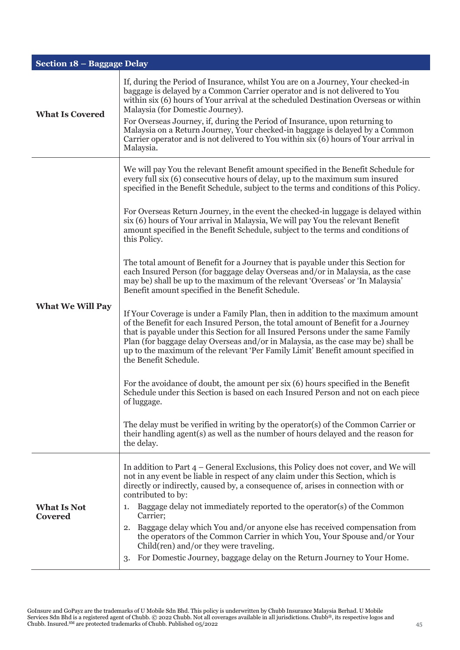| Section 18 - Baggage Delay           |                                                                                                                                                                                                                                                                                                                                                                                                                                                                                                                                                                                                                                                                                                                                                                                                                                                                                                                                                                                                                                                                                                                                                                                                                                                                                                                                                                                                                                                                                                                                                                                                                                                                                                       |  |
|--------------------------------------|-------------------------------------------------------------------------------------------------------------------------------------------------------------------------------------------------------------------------------------------------------------------------------------------------------------------------------------------------------------------------------------------------------------------------------------------------------------------------------------------------------------------------------------------------------------------------------------------------------------------------------------------------------------------------------------------------------------------------------------------------------------------------------------------------------------------------------------------------------------------------------------------------------------------------------------------------------------------------------------------------------------------------------------------------------------------------------------------------------------------------------------------------------------------------------------------------------------------------------------------------------------------------------------------------------------------------------------------------------------------------------------------------------------------------------------------------------------------------------------------------------------------------------------------------------------------------------------------------------------------------------------------------------------------------------------------------------|--|
| <b>What Is Covered</b>               | If, during the Period of Insurance, whilst You are on a Journey, Your checked-in<br>baggage is delayed by a Common Carrier operator and is not delivered to You<br>within six (6) hours of Your arrival at the scheduled Destination Overseas or within<br>Malaysia (for Domestic Journey).<br>For Overseas Journey, if, during the Period of Insurance, upon returning to<br>Malaysia on a Return Journey, Your checked-in baggage is delayed by a Common<br>Carrier operator and is not delivered to You within six (6) hours of Your arrival in<br>Malaysia.                                                                                                                                                                                                                                                                                                                                                                                                                                                                                                                                                                                                                                                                                                                                                                                                                                                                                                                                                                                                                                                                                                                                       |  |
| <b>What We Will Pay</b>              | We will pay You the relevant Benefit amount specified in the Benefit Schedule for<br>every full six (6) consecutive hours of delay, up to the maximum sum insured<br>specified in the Benefit Schedule, subject to the terms and conditions of this Policy.<br>For Overseas Return Journey, in the event the checked-in luggage is delayed within<br>six (6) hours of Your arrival in Malaysia, We will pay You the relevant Benefit<br>amount specified in the Benefit Schedule, subject to the terms and conditions of<br>this Policy.<br>The total amount of Benefit for a Journey that is payable under this Section for<br>each Insured Person (for baggage delay Overseas and/or in Malaysia, as the case<br>may be) shall be up to the maximum of the relevant 'Overseas' or 'In Malaysia'<br>Benefit amount specified in the Benefit Schedule.<br>If Your Coverage is under a Family Plan, then in addition to the maximum amount<br>of the Benefit for each Insured Person, the total amount of Benefit for a Journey<br>that is payable under this Section for all Insured Persons under the same Family<br>Plan (for baggage delay Overseas and/or in Malaysia, as the case may be) shall be<br>up to the maximum of the relevant 'Per Family Limit' Benefit amount specified in<br>the Benefit Schedule.<br>For the avoidance of doubt, the amount per six (6) hours specified in the Benefit<br>Schedule under this Section is based on each Insured Person and not on each piece<br>of luggage.<br>The delay must be verified in writing by the operator(s) of the Common Carrier or<br>their handling agent(s) as well as the number of hours delayed and the reason for<br>the delay. |  |
| <b>What Is Not</b><br><b>Covered</b> | In addition to Part $4$ – General Exclusions, this Policy does not cover, and We will<br>not in any event be liable in respect of any claim under this Section, which is<br>directly or indirectly, caused by, a consequence of, arises in connection with or<br>contributed to by:<br>Baggage delay not immediately reported to the operator(s) of the Common<br>1.<br>Carrier;<br>Baggage delay which You and/or anyone else has received compensation from<br>2.<br>the operators of the Common Carrier in which You, Your Spouse and/or Your<br>Child(ren) and/or they were traveling.<br>For Domestic Journey, baggage delay on the Return Journey to Your Home.<br>3.                                                                                                                                                                                                                                                                                                                                                                                                                                                                                                                                                                                                                                                                                                                                                                                                                                                                                                                                                                                                                           |  |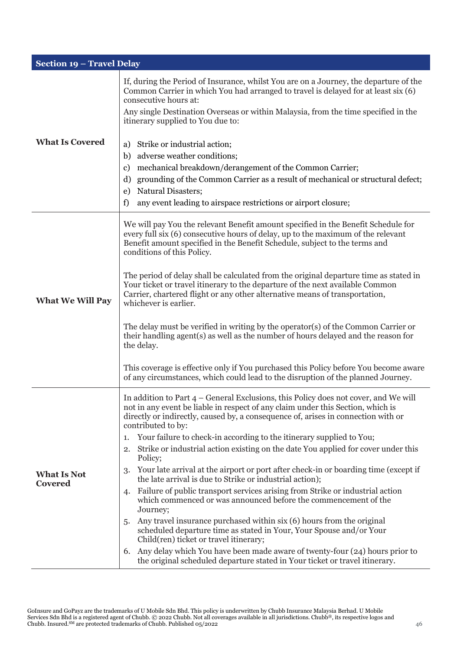| Section 19 - Travel Delay            |                                                                                                                                                                                                                                                                                                                                                                                                                                                                                                                                                                                                                                                                                                                                                                                                                                                                                                                                                                                                                                                                                                                                                                          |
|--------------------------------------|--------------------------------------------------------------------------------------------------------------------------------------------------------------------------------------------------------------------------------------------------------------------------------------------------------------------------------------------------------------------------------------------------------------------------------------------------------------------------------------------------------------------------------------------------------------------------------------------------------------------------------------------------------------------------------------------------------------------------------------------------------------------------------------------------------------------------------------------------------------------------------------------------------------------------------------------------------------------------------------------------------------------------------------------------------------------------------------------------------------------------------------------------------------------------|
| <b>What Is Covered</b>               | If, during the Period of Insurance, whilst You are on a Journey, the departure of the<br>Common Carrier in which You had arranged to travel is delayed for at least six (6)<br>consecutive hours at:<br>Any single Destination Overseas or within Malaysia, from the time specified in the<br>itinerary supplied to You due to:<br>Strike or industrial action;<br>a)<br>adverse weather conditions;<br>b)<br>mechanical breakdown/derangement of the Common Carrier;<br>c)<br>grounding of the Common Carrier as a result of mechanical or structural defect;<br>d)                                                                                                                                                                                                                                                                                                                                                                                                                                                                                                                                                                                                     |
|                                      | Natural Disasters;<br>e)<br>f)<br>any event leading to airspace restrictions or airport closure;                                                                                                                                                                                                                                                                                                                                                                                                                                                                                                                                                                                                                                                                                                                                                                                                                                                                                                                                                                                                                                                                         |
| <b>What We Will Pay</b>              | We will pay You the relevant Benefit amount specified in the Benefit Schedule for<br>every full six (6) consecutive hours of delay, up to the maximum of the relevant<br>Benefit amount specified in the Benefit Schedule, subject to the terms and<br>conditions of this Policy.<br>The period of delay shall be calculated from the original departure time as stated in<br>Your ticket or travel itinerary to the departure of the next available Common<br>Carrier, chartered flight or any other alternative means of transportation,<br>whichever is earlier.<br>The delay must be verified in writing by the operator(s) of the Common Carrier or<br>their handling agent(s) as well as the number of hours delayed and the reason for<br>the delay.<br>This coverage is effective only if You purchased this Policy before You become aware<br>of any circumstances, which could lead to the disruption of the planned Journey.                                                                                                                                                                                                                                  |
| <b>What Is Not</b><br><b>Covered</b> | In addition to Part 4 - General Exclusions, this Policy does not cover, and We will<br>not in any event be liable in respect of any claim under this Section, which is<br>directly or indirectly, caused by, a consequence of, arises in connection with or<br>contributed to by:<br>Your failure to check-in according to the itinerary supplied to You;<br>1.<br>Strike or industrial action existing on the date You applied for cover under this<br>2.<br>Policy;<br>Your late arrival at the airport or port after check-in or boarding time (except if<br>3.<br>the late arrival is due to Strike or industrial action);<br>Failure of public transport services arising from Strike or industrial action<br>4.<br>which commenced or was announced before the commencement of the<br>Journey;<br>Any travel insurance purchased within six (6) hours from the original<br>5.<br>scheduled departure time as stated in Your, Your Spouse and/or Your<br>Child(ren) ticket or travel itinerary;<br>Any delay which You have been made aware of twenty-four (24) hours prior to<br>6.<br>the original scheduled departure stated in Your ticket or travel itinerary. |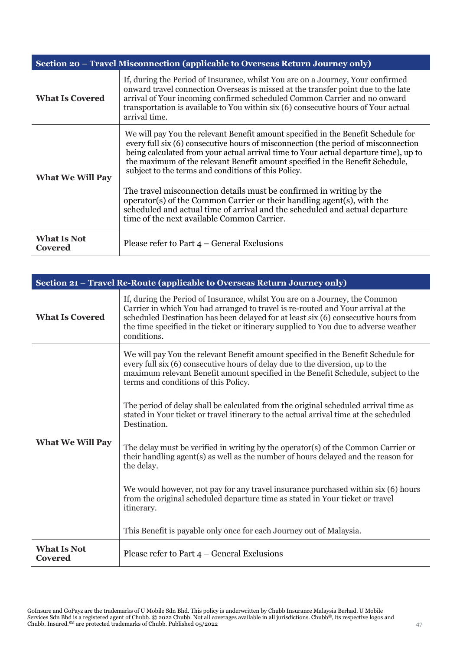| Section 20 - Travel Misconnection (applicable to Overseas Return Journey only) |                                                                                                                                                                                                                                                                                                                                                                                                                                                                                 |
|--------------------------------------------------------------------------------|---------------------------------------------------------------------------------------------------------------------------------------------------------------------------------------------------------------------------------------------------------------------------------------------------------------------------------------------------------------------------------------------------------------------------------------------------------------------------------|
| <b>What Is Covered</b>                                                         | If, during the Period of Insurance, whilst You are on a Journey, Your confirmed<br>onward travel connection Overseas is missed at the transfer point due to the late<br>arrival of Your incoming confirmed scheduled Common Carrier and no onward<br>transportation is available to You within six (6) consecutive hours of Your actual<br>arrival time.                                                                                                                        |
| <b>What We Will Pay</b>                                                        | We will pay You the relevant Benefit amount specified in the Benefit Schedule for<br>every full six (6) consecutive hours of misconnection (the period of misconnection<br>being calculated from your actual arrival time to Your actual departure time), up to<br>the maximum of the relevant Benefit amount specified in the Benefit Schedule,<br>subject to the terms and conditions of this Policy.<br>The travel misconnection details must be confirmed in writing by the |
|                                                                                | operator(s) of the Common Carrier or their handling agent(s), with the<br>scheduled and actual time of arrival and the scheduled and actual departure<br>time of the next available Common Carrier.                                                                                                                                                                                                                                                                             |
| <b>What Is Not</b><br>Covered                                                  | Please refer to Part $4$ – General Exclusions                                                                                                                                                                                                                                                                                                                                                                                                                                   |

| Section 21 - Travel Re-Route (applicable to Overseas Return Journey only) |                                                                                                                                                                                                                                                                                                                                                              |
|---------------------------------------------------------------------------|--------------------------------------------------------------------------------------------------------------------------------------------------------------------------------------------------------------------------------------------------------------------------------------------------------------------------------------------------------------|
| <b>What Is Covered</b>                                                    | If, during the Period of Insurance, whilst You are on a Journey, the Common<br>Carrier in which You had arranged to travel is re-routed and Your arrival at the<br>scheduled Destination has been delayed for at least six (6) consecutive hours from<br>the time specified in the ticket or itinerary supplied to You due to adverse weather<br>conditions. |
| <b>What We Will Pay</b>                                                   | We will pay You the relevant Benefit amount specified in the Benefit Schedule for<br>every full six (6) consecutive hours of delay due to the diversion, up to the<br>maximum relevant Benefit amount specified in the Benefit Schedule, subject to the<br>terms and conditions of this Policy.                                                              |
|                                                                           | The period of delay shall be calculated from the original scheduled arrival time as<br>stated in Your ticket or travel itinerary to the actual arrival time at the scheduled<br>Destination.                                                                                                                                                                 |
|                                                                           | The delay must be verified in writing by the operator(s) of the Common Carrier or<br>their handling agent(s) as well as the number of hours delayed and the reason for<br>the delay.                                                                                                                                                                         |
|                                                                           | We would however, not pay for any travel insurance purchased within six (6) hours<br>from the original scheduled departure time as stated in Your ticket or travel<br>itinerary.                                                                                                                                                                             |
|                                                                           | This Benefit is payable only once for each Journey out of Malaysia.                                                                                                                                                                                                                                                                                          |
| <b>What Is Not</b><br><b>Covered</b>                                      | Please refer to Part $4$ – General Exclusions                                                                                                                                                                                                                                                                                                                |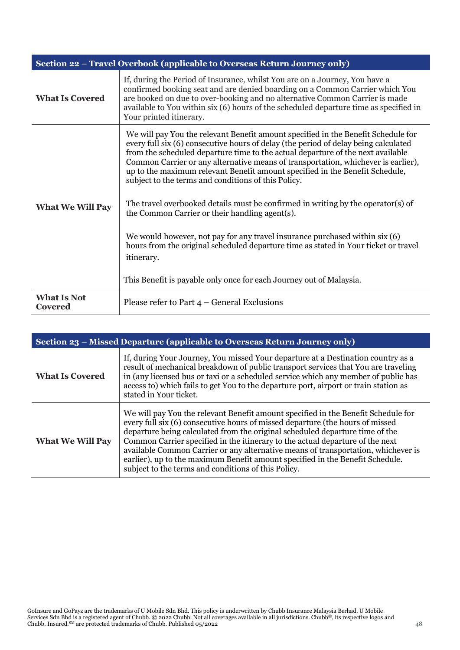|                               | Section 22 - Travel Overbook (applicable to Overseas Return Journey only)                                                                                                                                                                                                                                                                                                                                                                                                                                                                                                                                                                                                                                                                                                                                                                                                                |
|-------------------------------|------------------------------------------------------------------------------------------------------------------------------------------------------------------------------------------------------------------------------------------------------------------------------------------------------------------------------------------------------------------------------------------------------------------------------------------------------------------------------------------------------------------------------------------------------------------------------------------------------------------------------------------------------------------------------------------------------------------------------------------------------------------------------------------------------------------------------------------------------------------------------------------|
| <b>What Is Covered</b>        | If, during the Period of Insurance, whilst You are on a Journey, You have a<br>confirmed booking seat and are denied boarding on a Common Carrier which You<br>are booked on due to over-booking and no alternative Common Carrier is made<br>available to You within six (6) hours of the scheduled departure time as specified in<br>Your printed itinerary.                                                                                                                                                                                                                                                                                                                                                                                                                                                                                                                           |
| <b>What We Will Pay</b>       | We will pay You the relevant Benefit amount specified in the Benefit Schedule for<br>every full six (6) consecutive hours of delay (the period of delay being calculated<br>from the scheduled departure time to the actual departure of the next available<br>Common Carrier or any alternative means of transportation, whichever is earlier),<br>up to the maximum relevant Benefit amount specified in the Benefit Schedule,<br>subject to the terms and conditions of this Policy.<br>The travel overbooked details must be confirmed in writing by the operator(s) of<br>the Common Carrier or their handling agent(s).<br>We would however, not pay for any travel insurance purchased within six (6)<br>hours from the original scheduled departure time as stated in Your ticket or travel<br>itinerary.<br>This Benefit is payable only once for each Journey out of Malaysia. |
| <b>What Is Not</b><br>Covered | Please refer to Part $4$ – General Exclusions                                                                                                                                                                                                                                                                                                                                                                                                                                                                                                                                                                                                                                                                                                                                                                                                                                            |

| Section 23 – Missed Departure (applicable to Overseas Return Journey only) |                                                                                                                                                                                                                                                                                                                                                                                                                                                                                                                                                                  |
|----------------------------------------------------------------------------|------------------------------------------------------------------------------------------------------------------------------------------------------------------------------------------------------------------------------------------------------------------------------------------------------------------------------------------------------------------------------------------------------------------------------------------------------------------------------------------------------------------------------------------------------------------|
| <b>What Is Covered</b>                                                     | If, during Your Journey, You missed Your departure at a Destination country as a<br>result of mechanical breakdown of public transport services that You are traveling<br>in (any licensed bus or taxi or a scheduled service which any member of public has<br>access to) which fails to get You to the departure port, airport or train station as<br>stated in Your ticket.                                                                                                                                                                                   |
| <b>What We Will Pay</b>                                                    | We will pay You the relevant Benefit amount specified in the Benefit Schedule for<br>every full six (6) consecutive hours of missed departure (the hours of missed<br>departure being calculated from the original scheduled departure time of the<br>Common Carrier specified in the itinerary to the actual departure of the next<br>available Common Carrier or any alternative means of transportation, whichever is<br>earlier), up to the maximum Benefit amount specified in the Benefit Schedule.<br>subject to the terms and conditions of this Policy. |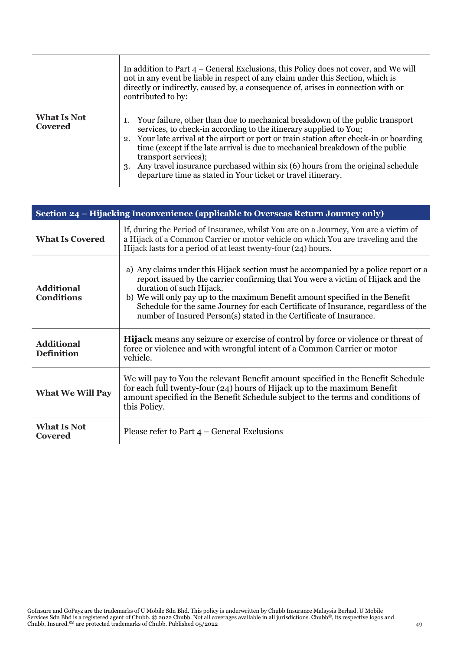|                               | In addition to Part $4$ – General Exclusions, this Policy does not cover, and We will<br>not in any event be liable in respect of any claim under this Section, which is<br>directly or indirectly, caused by, a consequence of, arises in connection with or<br>contributed to by:                                                                                                                                                                                                                        |
|-------------------------------|------------------------------------------------------------------------------------------------------------------------------------------------------------------------------------------------------------------------------------------------------------------------------------------------------------------------------------------------------------------------------------------------------------------------------------------------------------------------------------------------------------|
| <b>What Is Not</b><br>Covered | Your failure, other than due to mechanical breakdown of the public transport<br>services, to check-in according to the itinerary supplied to You;<br>2. Your late arrival at the airport or port or train station after check-in or boarding<br>time (except if the late arrival is due to mechanical breakdown of the public<br>transport services);<br>3. Any travel insurance purchased within six (6) hours from the original schedule<br>departure time as stated in Your ticket or travel itinerary. |

| Section 24 - Hijacking Inconvenience (applicable to Overseas Return Journey only) |                                                                                                                                                                                                                                                                                                                                                                                                                                                   |
|-----------------------------------------------------------------------------------|---------------------------------------------------------------------------------------------------------------------------------------------------------------------------------------------------------------------------------------------------------------------------------------------------------------------------------------------------------------------------------------------------------------------------------------------------|
| <b>What Is Covered</b>                                                            | If, during the Period of Insurance, whilst You are on a Journey, You are a victim of<br>a Hijack of a Common Carrier or motor vehicle on which You are traveling and the<br>Hijack lasts for a period of at least twenty-four (24) hours.                                                                                                                                                                                                         |
| <b>Additional</b><br><b>Conditions</b>                                            | a) Any claims under this Hijack section must be accompanied by a police report or a<br>report issued by the carrier confirming that You were a victim of Hijack and the<br>duration of such Hijack.<br>b) We will only pay up to the maximum Benefit amount specified in the Benefit<br>Schedule for the same Journey for each Certificate of Insurance, regardless of the<br>number of Insured Person(s) stated in the Certificate of Insurance. |
| <b>Additional</b><br><b>Definition</b>                                            | <b>Hijack</b> means any seizure or exercise of control by force or violence or threat of<br>force or violence and with wrongful intent of a Common Carrier or motor<br>vehicle.                                                                                                                                                                                                                                                                   |
| <b>What We Will Pay</b>                                                           | We will pay to You the relevant Benefit amount specified in the Benefit Schedule<br>for each full twenty-four (24) hours of Hijack up to the maximum Benefit<br>amount specified in the Benefit Schedule subject to the terms and conditions of<br>this Policy.                                                                                                                                                                                   |
| <b>What Is Not</b><br><b>Covered</b>                                              | Please refer to Part $4$ – General Exclusions                                                                                                                                                                                                                                                                                                                                                                                                     |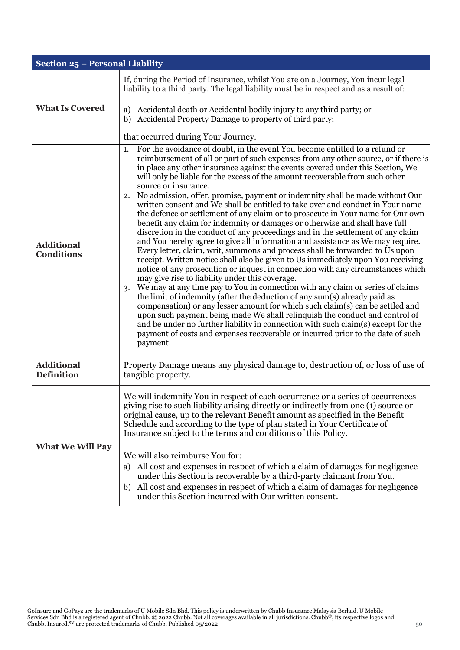| Section 25 - Personal Liability        |                                                                                                                                                                                                                                                                                                                                                                                                                                                                                                                                                                                                                                                                                                                                                                                                                                                                                                                                                                                                                                                                                                                                                                                                                                                                                                                                                                                                                                                                                                                                                                                                                                                                                                                      |
|----------------------------------------|----------------------------------------------------------------------------------------------------------------------------------------------------------------------------------------------------------------------------------------------------------------------------------------------------------------------------------------------------------------------------------------------------------------------------------------------------------------------------------------------------------------------------------------------------------------------------------------------------------------------------------------------------------------------------------------------------------------------------------------------------------------------------------------------------------------------------------------------------------------------------------------------------------------------------------------------------------------------------------------------------------------------------------------------------------------------------------------------------------------------------------------------------------------------------------------------------------------------------------------------------------------------------------------------------------------------------------------------------------------------------------------------------------------------------------------------------------------------------------------------------------------------------------------------------------------------------------------------------------------------------------------------------------------------------------------------------------------------|
| <b>What Is Covered</b>                 | If, during the Period of Insurance, whilst You are on a Journey, You incur legal<br>liability to a third party. The legal liability must be in respect and as a result of:<br>Accidental death or Accidental bodily injury to any third party; or<br>a)<br>Accidental Property Damage to property of third party;<br>b)<br>that occurred during Your Journey.                                                                                                                                                                                                                                                                                                                                                                                                                                                                                                                                                                                                                                                                                                                                                                                                                                                                                                                                                                                                                                                                                                                                                                                                                                                                                                                                                        |
| <b>Additional</b><br><b>Conditions</b> | For the avoidance of doubt, in the event You become entitled to a refund or<br>1.<br>reimbursement of all or part of such expenses from any other source, or if there is<br>in place any other insurance against the events covered under this Section, We<br>will only be liable for the excess of the amount recoverable from such other<br>source or insurance.<br>No admission, offer, promise, payment or indemnity shall be made without Our<br>2.<br>written consent and We shall be entitled to take over and conduct in Your name<br>the defence or settlement of any claim or to prosecute in Your name for Our own<br>benefit any claim for indemnity or damages or otherwise and shall have full<br>discretion in the conduct of any proceedings and in the settlement of any claim<br>and You hereby agree to give all information and assistance as We may require.<br>Every letter, claim, writ, summons and process shall be forwarded to Us upon<br>receipt. Written notice shall also be given to Us immediately upon You receiving<br>notice of any prosecution or inquest in connection with any circumstances which<br>may give rise to liability under this coverage.<br>We may at any time pay to You in connection with any claim or series of claims<br>3.<br>the limit of indemnity (after the deduction of any sum(s) already paid as<br>compensation) or any lesser amount for which such claim(s) can be settled and<br>upon such payment being made We shall relinquish the conduct and control of<br>and be under no further liability in connection with such claim(s) except for the<br>payment of costs and expenses recoverable or incurred prior to the date of such<br>payment. |
| <b>Additional</b><br><b>Definition</b> | Property Damage means any physical damage to, destruction of, or loss of use of<br>tangible property.                                                                                                                                                                                                                                                                                                                                                                                                                                                                                                                                                                                                                                                                                                                                                                                                                                                                                                                                                                                                                                                                                                                                                                                                                                                                                                                                                                                                                                                                                                                                                                                                                |
| <b>What We Will Pay</b>                | We will indemnify You in respect of each occurrence or a series of occurrences<br>giving rise to such liability arising directly or indirectly from one (1) source or<br>original cause, up to the relevant Benefit amount as specified in the Benefit<br>Schedule and according to the type of plan stated in Your Certificate of<br>Insurance subject to the terms and conditions of this Policy.<br>We will also reimburse You for:<br>All cost and expenses in respect of which a claim of damages for negligence<br>a)<br>under this Section is recoverable by a third-party claimant from You.<br>All cost and expenses in respect of which a claim of damages for negligence<br>b)<br>under this Section incurred with Our written consent.                                                                                                                                                                                                                                                                                                                                                                                                                                                                                                                                                                                                                                                                                                                                                                                                                                                                                                                                                                   |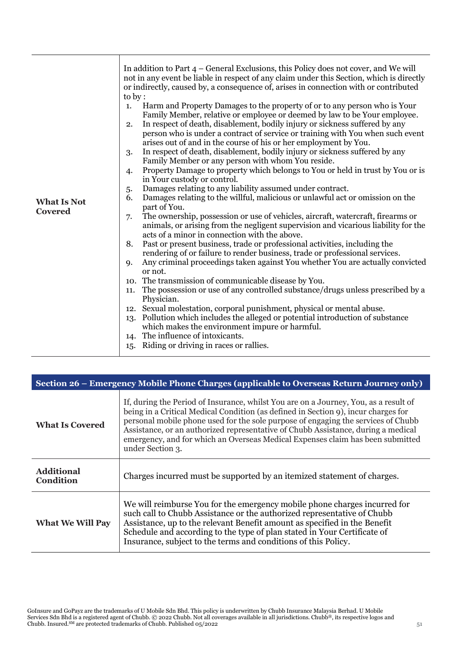| <b>What Is Not</b><br><b>Covered</b> | In addition to Part $4$ – General Exclusions, this Policy does not cover, and We will<br>not in any event be liable in respect of any claim under this Section, which is directly<br>or indirectly, caused by, a consequence of, arises in connection with or contributed<br>to by :<br>Harm and Property Damages to the property of or to any person who is Your<br>1.<br>Family Member, relative or employee or deemed by law to be Your employee.<br>In respect of death, disablement, bodily injury or sickness suffered by any<br>2.<br>person who is under a contract of service or training with You when such event<br>arises out of and in the course of his or her employment by You.<br>In respect of death, disablement, bodily injury or sickness suffered by any<br>3.<br>Family Member or any person with whom You reside.<br>Property Damage to property which belongs to You or held in trust by You or is<br>4.<br>in Your custody or control.<br>Damages relating to any liability assumed under contract.<br>5.<br>Damages relating to the willful, malicious or unlawful act or omission on the<br>6.<br>part of You.<br>The ownership, possession or use of vehicles, aircraft, watercraft, firearms or<br>7.<br>animals, or arising from the negligent supervision and vicarious liability for the<br>acts of a minor in connection with the above.<br>Past or present business, trade or professional activities, including the<br>8.<br>rendering of or failure to render business, trade or professional services.<br>Any criminal proceedings taken against You whether You are actually convicted<br><b>Q.</b><br>or not.<br>10. The transmission of communicable disease by You.<br>The possession or use of any controlled substance/drugs unless prescribed by a<br>11.<br>Physician.<br>Sexual molestation, corporal punishment, physical or mental abuse.<br>12.<br>Pollution which includes the alleged or potential introduction of substance<br>13.<br>which makes the environment impure or harmful.<br>14. The influence of intoxicants.<br>15. Riding or driving in races or rallies. |
|--------------------------------------|------------------------------------------------------------------------------------------------------------------------------------------------------------------------------------------------------------------------------------------------------------------------------------------------------------------------------------------------------------------------------------------------------------------------------------------------------------------------------------------------------------------------------------------------------------------------------------------------------------------------------------------------------------------------------------------------------------------------------------------------------------------------------------------------------------------------------------------------------------------------------------------------------------------------------------------------------------------------------------------------------------------------------------------------------------------------------------------------------------------------------------------------------------------------------------------------------------------------------------------------------------------------------------------------------------------------------------------------------------------------------------------------------------------------------------------------------------------------------------------------------------------------------------------------------------------------------------------------------------------------------------------------------------------------------------------------------------------------------------------------------------------------------------------------------------------------------------------------------------------------------------------------------------------------------------------------------------------------------------------------------------------------------------------------------------------------------------------------------------------------------|
|--------------------------------------|------------------------------------------------------------------------------------------------------------------------------------------------------------------------------------------------------------------------------------------------------------------------------------------------------------------------------------------------------------------------------------------------------------------------------------------------------------------------------------------------------------------------------------------------------------------------------------------------------------------------------------------------------------------------------------------------------------------------------------------------------------------------------------------------------------------------------------------------------------------------------------------------------------------------------------------------------------------------------------------------------------------------------------------------------------------------------------------------------------------------------------------------------------------------------------------------------------------------------------------------------------------------------------------------------------------------------------------------------------------------------------------------------------------------------------------------------------------------------------------------------------------------------------------------------------------------------------------------------------------------------------------------------------------------------------------------------------------------------------------------------------------------------------------------------------------------------------------------------------------------------------------------------------------------------------------------------------------------------------------------------------------------------------------------------------------------------------------------------------------------------|

| Section 26 – Emergency Mobile Phone Charges (applicable to Overseas Return Journey only) |                                                                                                                                                                                                                                                                                                                                                                                                                                                            |
|------------------------------------------------------------------------------------------|------------------------------------------------------------------------------------------------------------------------------------------------------------------------------------------------------------------------------------------------------------------------------------------------------------------------------------------------------------------------------------------------------------------------------------------------------------|
| <b>What Is Covered</b>                                                                   | If, during the Period of Insurance, whilst You are on a Journey, You, as a result of<br>being in a Critical Medical Condition (as defined in Section 9), incur charges for<br>personal mobile phone used for the sole purpose of engaging the services of Chubb<br>Assistance, or an authorized representative of Chubb Assistance, during a medical<br>emergency, and for which an Overseas Medical Expenses claim has been submitted<br>under Section 3. |
| <b>Additional</b><br><b>Condition</b>                                                    | Charges incurred must be supported by an itemized statement of charges.                                                                                                                                                                                                                                                                                                                                                                                    |
| <b>What We Will Pay</b>                                                                  | We will reimburse You for the emergency mobile phone charges incurred for<br>such call to Chubb Assistance or the authorized representative of Chubb<br>Assistance, up to the relevant Benefit amount as specified in the Benefit<br>Schedule and according to the type of plan stated in Your Certificate of<br>Insurance, subject to the terms and conditions of this Policy.                                                                            |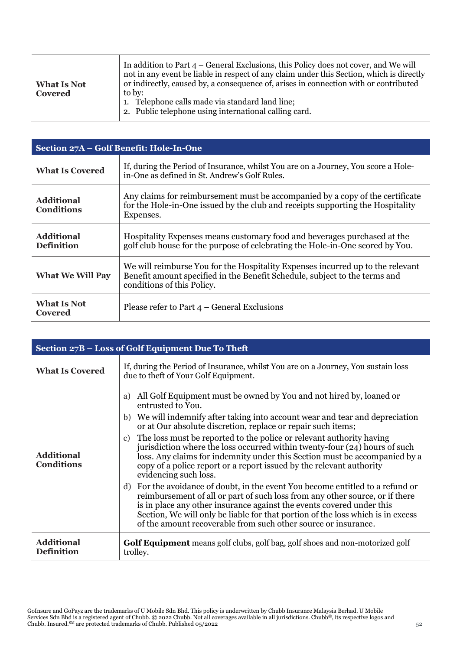| <b>What Is Not</b><br>Covered | In addition to Part $4$ – General Exclusions, this Policy does not cover, and We will<br>not in any event be liable in respect of any claim under this Section, which is directly<br>or indirectly, caused by, a consequence of, arises in connection with or contributed<br>to by:<br>1. Telephone calls made via standard land line;<br>2. Public telephone using international calling card. |
|-------------------------------|-------------------------------------------------------------------------------------------------------------------------------------------------------------------------------------------------------------------------------------------------------------------------------------------------------------------------------------------------------------------------------------------------|
|-------------------------------|-------------------------------------------------------------------------------------------------------------------------------------------------------------------------------------------------------------------------------------------------------------------------------------------------------------------------------------------------------------------------------------------------|

 $\top$ 

| Section 27A - Golf Benefit: Hole-In-One |                                                                                                                                                                                            |
|-----------------------------------------|--------------------------------------------------------------------------------------------------------------------------------------------------------------------------------------------|
| <b>What Is Covered</b>                  | If, during the Period of Insurance, whilst You are on a Journey, You score a Hole-<br>in-One as defined in St. Andrew's Golf Rules.                                                        |
| <b>Additional</b><br><b>Conditions</b>  | Any claims for reimbursement must be accompanied by a copy of the certificate<br>for the Hole-in-One issued by the club and receipts supporting the Hospitality<br>Expenses.               |
| <b>Additional</b><br><b>Definition</b>  | Hospitality Expenses means customary food and beverages purchased at the<br>golf club house for the purpose of celebrating the Hole-in-One scored by You.                                  |
| <b>What We Will Pay</b>                 | We will reimburse You for the Hospitality Expenses incurred up to the relevant<br>Benefit amount specified in the Benefit Schedule, subject to the terms and<br>conditions of this Policy. |
| <b>What Is Not</b><br><b>Covered</b>    | Please refer to Part $4$ – General Exclusions                                                                                                                                              |

| Section 27B - Loss of Golf Equipment Due To Theft |                                                                                                                                                                                                                                                                                                                                                                                                                                                                                                                                                                                                                                                                                                                                                                                                                                                                                                                                                                                                  |
|---------------------------------------------------|--------------------------------------------------------------------------------------------------------------------------------------------------------------------------------------------------------------------------------------------------------------------------------------------------------------------------------------------------------------------------------------------------------------------------------------------------------------------------------------------------------------------------------------------------------------------------------------------------------------------------------------------------------------------------------------------------------------------------------------------------------------------------------------------------------------------------------------------------------------------------------------------------------------------------------------------------------------------------------------------------|
| <b>What Is Covered</b>                            | If, during the Period of Insurance, whilst You are on a Journey, You sustain loss<br>due to theft of Your Golf Equipment.                                                                                                                                                                                                                                                                                                                                                                                                                                                                                                                                                                                                                                                                                                                                                                                                                                                                        |
| <b>Additional</b><br><b>Conditions</b>            | All Golf Equipment must be owned by You and not hired by, loaned or<br>a)<br>entrusted to You.<br>We will indemnify after taking into account wear and tear and depreciation<br>b)<br>or at Our absolute discretion, replace or repair such items;<br>The loss must be reported to the police or relevant authority having<br>c)<br>jurisdiction where the loss occurred within twenty-four (24) hours of such<br>loss. Any claims for indemnity under this Section must be accompanied by a<br>copy of a police report or a report issued by the relevant authority<br>evidencing such loss.<br>For the avoidance of doubt, in the event You become entitled to a refund or<br>d)<br>reimbursement of all or part of such loss from any other source, or if there<br>is in place any other insurance against the events covered under this<br>Section, We will only be liable for that portion of the loss which is in excess<br>of the amount recoverable from such other source or insurance. |
| <b>Additional</b><br><b>Definition</b>            | <b>Golf Equipment</b> means golf clubs, golf bag, golf shoes and non-motorized golf<br>trolley.                                                                                                                                                                                                                                                                                                                                                                                                                                                                                                                                                                                                                                                                                                                                                                                                                                                                                                  |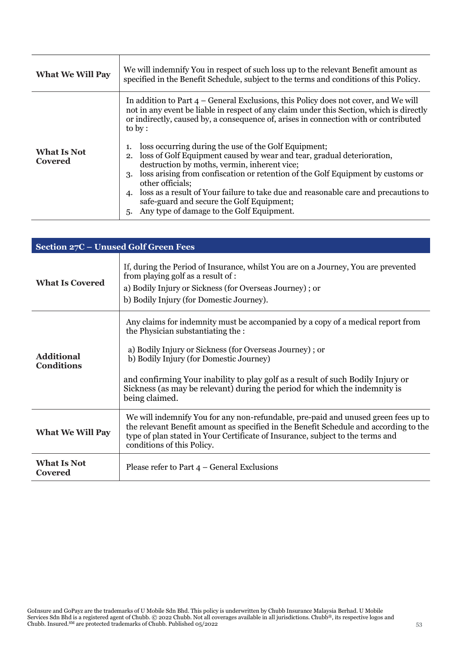| <b>What We Will Pay</b>       | We will indemnify You in respect of such loss up to the relevant Benefit amount as<br>specified in the Benefit Schedule, subject to the terms and conditions of this Policy.                                                                                                                                                                                                                                                                                                                                                                                                                                                                                                                                                                                                  |
|-------------------------------|-------------------------------------------------------------------------------------------------------------------------------------------------------------------------------------------------------------------------------------------------------------------------------------------------------------------------------------------------------------------------------------------------------------------------------------------------------------------------------------------------------------------------------------------------------------------------------------------------------------------------------------------------------------------------------------------------------------------------------------------------------------------------------|
| <b>What Is Not</b><br>Covered | In addition to Part 4 – General Exclusions, this Policy does not cover, and We will<br>not in any event be liable in respect of any claim under this Section, which is directly<br>or indirectly, caused by, a consequence of, arises in connection with or contributed<br>to by:<br>loss occurring during the use of the Golf Equipment;<br>2. loss of Golf Equipment caused by wear and tear, gradual deterioration,<br>destruction by moths, vermin, inherent vice;<br>loss arising from confiscation or retention of the Golf Equipment by customs or<br>3.<br>other officials;<br>loss as a result of Your failure to take due and reasonable care and precautions to<br>4.<br>safe-guard and secure the Golf Equipment;<br>5. Any type of damage to the Golf Equipment. |

| Section 27C - Unused Golf Green Fees   |                                                                                                                                                                                                                                                                                                                                                                                                                |
|----------------------------------------|----------------------------------------------------------------------------------------------------------------------------------------------------------------------------------------------------------------------------------------------------------------------------------------------------------------------------------------------------------------------------------------------------------------|
| <b>What Is Covered</b>                 | If, during the Period of Insurance, whilst You are on a Journey, You are prevented<br>from playing golf as a result of :<br>a) Bodily Injury or Sickness (for Overseas Journey); or<br>b) Bodily Injury (for Domestic Journey).                                                                                                                                                                                |
| <b>Additional</b><br><b>Conditions</b> | Any claims for indemnity must be accompanied by a copy of a medical report from<br>the Physician substantiating the :<br>a) Bodily Injury or Sickness (for Overseas Journey); or<br>b) Bodily Injury (for Domestic Journey)<br>and confirming Your inability to play golf as a result of such Bodily Injury or<br>Sickness (as may be relevant) during the period for which the indemnity is<br>being claimed. |
| <b>What We Will Pay</b>                | We will indemnify You for any non-refundable, pre-paid and unused green fees up to<br>the relevant Benefit amount as specified in the Benefit Schedule and according to the<br>type of plan stated in Your Certificate of Insurance, subject to the terms and<br>conditions of this Policy.                                                                                                                    |
| <b>What Is Not</b><br>Covered          | Please refer to Part $4$ – General Exclusions                                                                                                                                                                                                                                                                                                                                                                  |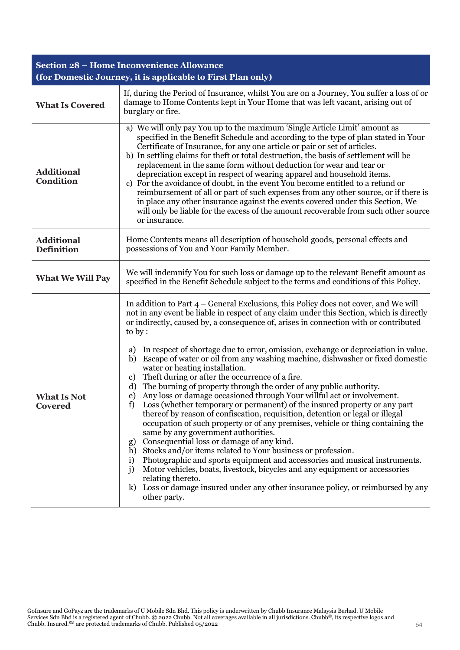| <b>Section 28 - Home Inconvenience Allowance</b> |                                                                                                                                                                                                                                                                                                                                                                                                                                                                                                                                                                                                                                                                                                                                                                                                                                                                                                                                                                                                                                                                                                                                                                                                                                                                                                                                                                                                                                                    |  |
|--------------------------------------------------|----------------------------------------------------------------------------------------------------------------------------------------------------------------------------------------------------------------------------------------------------------------------------------------------------------------------------------------------------------------------------------------------------------------------------------------------------------------------------------------------------------------------------------------------------------------------------------------------------------------------------------------------------------------------------------------------------------------------------------------------------------------------------------------------------------------------------------------------------------------------------------------------------------------------------------------------------------------------------------------------------------------------------------------------------------------------------------------------------------------------------------------------------------------------------------------------------------------------------------------------------------------------------------------------------------------------------------------------------------------------------------------------------------------------------------------------------|--|
|                                                  | (for Domestic Journey, it is applicable to First Plan only)                                                                                                                                                                                                                                                                                                                                                                                                                                                                                                                                                                                                                                                                                                                                                                                                                                                                                                                                                                                                                                                                                                                                                                                                                                                                                                                                                                                        |  |
| <b>What Is Covered</b>                           | If, during the Period of Insurance, whilst You are on a Journey, You suffer a loss of or<br>damage to Home Contents kept in Your Home that was left vacant, arising out of<br>burglary or fire.                                                                                                                                                                                                                                                                                                                                                                                                                                                                                                                                                                                                                                                                                                                                                                                                                                                                                                                                                                                                                                                                                                                                                                                                                                                    |  |
| <b>Additional</b><br><b>Condition</b>            | a) We will only pay You up to the maximum 'Single Article Limit' amount as<br>specified in the Benefit Schedule and according to the type of plan stated in Your<br>Certificate of Insurance, for any one article or pair or set of articles.<br>b) In settling claims for theft or total destruction, the basis of settlement will be<br>replacement in the same form without deduction for wear and tear or<br>depreciation except in respect of wearing apparel and household items.<br>c) For the avoidance of doubt, in the event You become entitled to a refund or<br>reimbursement of all or part of such expenses from any other source, or if there is<br>in place any other insurance against the events covered under this Section, We<br>will only be liable for the excess of the amount recoverable from such other source<br>or insurance.                                                                                                                                                                                                                                                                                                                                                                                                                                                                                                                                                                                         |  |
| <b>Additional</b><br><b>Definition</b>           | Home Contents means all description of household goods, personal effects and<br>possessions of You and Your Family Member.                                                                                                                                                                                                                                                                                                                                                                                                                                                                                                                                                                                                                                                                                                                                                                                                                                                                                                                                                                                                                                                                                                                                                                                                                                                                                                                         |  |
| <b>What We Will Pay</b>                          | We will indemnify You for such loss or damage up to the relevant Benefit amount as<br>specified in the Benefit Schedule subject to the terms and conditions of this Policy.                                                                                                                                                                                                                                                                                                                                                                                                                                                                                                                                                                                                                                                                                                                                                                                                                                                                                                                                                                                                                                                                                                                                                                                                                                                                        |  |
| <b>What Is Not</b><br>Covered                    | In addition to Part $4$ – General Exclusions, this Policy does not cover, and We will<br>not in any event be liable in respect of any claim under this Section, which is directly<br>or indirectly, caused by, a consequence of, arises in connection with or contributed<br>to by :<br>In respect of shortage due to error, omission, exchange or depreciation in value.<br>a)<br>Escape of water or oil from any washing machine, dishwasher or fixed domestic<br>b)<br>water or heating installation.<br>Theft during or after the occurrence of a fire.<br>c)<br>The burning of property through the order of any public authority.<br>d)<br>Any loss or damage occasioned through Your willful act or involvement.<br>e)<br>Loss (whether temporary or permanent) of the insured property or any part<br>f)<br>thereof by reason of confiscation, requisition, detention or legal or illegal<br>occupation of such property or of any premises, vehicle or thing containing the<br>same by any government authorities.<br>Consequential loss or damage of any kind.<br>g)<br>h) Stocks and/or items related to Your business or profession.<br>Photographic and sports equipment and accessories and musical instruments.<br>i)<br>j)<br>Motor vehicles, boats, livestock, bicycles and any equipment or accessories<br>relating thereto.<br>k) Loss or damage insured under any other insurance policy, or reimbursed by any<br>other party. |  |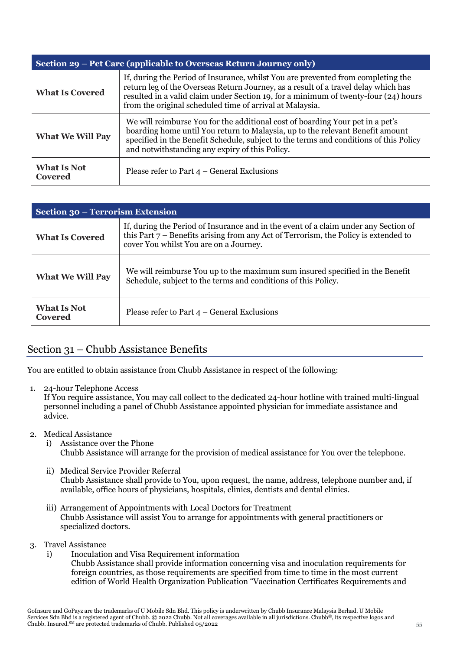| Section 29 – Pet Care (applicable to Overseas Return Journey only) |                                                                                                                                                                                                                                                                                                                           |
|--------------------------------------------------------------------|---------------------------------------------------------------------------------------------------------------------------------------------------------------------------------------------------------------------------------------------------------------------------------------------------------------------------|
| <b>What Is Covered</b>                                             | If, during the Period of Insurance, whilst You are prevented from completing the<br>return leg of the Overseas Return Journey, as a result of a travel delay which has<br>resulted in a valid claim under Section 19, for a minimum of twenty-four (24) hours<br>from the original scheduled time of arrival at Malaysia. |
| <b>What We Will Pay</b>                                            | We will reimburse You for the additional cost of boarding Your pet in a pet's<br>boarding home until You return to Malaysia, up to the relevant Benefit amount<br>specified in the Benefit Schedule, subject to the terms and conditions of this Policy<br>and notwithstanding any expiry of this Policy.                 |
| <b>What Is Not</b><br>Covered                                      | Please refer to Part $4$ – General Exclusions                                                                                                                                                                                                                                                                             |

| Section 30 - Terrorism Extension |                                                                                                                                                                                                                        |
|----------------------------------|------------------------------------------------------------------------------------------------------------------------------------------------------------------------------------------------------------------------|
| <b>What Is Covered</b>           | If, during the Period of Insurance and in the event of a claim under any Section of<br>this Part $7$ – Benefits arising from any Act of Terrorism, the Policy is extended to<br>cover You whilst You are on a Journey. |
| <b>What We Will Pay</b>          | We will reimburse You up to the maximum sum insured specified in the Benefit<br>Schedule, subject to the terms and conditions of this Policy.                                                                          |
| What Is Not<br>Covered           | Please refer to Part $4$ – General Exclusions                                                                                                                                                                          |

# Section 31 – Chubb Assistance Benefits

You are entitled to obtain assistance from Chubb Assistance in respect of the following:

1. 24-hour Telephone Access

If You require assistance, You may call collect to the dedicated 24-hour hotline with trained multi-lingual personnel including a panel of Chubb Assistance appointed physician for immediate assistance and advice.

- 2. Medical Assistance
	- i) Assistance over the Phone Chubb Assistance will arrange for the provision of medical assistance for You over the telephone.
	- ii) Medical Service Provider Referral Chubb Assistance shall provide to You, upon request, the name, address, telephone number and, if available, office hours of physicians, hospitals, clinics, dentists and dental clinics.
	- iii) Arrangement of Appointments with Local Doctors for Treatment Chubb Assistance will assist You to arrange for appointments with general practitioners or specialized doctors.
- 3. Travel Assistance
	- i) Inoculation and Visa Requirement information Chubb Assistance shall provide information concerning visa and inoculation requirements for foreign countries, as those requirements are specified from time to time in the most current edition of World Health Organization Publication "Vaccination Certificates Requirements and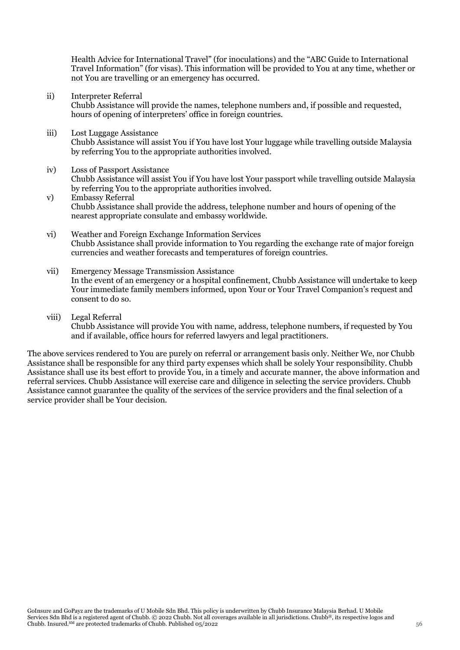Health Advice for International Travel" (for inoculations) and the "ABC Guide to International Travel Information" (for visas). This information will be provided to You at any time, whether or not You are travelling or an emergency has occurred.

ii) Interpreter Referral

Chubb Assistance will provide the names, telephone numbers and, if possible and requested, hours of opening of interpreters' office in foreign countries.

- iii) Lost Luggage Assistance Chubb Assistance will assist You if You have lost Your luggage while travelling outside Malaysia by referring You to the appropriate authorities involved.
- iv) Loss of Passport Assistance Chubb Assistance will assist You if You have lost Your passport while travelling outside Malaysia by referring You to the appropriate authorities involved.
- v) Embassy Referral Chubb Assistance shall provide the address, telephone number and hours of opening of the nearest appropriate consulate and embassy worldwide.
- vi) Weather and Foreign Exchange Information Services Chubb Assistance shall provide information to You regarding the exchange rate of major foreign currencies and weather forecasts and temperatures of foreign countries.
- vii) Emergency Message Transmission Assistance In the event of an emergency or a hospital confinement, Chubb Assistance will undertake to keep Your immediate family members informed, upon Your or Your Travel Companion's request and consent to do so.
- viii) Legal Referral Chubb Assistance will provide You with name, address, telephone numbers, if requested by You and if available, office hours for referred lawyers and legal practitioners.

The above services rendered to You are purely on referral or arrangement basis only. Neither We, nor Chubb Assistance shall be responsible for any third party expenses which shall be solely Your responsibility. Chubb Assistance shall use its best effort to provide You, in a timely and accurate manner, the above information and referral services. Chubb Assistance will exercise care and diligence in selecting the service providers. Chubb Assistance cannot guarantee the quality of the services of the service providers and the final selection of a service provider shall be Your decision.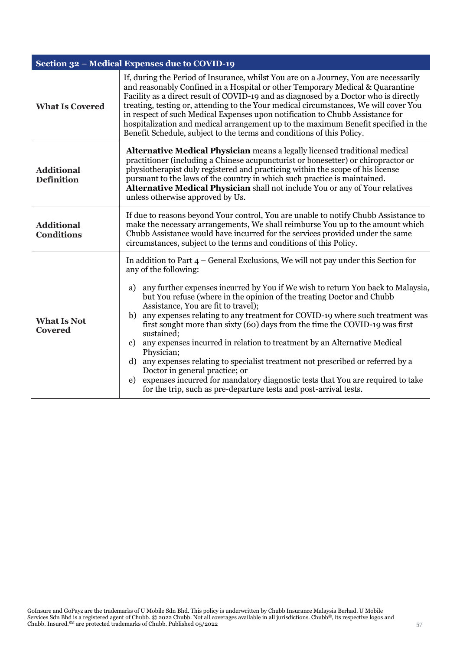|                                        | Section 32 - Medical Expenses due to COVID-19                                                                                                                                                                                                                                                                                                                                                                                                                                                                                                                                                                                                                                                                                                                                                                                                                                                             |  |
|----------------------------------------|-----------------------------------------------------------------------------------------------------------------------------------------------------------------------------------------------------------------------------------------------------------------------------------------------------------------------------------------------------------------------------------------------------------------------------------------------------------------------------------------------------------------------------------------------------------------------------------------------------------------------------------------------------------------------------------------------------------------------------------------------------------------------------------------------------------------------------------------------------------------------------------------------------------|--|
| <b>What Is Covered</b>                 | If, during the Period of Insurance, whilst You are on a Journey, You are necessarily<br>and reasonably Confined in a Hospital or other Temporary Medical & Quarantine<br>Facility as a direct result of COVID-19 and as diagnosed by a Doctor who is directly<br>treating, testing or, attending to the Your medical circumstances, We will cover You<br>in respect of such Medical Expenses upon notification to Chubb Assistance for<br>hospitalization and medical arrangement up to the maximum Benefit specified in the<br>Benefit Schedule, subject to the terms and conditions of this Policy.                                                                                                                                                                                                                                                                                                     |  |
| <b>Additional</b><br><b>Definition</b> | Alternative Medical Physician means a legally licensed traditional medical<br>practitioner (including a Chinese acupuncturist or bonesetter) or chiropractor or<br>physiotherapist duly registered and practicing within the scope of his license<br>pursuant to the laws of the country in which such practice is maintained.<br>Alternative Medical Physician shall not include You or any of Your relatives<br>unless otherwise approved by Us.                                                                                                                                                                                                                                                                                                                                                                                                                                                        |  |
| <b>Additional</b><br><b>Conditions</b> | If due to reasons beyond Your control, You are unable to notify Chubb Assistance to<br>make the necessary arrangements, We shall reimburse You up to the amount which<br>Chubb Assistance would have incurred for the services provided under the same<br>circumstances, subject to the terms and conditions of this Policy.                                                                                                                                                                                                                                                                                                                                                                                                                                                                                                                                                                              |  |
| <b>What Is Not</b><br><b>Covered</b>   | In addition to Part $4$ – General Exclusions, We will not pay under this Section for<br>any of the following:<br>any further expenses incurred by You if We wish to return You back to Malaysia,<br>a)<br>but You refuse (where in the opinion of the treating Doctor and Chubb<br>Assistance, You are fit to travel);<br>any expenses relating to any treatment for COVID-19 where such treatment was<br>b)<br>first sought more than sixty (60) days from the time the COVID-19 was first<br>sustained;<br>any expenses incurred in relation to treatment by an Alternative Medical<br>c)<br>Physician;<br>any expenses relating to specialist treatment not prescribed or referred by a<br>d)<br>Doctor in general practice; or<br>expenses incurred for mandatory diagnostic tests that You are required to take<br>$\epsilon$ )<br>for the trip, such as pre-departure tests and post-arrival tests. |  |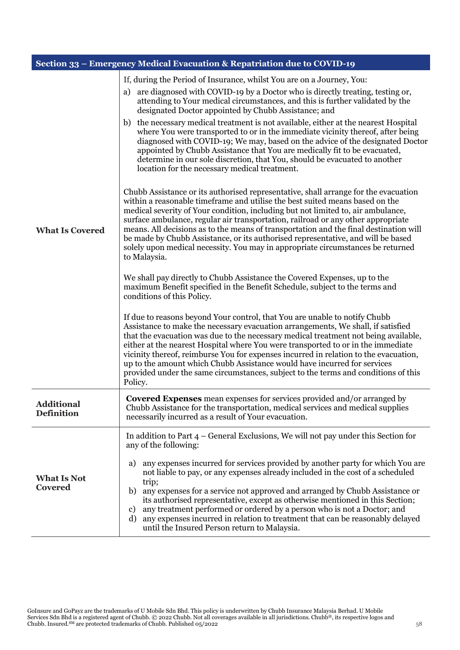|                                        | Section 33 - Emergency Medical Evacuation & Repatriation due to COVID-19                                                                                                                                                                                                                                                                                                                                                                                                                                                                                                                                                                                                                                                                                                                                                                                                                                                                                                                                                                                                                                                                                                                                                                                                                                                                                                                                                                                                                                                                                                                                                                                                                                                                                                                                                                                                                                                                                                                                                                                                                                                  |  |
|----------------------------------------|---------------------------------------------------------------------------------------------------------------------------------------------------------------------------------------------------------------------------------------------------------------------------------------------------------------------------------------------------------------------------------------------------------------------------------------------------------------------------------------------------------------------------------------------------------------------------------------------------------------------------------------------------------------------------------------------------------------------------------------------------------------------------------------------------------------------------------------------------------------------------------------------------------------------------------------------------------------------------------------------------------------------------------------------------------------------------------------------------------------------------------------------------------------------------------------------------------------------------------------------------------------------------------------------------------------------------------------------------------------------------------------------------------------------------------------------------------------------------------------------------------------------------------------------------------------------------------------------------------------------------------------------------------------------------------------------------------------------------------------------------------------------------------------------------------------------------------------------------------------------------------------------------------------------------------------------------------------------------------------------------------------------------------------------------------------------------------------------------------------------------|--|
| <b>What Is Covered</b>                 | If, during the Period of Insurance, whilst You are on a Journey, You:<br>are diagnosed with COVID-19 by a Doctor who is directly treating, testing or,<br>a)<br>attending to Your medical circumstances, and this is further validated by the<br>designated Doctor appointed by Chubb Assistance; and<br>the necessary medical treatment is not available, either at the nearest Hospital<br>b)<br>where You were transported to or in the immediate vicinity thereof, after being<br>diagnosed with COVID-19; We may, based on the advice of the designated Doctor<br>appointed by Chubb Assistance that You are medically fit to be evacuated,<br>determine in our sole discretion, that You, should be evacuated to another<br>location for the necessary medical treatment.<br>Chubb Assistance or its authorised representative, shall arrange for the evacuation<br>within a reasonable timeframe and utilise the best suited means based on the<br>medical severity of Your condition, including but not limited to, air ambulance,<br>surface ambulance, regular air transportation, railroad or any other appropriate<br>means. All decisions as to the means of transportation and the final destination will<br>be made by Chubb Assistance, or its authorised representative, and will be based<br>solely upon medical necessity. You may in appropriate circumstances be returned<br>to Malaysia.<br>We shall pay directly to Chubb Assistance the Covered Expenses, up to the<br>maximum Benefit specified in the Benefit Schedule, subject to the terms and<br>conditions of this Policy.<br>If due to reasons beyond Your control, that You are unable to notify Chubb<br>Assistance to make the necessary evacuation arrangements, We shall, if satisfied<br>that the evacuation was due to the necessary medical treatment not being available,<br>either at the nearest Hospital where You were transported to or in the immediate<br>vicinity thereof, reimburse You for expenses incurred in relation to the evacuation,<br>up to the amount which Chubb Assistance would have incurred for services |  |
| <b>Additional</b><br><b>Definition</b> | Policy.<br><b>Covered Expenses</b> mean expenses for services provided and/or arranged by<br>Chubb Assistance for the transportation, medical services and medical supplies<br>necessarily incurred as a result of Your evacuation.                                                                                                                                                                                                                                                                                                                                                                                                                                                                                                                                                                                                                                                                                                                                                                                                                                                                                                                                                                                                                                                                                                                                                                                                                                                                                                                                                                                                                                                                                                                                                                                                                                                                                                                                                                                                                                                                                       |  |
| <b>What Is Not</b><br><b>Covered</b>   | In addition to Part $4$ – General Exclusions, We will not pay under this Section for<br>any of the following:<br>any expenses incurred for services provided by another party for which You are<br>a)<br>not liable to pay, or any expenses already included in the cost of a scheduled<br>trip;<br>b) any expenses for a service not approved and arranged by Chubb Assistance or<br>its authorised representative, except as otherwise mentioned in this Section;<br>any treatment performed or ordered by a person who is not a Doctor; and<br>c)<br>d) any expenses incurred in relation to treatment that can be reasonably delayed<br>until the Insured Person return to Malaysia.                                                                                                                                                                                                                                                                                                                                                                                                                                                                                                                                                                                                                                                                                                                                                                                                                                                                                                                                                                                                                                                                                                                                                                                                                                                                                                                                                                                                                                  |  |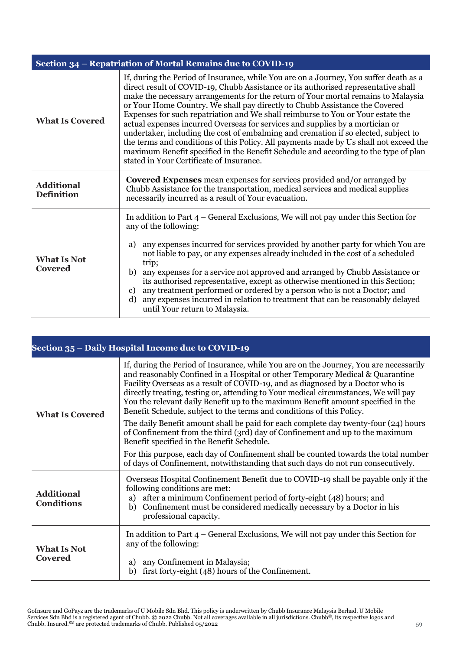| Section 34 – Repatriation of Mortal Remains due to COVID-19 |                                                                                                                                                                                                                                                                                                                                                                                                                                                                                                                                                                                                                                                                                                                                                                                                                                        |
|-------------------------------------------------------------|----------------------------------------------------------------------------------------------------------------------------------------------------------------------------------------------------------------------------------------------------------------------------------------------------------------------------------------------------------------------------------------------------------------------------------------------------------------------------------------------------------------------------------------------------------------------------------------------------------------------------------------------------------------------------------------------------------------------------------------------------------------------------------------------------------------------------------------|
| <b>What Is Covered</b>                                      | If, during the Period of Insurance, while You are on a Journey, You suffer death as a<br>direct result of COVID-19, Chubb Assistance or its authorised representative shall<br>make the necessary arrangements for the return of Your mortal remains to Malaysia<br>or Your Home Country. We shall pay directly to Chubb Assistance the Covered<br>Expenses for such repatriation and We shall reimburse to You or Your estate the<br>actual expenses incurred Overseas for services and supplies by a mortician or<br>undertaker, including the cost of embalming and cremation if so elected, subject to<br>the terms and conditions of this Policy. All payments made by Us shall not exceed the<br>maximum Benefit specified in the Benefit Schedule and according to the type of plan<br>stated in Your Certificate of Insurance. |
| <b>Additional</b><br><b>Definition</b>                      | Covered Expenses mean expenses for services provided and/or arranged by<br>Chubb Assistance for the transportation, medical services and medical supplies<br>necessarily incurred as a result of Your evacuation.                                                                                                                                                                                                                                                                                                                                                                                                                                                                                                                                                                                                                      |
| <b>What Is Not</b><br>Covered                               | In addition to Part $4$ – General Exclusions, We will not pay under this Section for<br>any of the following:<br>any expenses incurred for services provided by another party for which You are<br>a)<br>not liable to pay, or any expenses already included in the cost of a scheduled<br>trip;<br>any expenses for a service not approved and arranged by Chubb Assistance or<br>b)<br>its authorised representative, except as otherwise mentioned in this Section;<br>any treatment performed or ordered by a person who is not a Doctor; and<br>c)<br>any expenses incurred in relation to treatment that can be reasonably delayed<br>d)<br>until Your return to Malaysia.                                                                                                                                                       |

| Section 35 – Daily Hospital Income due to COVID-19 |                                                                                                                                                                                                                                                                                                                                                                                                                                                                                                              |  |
|----------------------------------------------------|--------------------------------------------------------------------------------------------------------------------------------------------------------------------------------------------------------------------------------------------------------------------------------------------------------------------------------------------------------------------------------------------------------------------------------------------------------------------------------------------------------------|--|
| <b>What Is Covered</b>                             | If, during the Period of Insurance, while You are on the Journey, You are necessarily<br>and reasonably Confined in a Hospital or other Temporary Medical & Quarantine<br>Facility Overseas as a result of COVID-19, and as diagnosed by a Doctor who is<br>directly treating, testing or, attending to Your medical circumstances, We will pay<br>You the relevant daily Benefit up to the maximum Benefit amount specified in the<br>Benefit Schedule, subject to the terms and conditions of this Policy. |  |
|                                                    | The daily Benefit amount shall be paid for each complete day twenty-four (24) hours<br>of Confinement from the third (3rd) day of Confinement and up to the maximum<br>Benefit specified in the Benefit Schedule.                                                                                                                                                                                                                                                                                            |  |
|                                                    | For this purpose, each day of Confinement shall be counted towards the total number<br>of days of Confinement, notwithstanding that such days do not run consecutively.                                                                                                                                                                                                                                                                                                                                      |  |
| <b>Additional</b><br><b>Conditions</b>             | Overseas Hospital Confinement Benefit due to COVID-19 shall be payable only if the<br>following conditions are met:<br>after a minimum Confinement period of forty-eight (48) hours; and<br>a)<br>Confinement must be considered medically necessary by a Doctor in his<br>b)<br>professional capacity.                                                                                                                                                                                                      |  |
| <b>What Is Not</b><br><b>Covered</b>               | In addition to Part $4$ – General Exclusions, We will not pay under this Section for<br>any of the following:                                                                                                                                                                                                                                                                                                                                                                                                |  |
|                                                    | any Confinement in Malaysia;<br>a)<br>first forty-eight (48) hours of the Confinement.<br>b)                                                                                                                                                                                                                                                                                                                                                                                                                 |  |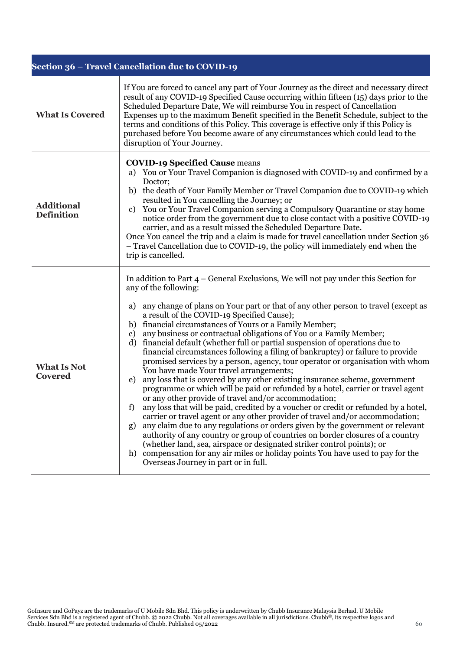| Section 36 - Travel Cancellation due to COVID-19 |                                                                                                                                                                                                                                                                                                                                                                                                                                                                                                                                                                                                                                                                                                                                                                                                                                                                                                                                                                                                                                                                                                                                                                                                                                                                                                                                                                                                                                                                                                    |
|--------------------------------------------------|----------------------------------------------------------------------------------------------------------------------------------------------------------------------------------------------------------------------------------------------------------------------------------------------------------------------------------------------------------------------------------------------------------------------------------------------------------------------------------------------------------------------------------------------------------------------------------------------------------------------------------------------------------------------------------------------------------------------------------------------------------------------------------------------------------------------------------------------------------------------------------------------------------------------------------------------------------------------------------------------------------------------------------------------------------------------------------------------------------------------------------------------------------------------------------------------------------------------------------------------------------------------------------------------------------------------------------------------------------------------------------------------------------------------------------------------------------------------------------------------------|
| <b>What Is Covered</b>                           | If You are forced to cancel any part of Your Journey as the direct and necessary direct<br>result of any COVID-19 Specified Cause occurring within fifteen (15) days prior to the<br>Scheduled Departure Date, We will reimburse You in respect of Cancellation<br>Expenses up to the maximum Benefit specified in the Benefit Schedule, subject to the<br>terms and conditions of this Policy. This coverage is effective only if this Policy is<br>purchased before You become aware of any circumstances which could lead to the<br>disruption of Your Journey.                                                                                                                                                                                                                                                                                                                                                                                                                                                                                                                                                                                                                                                                                                                                                                                                                                                                                                                                 |
| <b>Additional</b><br><b>Definition</b>           | <b>COVID-19 Specified Cause means</b><br>a) You or Your Travel Companion is diagnosed with COVID-19 and confirmed by a<br>Doctor;<br>b) the death of Your Family Member or Travel Companion due to COVID-19 which<br>resulted in You cancelling the Journey; or<br>You or Your Travel Companion serving a Compulsory Quarantine or stay home<br>c)<br>notice order from the government due to close contact with a positive COVID-19<br>carrier, and as a result missed the Scheduled Departure Date.<br>Once You cancel the trip and a claim is made for travel cancellation under Section 36<br>- Travel Cancellation due to COVID-19, the policy will immediately end when the<br>trip is cancelled.                                                                                                                                                                                                                                                                                                                                                                                                                                                                                                                                                                                                                                                                                                                                                                                            |
| <b>What Is Not</b><br><b>Covered</b>             | In addition to Part $4$ – General Exclusions, We will not pay under this Section for<br>any of the following:<br>any change of plans on Your part or that of any other person to travel (except as<br>a)<br>a result of the COVID-19 Specified Cause);<br>b) financial circumstances of Yours or a Family Member;<br>any business or contractual obligations of You or a Family Member;<br>c)<br>financial default (whether full or partial suspension of operations due to<br>d)<br>financial circumstances following a filing of bankruptcy) or failure to provide<br>promised services by a person, agency, tour operator or organisation with whom<br>You have made Your travel arrangements;<br>any loss that is covered by any other existing insurance scheme, government<br>e)<br>programme or which will be paid or refunded by a hotel, carrier or travel agent<br>or any other provide of travel and/or accommodation;<br>any loss that will be paid, credited by a voucher or credit or refunded by a hotel,<br>f)<br>carrier or travel agent or any other provider of travel and/or accommodation;<br>any claim due to any regulations or orders given by the government or relevant<br>g)<br>authority of any country or group of countries on border closures of a country<br>(whether land, sea, airspace or designated striker control points); or<br>compensation for any air miles or holiday points You have used to pay for the<br>h)<br>Overseas Journey in part or in full. |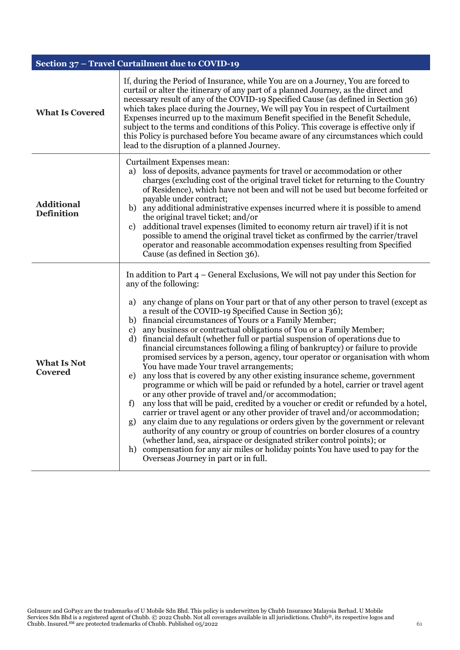| Section 37 - Travel Curtailment due to COVID-19 |                                                                                                                                                                                                                                                                                                                                                                                                                                                                                                                                                                                                                                                                                                                                                                                                                                                                                                                                                                                                                                                                                                                                                                                                                                                                                                                                                                                                                                                                                                               |
|-------------------------------------------------|---------------------------------------------------------------------------------------------------------------------------------------------------------------------------------------------------------------------------------------------------------------------------------------------------------------------------------------------------------------------------------------------------------------------------------------------------------------------------------------------------------------------------------------------------------------------------------------------------------------------------------------------------------------------------------------------------------------------------------------------------------------------------------------------------------------------------------------------------------------------------------------------------------------------------------------------------------------------------------------------------------------------------------------------------------------------------------------------------------------------------------------------------------------------------------------------------------------------------------------------------------------------------------------------------------------------------------------------------------------------------------------------------------------------------------------------------------------------------------------------------------------|
| <b>What Is Covered</b>                          | If, during the Period of Insurance, while You are on a Journey, You are forced to<br>curtail or alter the itinerary of any part of a planned Journey, as the direct and<br>necessary result of any of the COVID-19 Specified Cause (as defined in Section 36)<br>which takes place during the Journey, We will pay You in respect of Curtailment<br>Expenses incurred up to the maximum Benefit specified in the Benefit Schedule,<br>subject to the terms and conditions of this Policy. This coverage is effective only if<br>this Policy is purchased before You became aware of any circumstances which could<br>lead to the disruption of a planned Journey.                                                                                                                                                                                                                                                                                                                                                                                                                                                                                                                                                                                                                                                                                                                                                                                                                                             |
| <b>Additional</b><br><b>Definition</b>          | Curtailment Expenses mean:<br>loss of deposits, advance payments for travel or accommodation or other<br>a)<br>charges (excluding cost of the original travel ticket for returning to the Country<br>of Residence), which have not been and will not be used but become forfeited or<br>payable under contract;<br>any additional administrative expenses incurred where it is possible to amend<br>b)<br>the original travel ticket; and/or<br>additional travel expenses (limited to economy return air travel) if it is not<br>c)<br>possible to amend the original travel ticket as confirmed by the carrier/travel<br>operator and reasonable accommodation expenses resulting from Specified<br>Cause (as defined in Section 36).                                                                                                                                                                                                                                                                                                                                                                                                                                                                                                                                                                                                                                                                                                                                                                       |
| <b>What Is Not</b><br>Covered                   | In addition to Part $4$ – General Exclusions, We will not pay under this Section for<br>any of the following:<br>any change of plans on Your part or that of any other person to travel (except as<br>a)<br>a result of the COVID-19 Specified Cause in Section 36);<br>b) financial circumstances of Yours or a Family Member;<br>any business or contractual obligations of You or a Family Member;<br>c)<br>financial default (whether full or partial suspension of operations due to<br>d)<br>financial circumstances following a filing of bankruptcy) or failure to provide<br>promised services by a person, agency, tour operator or organisation with whom<br>You have made Your travel arrangements;<br>any loss that is covered by any other existing insurance scheme, government<br>e)<br>programme or which will be paid or refunded by a hotel, carrier or travel agent<br>or any other provide of travel and/or accommodation;<br>any loss that will be paid, credited by a voucher or credit or refunded by a hotel,<br>f)<br>carrier or travel agent or any other provider of travel and/or accommodation;<br>any claim due to any regulations or orders given by the government or relevant<br>g)<br>authority of any country or group of countries on border closures of a country<br>(whether land, sea, airspace or designated striker control points); or<br>h) compensation for any air miles or holiday points You have used to pay for the<br>Overseas Journey in part or in full. |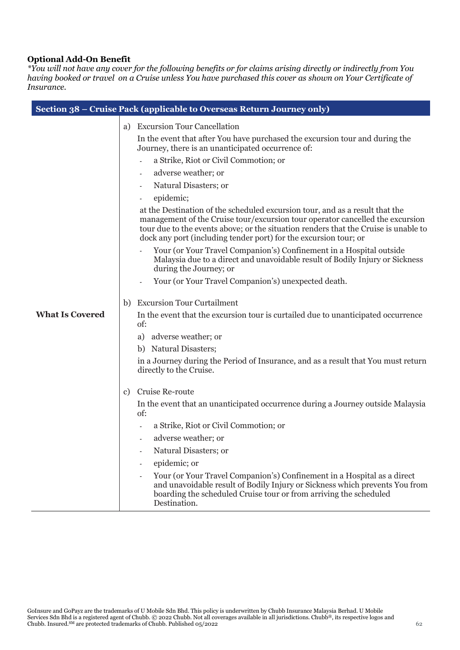## **Optional Add-On Benefit**

*\*You will not have any cover for the following benefits or for claims arising directly or indirectly from You having booked or travel on a Cruise unless You have purchased this cover as shown on Your Certificate of Insurance.*

|                        | Section 38 – Cruise Pack (applicable to Overseas Return Journey only)                                                                                                                                                                                                                                                    |
|------------------------|--------------------------------------------------------------------------------------------------------------------------------------------------------------------------------------------------------------------------------------------------------------------------------------------------------------------------|
|                        | <b>Excursion Tour Cancellation</b><br>a)                                                                                                                                                                                                                                                                                 |
|                        | In the event that after You have purchased the excursion tour and during the<br>Journey, there is an unanticipated occurrence of:                                                                                                                                                                                        |
|                        | a Strike, Riot or Civil Commotion; or<br>$\overline{\phantom{a}}$                                                                                                                                                                                                                                                        |
|                        | adverse weather; or                                                                                                                                                                                                                                                                                                      |
|                        | Natural Disasters; or                                                                                                                                                                                                                                                                                                    |
|                        | epidemic;                                                                                                                                                                                                                                                                                                                |
|                        | at the Destination of the scheduled excursion tour, and as a result that the<br>management of the Cruise tour/excursion tour operator cancelled the excursion<br>tour due to the events above; or the situation renders that the Cruise is unable to<br>dock any port (including tender port) for the excursion tour; or |
|                        | Your (or Your Travel Companion's) Confinement in a Hospital outside<br>Malaysia due to a direct and unavoidable result of Bodily Injury or Sickness<br>during the Journey; or                                                                                                                                            |
|                        | Your (or Your Travel Companion's) unexpected death.                                                                                                                                                                                                                                                                      |
|                        | <b>Excursion Tour Curtailment</b><br>b)                                                                                                                                                                                                                                                                                  |
| <b>What Is Covered</b> | In the event that the excursion tour is curtailed due to unanticipated occurrence<br>of:                                                                                                                                                                                                                                 |
|                        | a) adverse weather; or                                                                                                                                                                                                                                                                                                   |
|                        | b) Natural Disasters;                                                                                                                                                                                                                                                                                                    |
|                        | in a Journey during the Period of Insurance, and as a result that You must return<br>directly to the Cruise.                                                                                                                                                                                                             |
|                        | Cruise Re-route<br>c)                                                                                                                                                                                                                                                                                                    |
|                        | In the event that an unanticipated occurrence during a Journey outside Malaysia<br>of:                                                                                                                                                                                                                                   |
|                        | a Strike, Riot or Civil Commotion; or                                                                                                                                                                                                                                                                                    |
|                        | adverse weather; or<br>$\overline{\phantom{a}}$                                                                                                                                                                                                                                                                          |
|                        | Natural Disasters; or                                                                                                                                                                                                                                                                                                    |
|                        | epidemic; or                                                                                                                                                                                                                                                                                                             |
|                        | Your (or Your Travel Companion's) Confinement in a Hospital as a direct<br>and unavoidable result of Bodily Injury or Sickness which prevents You from<br>boarding the scheduled Cruise tour or from arriving the scheduled<br>Destination.                                                                              |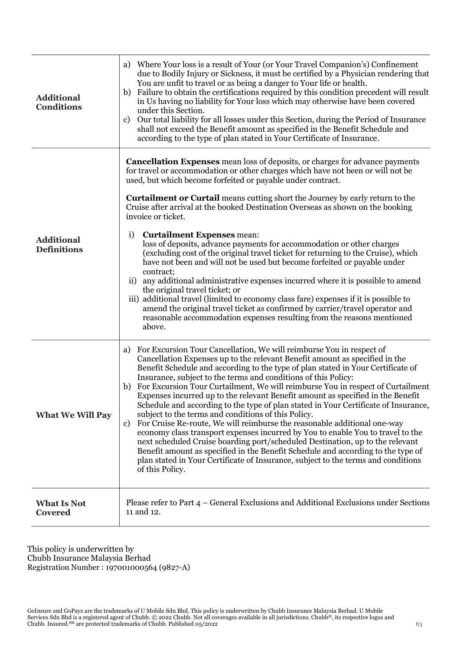| <b>Additional</b><br><b>Conditions</b>  | Where Your loss is a result of Your (or Your Travel Companion's) Confinement<br>a)<br>due to Bodily Injury or Sickness, it must be certified by a Physician rendering that<br>You are unfit to travel or as being a danger to Your life or health.<br>Failure to obtain the certifications required by this condition precedent will result<br>b)<br>in Us having no liability for Your loss which may otherwise have been covered<br>under this Section.<br>Our total liability for all losses under this Section, during the Period of Insurance<br>c)<br>shall not exceed the Benefit amount as specified in the Benefit Schedule and<br>according to the type of plan stated in Your Certificate of Insurance.                                                                                                                                                                                                                                                                                                                                                                                                                       |
|-----------------------------------------|------------------------------------------------------------------------------------------------------------------------------------------------------------------------------------------------------------------------------------------------------------------------------------------------------------------------------------------------------------------------------------------------------------------------------------------------------------------------------------------------------------------------------------------------------------------------------------------------------------------------------------------------------------------------------------------------------------------------------------------------------------------------------------------------------------------------------------------------------------------------------------------------------------------------------------------------------------------------------------------------------------------------------------------------------------------------------------------------------------------------------------------|
| <b>Additional</b><br><b>Definitions</b> | <b>Cancellation Expenses</b> mean loss of deposits, or charges for advance payments<br>for travel or accommodation or other charges which have not been or will not be<br>used, but which become forfeited or payable under contract.<br><b>Curtailment or Curtail</b> means cutting short the Journey by early return to the<br>Cruise after arrival at the booked Destination Overseas as shown on the booking<br>invoice or ticket.<br>i)<br><b>Curtailment Expenses mean:</b><br>loss of deposits, advance payments for accommodation or other charges<br>(excluding cost of the original travel ticket for returning to the Cruise), which<br>have not been and will not be used but become forfeited or payable under<br>contract;<br>any additional administrative expenses incurred where it is possible to amend<br>$\mathbf{ii}$<br>the original travel ticket; or<br>iii) additional travel (limited to economy class fare) expenses if it is possible to<br>amend the original travel ticket as confirmed by carrier/travel operator and<br>reasonable accommodation expenses resulting from the reasons mentioned<br>above. |
| <b>What We Will Pay</b>                 | For Excursion Tour Cancellation, We will reimburse You in respect of<br>a)<br>Cancellation Expenses up to the relevant Benefit amount as specified in the<br>Benefit Schedule and according to the type of plan stated in Your Certificate of<br>Insurance, subject to the terms and conditions of this Policy:<br>For Excursion Tour Curtailment, We will reimburse You in respect of Curtailment<br>b)<br>Expenses incurred up to the relevant Benefit amount as specified in the Benefit<br>Schedule and according to the type of plan stated in Your Certificate of Insurance,<br>subject to the terms and conditions of this Policy.<br>For Cruise Re-route, We will reimburse the reasonable additional one-way<br>c)<br>economy class transport expenses incurred by You to enable You to travel to the<br>next scheduled Cruise boarding port/scheduled Destination, up to the relevant<br>Benefit amount as specified in the Benefit Schedule and according to the type of<br>plan stated in Your Certificate of Insurance, subject to the terms and conditions<br>of this Policy.                                              |
| <b>What Is Not</b><br><b>Covered</b>    | Please refer to Part 4 – General Exclusions and Additional Exclusions under Sections<br>11 and 12.                                                                                                                                                                                                                                                                                                                                                                                                                                                                                                                                                                                                                                                                                                                                                                                                                                                                                                                                                                                                                                       |

This policy is underwritten by Chubb Insurance Malaysia Berhad Registration Number : 197001000564 (9827-A)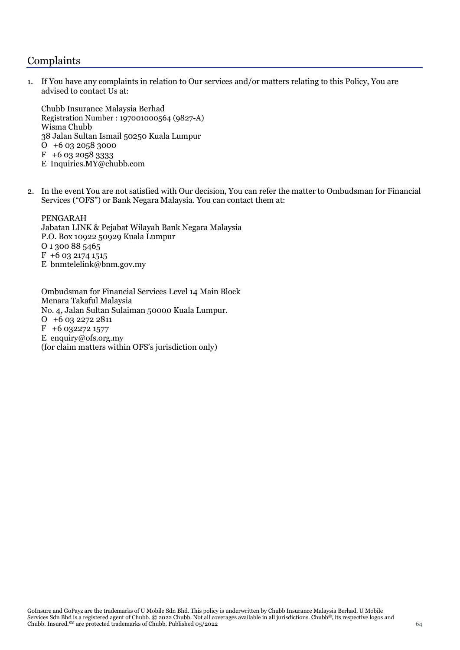# Complaints

1. If You have any complaints in relation to Our services and/or matters relating to this Policy, You are advised to contact Us at:

Chubb Insurance Malaysia Berhad Registration Number : 197001000564 (9827-A) Wisma Chubb 38 Jalan Sultan Ismail 50250 Kuala Lumpur O +6 03 2058 3000  $F + 60320583333$ E Inquiries.MY@chubb.com

2. In the event You are not satisfied with Our decision, You can refer the matter to Ombudsman for Financial Services ("OFS") or Bank Negara Malaysia. You can contact them at:

PENGARAH Jabatan LINK & Pejabat Wilayah Bank Negara Malaysia P.O. Box 10922 50929 Kuala Lumpur O 1 300 88 5465  $F + 60321741515$ E bnmtelelink@bnm.gov.my

Ombudsman for Financial Services Level 14 Main Block Menara Takaful Malaysia No. 4, Jalan Sultan Sulaiman 50000 Kuala Lumpur. O +6 03 2272 2811  $F + 6$  032272 1577 E enquiry@ofs.org.my (for claim matters within OFS's jurisdiction only)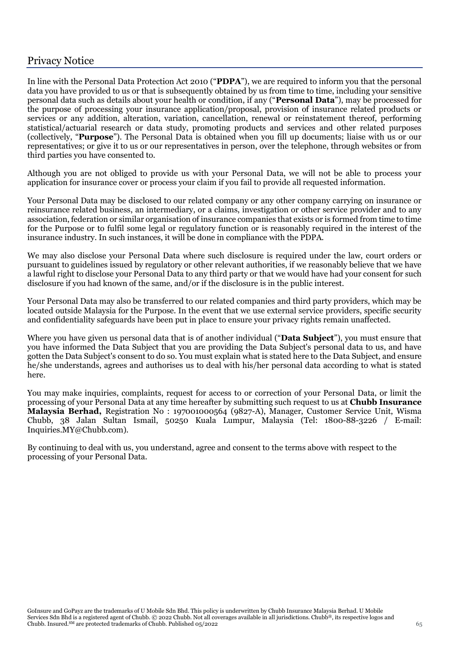# Privacy Notice

In line with the Personal Data Protection Act 2010 ("**PDPA**"), we are required to inform you that the personal data you have provided to us or that is subsequently obtained by us from time to time, including your sensitive personal data such as details about your health or condition, if any ("**Personal Data**"), may be processed for the purpose of processing your insurance application/proposal, provision of insurance related products or services or any addition, alteration, variation, cancellation, renewal or reinstatement thereof, performing statistical/actuarial research or data study, promoting products and services and other related purposes (collectively, "**Purpose**"). The Personal Data is obtained when you fill up documents; liaise with us or our representatives; or give it to us or our representatives in person, over the telephone, through websites or from third parties you have consented to.

Although you are not obliged to provide us with your Personal Data, we will not be able to process your application for insurance cover or process your claim if you fail to provide all requested information.

Your Personal Data may be disclosed to our related company or any other company carrying on insurance or reinsurance related business, an intermediary, or a claims, investigation or other service provider and to any association, federation or similar organisation of insurance companies that exists or is formed from time to time for the Purpose or to fulfil some legal or regulatory function or is reasonably required in the interest of the insurance industry. In such instances, it will be done in compliance with the PDPA.

We may also disclose your Personal Data where such disclosure is required under the law, court orders or pursuant to guidelines issued by regulatory or other relevant authorities, if we reasonably believe that we have a lawful right to disclose your Personal Data to any third party or that we would have had your consent for such disclosure if you had known of the same, and/or if the disclosure is in the public interest.

Your Personal Data may also be transferred to our related companies and third party providers, which may be located outside Malaysia for the Purpose. In the event that we use external service providers, specific security and confidentiality safeguards have been put in place to ensure your privacy rights remain unaffected.

Where you have given us personal data that is of another individual ("**Data Subject**"), you must ensure that you have informed the Data Subject that you are providing the Data Subject's personal data to us, and have gotten the Data Subject's consent to do so. You must explain what is stated here to the Data Subject, and ensure he/she understands, agrees and authorises us to deal with his/her personal data according to what is stated here.

You may make inquiries, complaints, request for access to or correction of your Personal Data, or limit the processing of your Personal Data at any time hereafter by submitting such request to us at **Chubb Insurance Malaysia Berhad,** Registration No : 197001000564 (9827-A), Manager, Customer Service Unit, Wisma Chubb, 38 Jalan Sultan Ismail, 50250 Kuala Lumpur, Malaysia (Tel: 1800-88-3226 / E-mail: Inquiries.MY@Chubb.com).

By continuing to deal with us, you understand, agree and consent to the terms above with respect to the processing of your Personal Data.